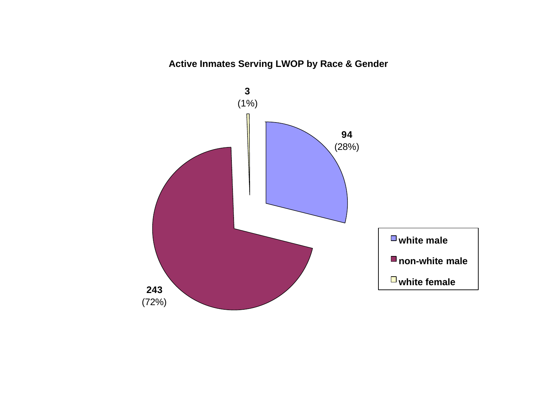# **Active Inmates Serving LWOP by Race & Gender**

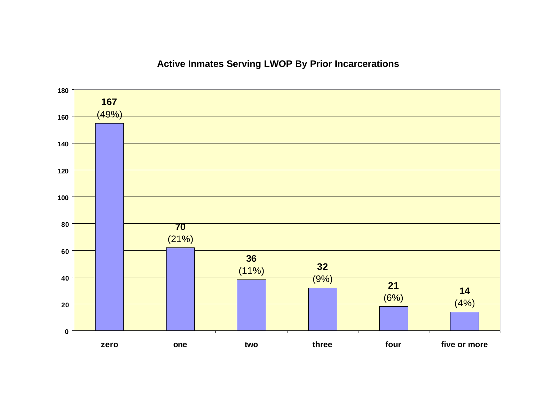# **Active Inmates Serving LWOP By Prior Incarcerations**

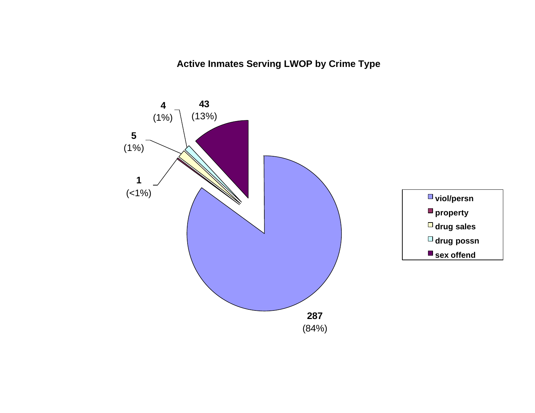**Active Inmates Serving LWOP by Crime Type**

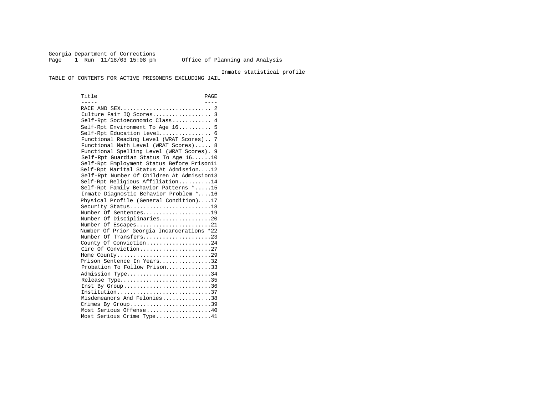Georgia Department of Corrections Page 1 Run 11/18/03 15:08 pm Office of Planning and Analysis

Inmate statistical profile

TABLE OF CONTENTS FOR ACTIVE PRISONERS EXCLUDING JAIL

Title PAGE ----- ---- RACE AND SEX............................ 2 Culture Fair IQ Scores.................. 3 Self-Rpt Socioeconomic Class............ 4 Self-Rpt Environment To Age 16.......... 5 Self-Rpt Education Level................ 6 Functional Reading Level (WRAT Scores).. 7 Functional Math Level (WRAT Scores)..... 8 Functional Spelling Level (WRAT Scores). 9 Self-Rpt Guardian Status To Age 16......10 Self-Rpt Employment Status Before Prison11 Self-Rpt Marital Status At Admission....12 Self-Rpt Number Of Children At Admission13 Self-Rpt Religious Affiliation..........14 Self-Rpt Family Behavior Patterns \*.....15 Inmate Diagnostic Behavior Problem \*....16 Physical Profile (General Condition)....17 Security Status...........................18 Number Of Sentences.....................19 Number Of Disciplinaries................20 Number Of Escapes.........................21 Number Of Prior Georgia Incarcerations \*22 Number Of Transfers.......................23 County Of Conviction....................24 Circ Of Conviction........................27 Home County.............................29 Prison Sentence In Years................32 Probation To Follow Prison...............33 Admission Type.............................34 Release Type................................35 Inst By  $Group \ldots \ldots \ldots \ldots \ldots \ldots \ldots \ldots 36$  Institution.............................37 Misdemeanors And Felonies...............38 Crimes By Group..............................39 Most Serious Offense....................40 Most Serious Crime Type.................41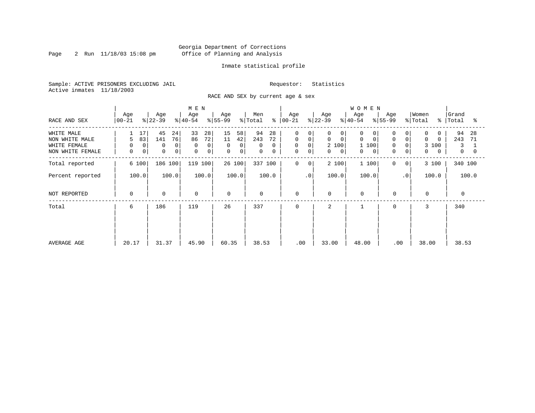Page 2 Run  $11/18/03$  15:08 pm

### Inmate statistical profile

Sample: ACTIVE PRISONERS EXCLUDING JAIL Requestor: Statistics Active inmates 11/18/2003

RACE AND SEX by current age & sex

| RACE AND SEX                                                     | Age<br>$ 00 - 21 $                             | Age<br>$ 22-39 $                                              | M E N<br>Age<br>$ 40-54 $                                 | Age<br>$ 55-99 $                                      | Men<br>% Total                                   | Age<br>$8   00 - 21$                                                                                 | Age<br>$ 22-39 $                                           | <b>WOMEN</b><br>Age<br>$ 40-54 $                                                | Age<br>$8 55-99$                                             | Women<br>% Total<br>$\approx$                | Grand<br> Total<br>°≈                      |
|------------------------------------------------------------------|------------------------------------------------|---------------------------------------------------------------|-----------------------------------------------------------|-------------------------------------------------------|--------------------------------------------------|------------------------------------------------------------------------------------------------------|------------------------------------------------------------|---------------------------------------------------------------------------------|--------------------------------------------------------------|----------------------------------------------|--------------------------------------------|
| WHITE MALE<br>NON WHITE MALE<br>WHITE FEMALE<br>NON WHITE FEMALE | 17<br>83<br>5<br>$\overline{0}$<br>0<br>0<br>0 | 45<br>24<br>76<br>141<br>$\mathbf 0$<br>0<br>$\mathbf 0$<br>0 | 33<br>28<br>72<br>86<br>0<br>$\Omega$<br>$\mathbf 0$<br>0 | 15<br>58<br>11<br>42<br>0<br>0<br>0<br>$\overline{0}$ | 94<br>28<br>243<br>72<br>0<br>$\Omega$<br>0<br>0 | $\mathbf 0$<br>$\mathbf 0$<br>$\circ$<br>$\mathbf 0$<br>$\mathbf 0$<br>$\mathbf 0$<br>$\overline{0}$ | 0<br>0<br>$\mathbf 0$<br>0<br>2 100<br>0<br>$\overline{0}$ | 0<br>0<br>$\Omega$<br>$\mathbf 0$<br>100<br>$\mathbf{1}$<br>$\overline{0}$<br>0 | 0<br>$\mathbf 0$<br>$\Omega$<br>$\Omega$<br>$\mathbf 0$<br>0 | 0<br>$\Omega$<br>$\Omega$<br>3 100<br>0<br>0 | 94<br>-28<br>243<br>71<br>3<br>$\mathbf 0$ |
| Total reported                                                   | 6 100                                          | 186 100                                                       | 119 100                                                   | 26 100                                                | 337 100                                          | 0<br>$\mathbf{0}$                                                                                    | 2 100                                                      | 1 100                                                                           | 0<br>0                                                       | 3 100                                        | 340 100                                    |
| Percent reported                                                 | 100.0                                          | 100.0                                                         | 100.0                                                     | 100.0                                                 | 100.0                                            | $\cdot$ 0                                                                                            | 100.0                                                      | 100.0                                                                           | $\cdot$ 0                                                    | 100.0                                        | 100.0                                      |
| NOT REPORTED                                                     | $\mathbf 0$                                    | $\mathbf 0$                                                   | 0                                                         | $\mathbf 0$                                           | $\mathbf 0$                                      | 0                                                                                                    | 0                                                          | $\mathbf 0$                                                                     | $\mathbf 0$                                                  | $\mathbf 0$                                  | $\mathbf{0}$                               |
| Total                                                            | 6                                              | 186                                                           | 119                                                       | 26                                                    | 337                                              | 0                                                                                                    | 2                                                          |                                                                                 | $\Omega$                                                     | 3                                            | 340                                        |
| AVERAGE AGE                                                      | 20.17                                          | 31.37                                                         | 45.90                                                     | 60.35                                                 | 38.53                                            | .00                                                                                                  | 33.00                                                      | 48.00                                                                           | .00                                                          | 38.00                                        | 38.53                                      |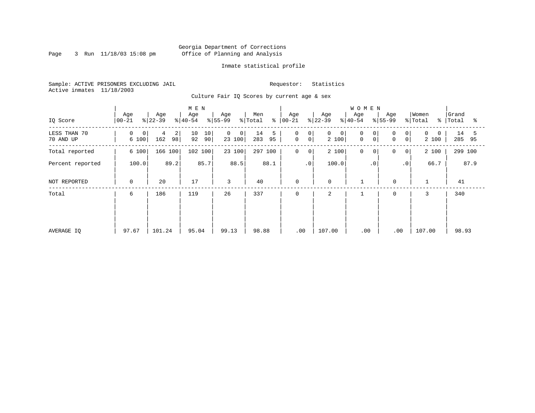Page 3 Run  $11/18/03$  15:08 pm

### Inmate statistical profile

Sample: ACTIVE PRISONERS EXCLUDING JAIL Requestor: Statistics Active inmates 11/18/2003

Culture Fair IQ Scores by current age & sex

| IQ Score                  | Age<br>$ 00-21$   | Age<br>$ 22-39 $    | M E N<br>Age<br>$ 40-54 $         | Age<br>$ 55-99 $           | Men<br>⊱<br>% Total  | Age<br>$ 00 - 21$                    | Age<br>$ 22-39 $          | <b>WOMEN</b><br>Age<br>$ 40-54$                   | Age<br>$ 55-99 $                                            | Women<br>% Total<br>ႜ | Grand<br>Total<br>ႜ  |
|---------------------------|-------------------|---------------------|-----------------------------------|----------------------------|----------------------|--------------------------------------|---------------------------|---------------------------------------------------|-------------------------------------------------------------|-----------------------|----------------------|
| LESS THAN 70<br>70 AND UP | 0<br> 0 <br>6 100 | 2<br>4<br>98<br>162 | 10 <sub>1</sub><br>10<br>92<br>90 | $\mathbf 0$<br>0<br>23 100 | 14<br>5<br>283<br>95 | $\mathbf 0$<br>0<br>$\mathbf 0$<br>0 | 0<br>$\mathbf 0$<br>2 100 | $\mathbf 0$<br>0<br>$\overline{0}$<br>$\mathbf 0$ | $\Omega$<br>$\overline{0}$<br>0 <sup>1</sup><br>$\mathbf 0$ | 0<br>2 100            | 14<br>5<br>285<br>95 |
| Total reported            |                   | 166 100             | 102 100                           | 23 100                     | 297 100              | $\mathbf 0$<br>0                     | 2 100                     | $\mathbf 0$<br>$\circ$                            | 0<br> 0                                                     | 2 100                 | 299 100              |
| Percent reported          | 6 100<br>100.0    |                     | 85.7                              | 88.5                       | 88.1                 | $\cdot$ 0                            | 100.0                     | $\cdot$ 0                                         | .0                                                          | 66.7                  | 87.9                 |
| NOT REPORTED              | $\mathbf 0$       | 20                  | 17                                | 3                          | 40                   | 0                                    | $\mathbf 0$               |                                                   | $\mathbf 0$                                                 |                       | 41                   |
| Total                     | 6                 | 186                 | 119                               | 26                         | 337                  | $\mathbf 0$                          | $\overline{a}$            |                                                   | $\mathbf 0$                                                 | 3                     | 340                  |
|                           |                   |                     |                                   |                            |                      |                                      |                           |                                                   |                                                             |                       |                      |
|                           |                   |                     |                                   |                            |                      |                                      |                           |                                                   |                                                             |                       |                      |
| AVERAGE IQ                | 97.67             | 101.24              | 95.04                             | 99.13                      | 98.88                | .00                                  | 107.00                    | .00                                               | .00                                                         | 107.00                | 98.93                |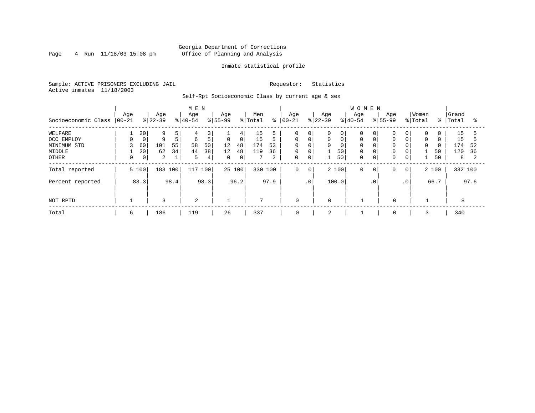### Georgia Department of Corrections Page 4 Run 11/18/03 15:08 pm Office of Planning and Analysis

### Inmate statistical profile

Sample: ACTIVE PRISONERS EXCLUDING JAIL Requestor: Statistics Active inmates 11/18/2003

Self-Rpt Socioeconomic Class by current age & sex

|                     | M E N            |             |                  |      |                 |      |                  |        |                |      |                  |             |                  |                | <b>WOMEN</b>     |                |                    |                |                  |           |                |      |
|---------------------|------------------|-------------|------------------|------|-----------------|------|------------------|--------|----------------|------|------------------|-------------|------------------|----------------|------------------|----------------|--------------------|----------------|------------------|-----------|----------------|------|
| Socioeconomic Class | Age<br>$ 00-21 $ |             | Age<br>$ 22-39 $ |      | Age<br>$ 40-54$ |      | Age<br>$ 55-99 $ |        | Men<br>% Total | ႜ    | Age<br>$00 - 21$ |             | Age<br>$ 22-39 $ |                | Age<br>$8 40-54$ |                | Age<br>$8155 - 99$ |                | Women<br>% Total | န $\vert$ | Grand<br>Total | °    |
| WELFARE             |                  | 20          | 9                | 5    | 4               | 3    |                  | 4      | 15             |      | $\Omega$         | 0           | 0                | $\overline{0}$ |                  | $\overline{0}$ | 0                  | 0              | 0                |           | 15             |      |
| OCC EMPLOY          | $\Omega$         | $\mathbf 0$ | 9                | 5    | 6               | 5    | 0                | 0      | 15             | 5    | $\Omega$         | $\mathbf 0$ | 0                |                | $\mathbf 0$      |                | $\mathbf 0$        | $\Omega$       | $\mathbf 0$      | $\Omega$  | 15             |      |
| MINIMUM STD         |                  | 60          | 101              | 55   | 58              | 50   | 12               | 48     | 174            | 53   | $\Omega$         | $\Omega$    | $\mathbf 0$      |                | $\Omega$         |                | $\Omega$           | $\Omega$       | $\Omega$         | $\Omega$  | 174            | 52   |
| MIDDLE              |                  | 20          | 62               | 34   | 44              | 38   | 12               | 48     | 119            | 36   | $\mathbf 0$      | $\mathbf 0$ |                  | 50             | $\mathbf 0$      | 0              | 0                  | $\overline{0}$ |                  | 50        | 120            | 36   |
| OTHER               | 0                | 0           | 2                |      | 5               | 4    | $\mathbf{0}$     | 0      |                | 2    | 0                | 0           |                  | 50             | $\Omega$         | $\overline{0}$ | 0                  | 0              |                  | 50        | 8              |      |
| Total reported      |                  | 5 100       | 183 100          |      | 117 100         |      |                  | 25 100 | 330 100        |      | $\mathbf 0$      | 0           |                  | 2 100          | $\mathbf 0$      | 0              | 0                  | 0 <sup>1</sup> |                  | 2 100     | 332 100        |      |
| Percent reported    |                  | 83.3        |                  | 98.4 |                 | 98.3 |                  | 96.2   |                | 97.9 |                  | $\cdot$ 0   |                  | 100.0          |                  | $\cdot$ 0      |                    | .0'            |                  | 66.7      |                | 97.6 |
| NOT RPTD            |                  |             | 3                |      | 2               |      |                  |        | $\mathbf{r}$   |      | $\mathbf 0$      |             | $\Omega$         |                |                  |                | $\mathbf 0$        |                |                  |           | 8              |      |
| Total               | 6                |             | 186              |      | 119             |      | 26               |        | 337            |      | $\mathbf 0$      |             | 2                |                |                  |                | 0                  |                |                  |           | 340            |      |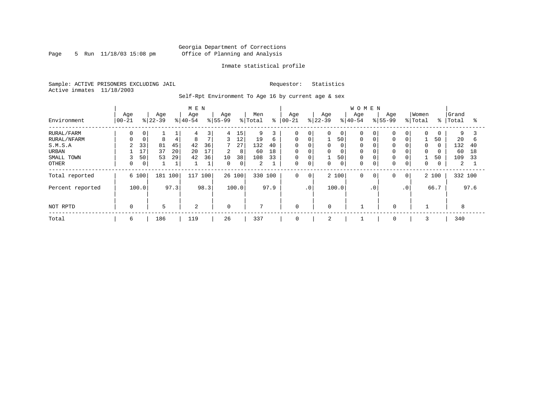Page 5 Run  $11/18/03$  15:08 pm

### Inmate statistical profile

Sample: ACTIVE PRISONERS EXCLUDING JAIL Requestor: Statistics Active inmates 11/18/2003

Self-Rpt Environment To Age 16 by current age & sex

|                  |                  |             |                  |      | M E N            |                |                    |        |                |      |                   |             |                  |                | WOMEN            |           |                    |                 |                  |               |                |      |
|------------------|------------------|-------------|------------------|------|------------------|----------------|--------------------|--------|----------------|------|-------------------|-------------|------------------|----------------|------------------|-----------|--------------------|-----------------|------------------|---------------|----------------|------|
| Environment      | Age<br>$ 00-21 $ |             | Age<br>$ 22-39 $ |      | Age<br>$8 40-54$ |                | Age<br>$8155 - 99$ |        | Men<br>% Total | ి    | Age<br>$ 00 - 21$ |             | Age<br>$8 22-39$ |                | Age<br>$8 40-54$ |           | Age<br>$8155 - 99$ |                 | Women<br>% Total | $\frac{8}{3}$ | Grand<br>Total | ႜ    |
| RURAL/FARM       | 0                | 0           |                  |      | 4                | 3              | 4                  | 15     | 9              |      | $\Omega$          | 0           | 0                | $\overline{0}$ |                  | 0         | $\mathbf 0$        | 0               | $\Omega$         | 0             | 9              |      |
| RURAL/NFARM      |                  | $\mathbf 0$ | 8                |      | 8                | $\overline{7}$ | 3                  | 12     | 19             | 6    | $\Omega$          | $\mathbf 0$ |                  | 50             | $\Omega$         |           | 0                  | 0               |                  | 50            | 20             | b    |
| S.M.S.A          | 2                | 33          | 81               | 45   | 42               | 36             | $7^{\circ}$        | 27     | 132            | 40   | $\mathbf 0$       | $\mathbf 0$ | 0                |                |                  |           | $\mathbf 0$        | 0               | $\Omega$         | $\Omega$      | 132            | 40   |
| URBAN            |                  | 17          | 37               | 20   | 20               | 17             | 2                  | 8      | 60             | 18   | $\mathbf 0$       | $\mathbf 0$ | $\mathbf 0$      | 0              | $\Omega$         |           | $\mathbf 0$        | 0               | $\mathbf 0$      | 0             | 60             | 18   |
| SMALL TOWN       | 3                | 50          | 53               | 29   | 42               | 36             | 10                 | 38     | 108            | 33   | $\mathbf 0$       | $\mathbf 0$ | 1                | 50             | $\Omega$         |           | 0                  | 0               |                  | 50            | 109            | 33   |
| OTHER            | 0                | 0           |                  |      |                  |                | $\Omega$           | 0      | 2              |      | $\Omega$          | $\mathbf 0$ | $\Omega$         | 0              | $\Omega$         | 0         | $\mathbf 0$        | 0               | 0                | 0             | 2              |      |
| Total reported   |                  | 6 100       | 181              | 100  | 117              | 100            |                    | 26 100 | 330 100        |      | $\mathbf 0$       | $\mathbf 0$ |                  | 2 100          | $\Omega$         | 0         | 0                  | $\circ$         |                  | 2 100         | 332 100        |      |
| Percent reported |                  | 100.0       |                  | 97.3 |                  | 98.3           |                    | 100.0  |                | 97.9 |                   | .0          |                  | 100.0          |                  | $\cdot$ 0 |                    | .0 <sup>1</sup> |                  | 66.7          |                | 97.6 |
|                  |                  |             |                  |      |                  |                |                    |        |                |      |                   |             |                  |                |                  |           |                    |                 |                  |               |                |      |
| NOT RPTD         | $\Omega$         |             | 5                |      | $\overline{a}$   |                | $\Omega$           |        | $\overline{7}$ |      | $\mathbf 0$       |             | $\Omega$         |                |                  |           | $\mathbf 0$        |                 |                  |               | 8              |      |
| Total            | 6                |             | 186              |      | 119              |                | 26                 |        | 337            |      | $\mathbf 0$       |             | 2                |                |                  |           | $\mathbf 0$        |                 |                  |               | 340            |      |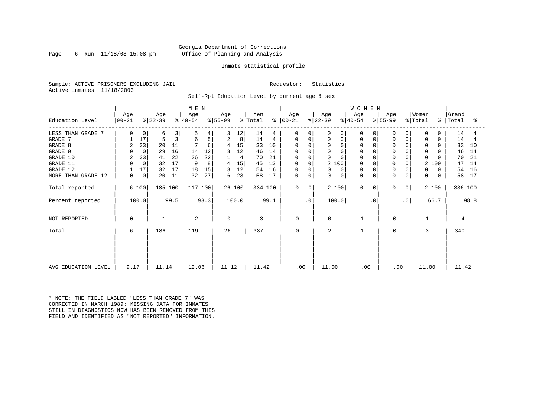### Georgia Department of Corrections Page 6 Run 11/18/03 15:08 pm Office of Planning and Analysis

### Inmate statistical profile

Sample: ACTIVE PRISONERS EXCLUDING JAIL Requestor: Statistics Active inmates 11/18/2003

Self-Rpt Education Level by current age & sex

|                     | M E N            |                |                  |      |                  |      |                  |        |                |         |                  |                |                  |             | W O M E N        |           |                  |                |                  |          |                    |      |
|---------------------|------------------|----------------|------------------|------|------------------|------|------------------|--------|----------------|---------|------------------|----------------|------------------|-------------|------------------|-----------|------------------|----------------|------------------|----------|--------------------|------|
| Education Level     | Age<br>$ 00-21 $ |                | Age<br>$ 22-39 $ |      | Age<br>$ 40-54 $ |      | Age<br>$ 55-99 $ |        | Men<br>% Total | ႜ       | Age<br>$ 00-21 $ |                | Age<br>$ 22-39 $ |             | Age<br>$ 40-54 $ |           | Age<br>$8 55-99$ |                | Women<br>% Total |          | Grand<br>%   Total | ႜ    |
| LESS THAN GRADE 7   | 0                | $\mathbf{0}$   | 6                | 3    | 5                | 4    | 3                | 12     | 14             | 4       | $\Omega$         | $\Omega$       | 0                | 0           |                  | 0         | 0                |                | $\Omega$         | 0        | 14                 | 4    |
| GRADE 7             |                  | 17             | 5                | 3    | 6                | 5    | 2                | 8      | 14             | 4       | 0                | 0              | 0                | 0           | 0                |           | 0                | 0              | 0                | 0        | 14                 |      |
| GRADE 8             | 2                | 33             | 20               | 11   |                  | 6    | 4                | 15     | 33             | 10      |                  |                | $\Omega$         |             |                  |           | $\Omega$         |                | $\Omega$         |          | 33                 | 10   |
| GRADE 9             | $\Omega$         | $\mathbf 0$    | 29               | 16   | 14               | 12   | 3                | 12     | 46             | 14      | 0                |                | 0                |             |                  |           | 0                |                | $\Omega$         |          | 46                 | 14   |
| GRADE 10            | 2                | 33             | 41               | 22   | 26               | 22   |                  | 4      | 70             | 21      | 0                |                | 0                |             | $\mathbf 0$      |           | $\mathbf 0$      | 0              | $\Omega$         |          | 70                 | 21   |
| GRADE 11            |                  | $\mathbf 0$    | 32               | 17   | 9                | 8    | 4                | 15     | 45             | 13      | 0                | $\Omega$       | 2 100            |             |                  |           | $\mathbf 0$      |                |                  | 2 100    | 47                 | 14   |
| GRADE 12            |                  | 17             | 32               | 17   | 18               | 15   | 3                | 12     | 54             | 16      | 0                | $\Omega$       | 0                | 0           | $\Omega$         |           | $\Omega$         | 0              | $\Omega$         | 0        | 54                 | 16   |
| MORE THAN GRADE 12  | 0                | $\overline{0}$ | 20               | 11   | 32               | 27   | 6                | 23     | 58             | 17      | 0                | 0              | 0                | $\mathbf 0$ | $\Omega$         | 0         | $\mathbf 0$      | 0              | 0                | $\Omega$ | 58                 | 17   |
| Total reported      |                  | 6 100          | 185 100          |      | 117 100          |      |                  | 26 100 |                | 334 100 | $\Omega$         | $\overline{0}$ | 2 100            |             | $\Omega$         | 0         | $\mathbf 0$      | 0 <sup>1</sup> |                  | 2 100    | 336 100            |      |
| Percent reported    |                  | 100.0          |                  | 99.5 |                  | 98.3 |                  | 100.0  |                | 99.1    |                  | $\cdot$ 0      | 100.0            |             |                  | $\cdot$ 0 |                  | $\cdot$ 0      |                  | 66.7     |                    | 98.8 |
| NOT REPORTED        | 0                |                |                  |      | 2                |      | $\Omega$         |        | 3              |         | $\mathbf 0$      |                | $\Omega$         |             |                  |           | 0                |                |                  |          | 4                  |      |
| Total               | 6                |                | 186              |      | 119              |      | 26               |        | 337            |         | $\Omega$         |                | 2                |             |                  |           | $\Omega$         |                | 3                |          | 340                |      |
|                     |                  |                |                  |      |                  |      |                  |        |                |         |                  |                |                  |             |                  |           |                  |                |                  |          |                    |      |
| AVG EDUCATION LEVEL | 9.17             |                | 11.14            |      | 12.06            |      | 11.12            |        | 11.42          |         | .00              |                | 11.00            |             | .00              |           | .00              |                | 11.00            |          | 11.42              |      |

\* NOTE: THE FIELD LABLED "LESS THAN GRADE 7" WAS CORRECTED IN MARCH 1989: MISSING DATA FOR INMATES STILL IN DIAGNOSTICS NOW HAS BEEN REMOVED FROM THIS FIELD AND IDENTIFIED AS "NOT REPORTED" INFORMATION.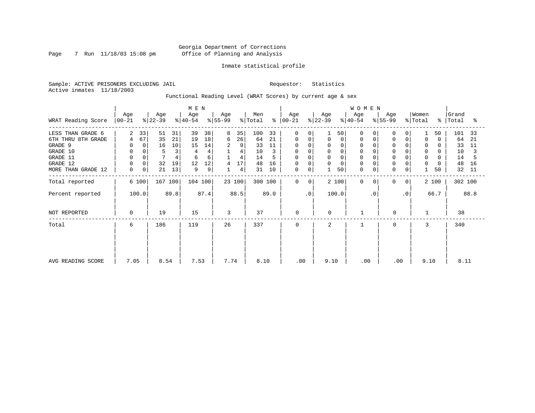Page 7 Run 11/18/03 15:08 pm

### Inmate statistical profile

Sample: ACTIVE PRISONERS EXCLUDING JAIL Requestor: Statistics Active inmates 11/18/2003

Functional Reading Level (WRAT Scores) by current age & sex

|                    | M E N              |       |                  |      |                  |      |                  |                |                |         |                |                |                  |       | WOMEN            |           |                  |                |                  |          |                    |      |
|--------------------|--------------------|-------|------------------|------|------------------|------|------------------|----------------|----------------|---------|----------------|----------------|------------------|-------|------------------|-----------|------------------|----------------|------------------|----------|--------------------|------|
| WRAT Reading Score | Age<br>$ 00 - 21 $ |       | Age<br>$ 22-39 $ |      | Age<br>$ 40-54 $ |      | Age<br>$ 55-99 $ |                | Men<br>% Total | နွ      | Age<br>  00-21 |                | Age<br>$ 22-39 $ |       | Age<br>$ 40-54 $ |           | Age<br>$ 55-99 $ |                | Women<br>% Total |          | Grand<br>%   Total | ႜ    |
| LESS THAN GRADE 6  | $\overline{2}$     | 33    | 51               | 31   | 39               | 38   | 8                | 35             | 100            | 33      | $\Omega$       | $\Omega$       |                  | 50    | $\Omega$         |           | 0                |                |                  | 50       | 101                | -33  |
| 6TH THRU 8TH GRADE | 4                  | 67    | 35               | 21   | 19               | 18   | 6                | 26             | 64             | 21      | 0              | 0              | 0                | 0     | $\Omega$         |           | 0                | 0              | $\Omega$         | $\Omega$ | 64                 | 21   |
| GRADE 9            | 0                  | 0     | 16               | 10   | 15               | 14   | 2                | 9              | 33             | 11      | 0              |                | $\Omega$         |       |                  |           | 0                |                | 0                |          | 33                 | 11   |
| GRADE 10           | 0                  |       | 5                | 3    |                  |      |                  | 4              | 10             |         | 0              | 0              | 0                |       | $\Omega$         |           | $\mathbf 0$      |                | 0                | O        | 10                 |      |
| GRADE 11           | $\overline{0}$     |       |                  |      | 6                | 6    |                  | $\overline{4}$ | 14             |         | <sup>0</sup>   |                | $\mathbf 0$      |       |                  |           |                  |                | $\Omega$         |          | 14                 |      |
| GRADE 12           | $\mathbf 0$        | 0     | 32               | 19   | 12               | 12   | 4                | 17             | 48             | 16      | 0              |                | 0                |       | $\Omega$         |           | $\Omega$         | 0              | 0                | $\Omega$ | 48                 | 16   |
| MORE THAN GRADE 12 | 0                  | 0     | 21               | 13   | 9                | 9    |                  | 4              | 31             | 10      | 0              | 0              |                  | 50    | $\Omega$         | 0         | 0                | 0              |                  | 50       | 32                 | 11   |
| Total reported     |                    | 6 100 | 167 100          |      | 104 100          |      |                  | 23 100         |                | 300 100 | $\mathbf 0$    | 0 <sup>1</sup> |                  | 2 100 | $\Omega$         | 0         | $\mathbf 0$      | 0 <sup>1</sup> |                  | 2 100    | 302 100            |      |
| Percent reported   |                    | 100.0 |                  | 89.8 |                  | 87.4 |                  | 88.5           |                | 89.0    |                | $\cdot$ 0      |                  | 100.0 |                  | $\cdot$ 0 |                  | $\cdot$ 0      |                  | 66.7     |                    | 88.8 |
| NOT REPORTED       | 0                  |       | 19               |      | 15               |      | 3                |                | 37             |         | $\mathbf 0$    |                | $\mathbf 0$      |       |                  |           | 0                |                |                  |          | 38                 |      |
| Total              | 6                  |       | 186              |      | 119              |      | 26               |                | 337            |         | 0              |                | 2                |       |                  |           | 0                |                | 3                |          | 340                |      |
|                    |                    |       |                  |      |                  |      |                  |                |                |         |                |                |                  |       |                  |           |                  |                |                  |          |                    |      |
|                    |                    |       |                  |      |                  |      |                  |                |                |         |                |                |                  |       |                  |           |                  |                |                  |          |                    |      |
| AVG READING SCORE  | 7.05               |       | 8.54             |      | 7.53             |      | 7.74             |                | 8.10           |         | .00            |                | 9.10             |       | .00              |           | .00              |                | 9.10             |          | 8.11               |      |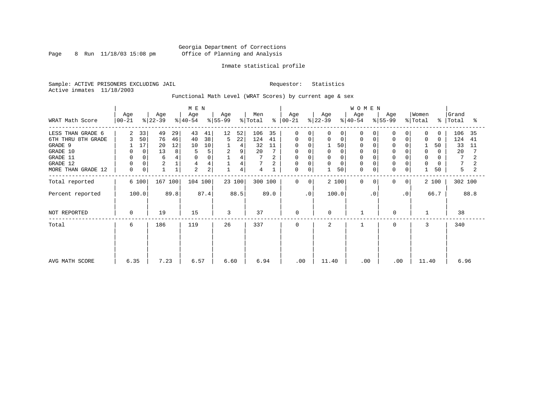Page 8 Run  $11/18/03$  15:08 pm

### Inmate statistical profile

Sample: ACTIVE PRISONERS EXCLUDING JAIL Requestor: Statistics Active inmates 11/18/2003

Functional Math Level (WRAT Scores) by current age & sex

|                    | M E N            |    |                  |      |                  |      |                  |        |                |      |                  |              |                  |             | WOMEN            |           |                            |             |                  |               |                |      |
|--------------------|------------------|----|------------------|------|------------------|------|------------------|--------|----------------|------|------------------|--------------|------------------|-------------|------------------|-----------|----------------------------|-------------|------------------|---------------|----------------|------|
| WRAT Math Score    | Age<br>$00 - 21$ |    | Age<br>$ 22-39 $ |      | Age<br>$ 40-54 $ |      | Age<br>$ 55-99 $ |        | Men<br>% Total | န္   | Age<br>$ 00-21 $ |              | Age<br>$ 22-39 $ |             | Age<br>$8 40-54$ |           | Age<br>$\frac{1}{6}$ 55-99 |             | Women<br>% Total | $\frac{8}{6}$ | Grand<br>Total | ႜ    |
| LESS THAN GRADE 6  | 2                | 33 | 49               | 29   | 43               | 41   | 12               | 52     | 106            | 35   | 0                | $\Omega$     | 0                | $\Omega$    | $\Omega$         |           |                            |             | 0                | $\Omega$      | 106            | 35   |
| 6TH THRU 8TH GRADE | 3                | 50 | 76               | 46   | 40               | 38   | 5                | 22     | 124            | 41   | 0                | 0            | 0                | $\mathbf 0$ | 0                |           |                            |             | 0                | $\Omega$      | 124            | 41   |
| GRADE 9            |                  | 17 | 20               | 12   | 10               | 10   |                  | 4      | 32             | 11   | 0                |              |                  | 50          | 0                |           |                            |             |                  | 50            | 33             | 11   |
| GRADE 10           |                  | 0  | 13               | 8    |                  | 5    | 2                | 9      | 20             |      | 0                |              |                  | $\Omega$    | 0                |           |                            |             | 0                | 0             | 20             |      |
| GRADE 11           |                  |    | 6                |      |                  |      |                  | 4      |                |      | $\Omega$         |              |                  | $\Omega$    |                  |           |                            |             | $\Omega$         |               | 7              |      |
| GRADE 12           |                  |    | $\sqrt{2}$       |      |                  |      |                  | 4      |                |      | 0                | 0            |                  | $\Omega$    | $\Omega$         |           |                            |             | $\mathbf 0$      |               |                |      |
| MORE THAN GRADE 12 | 0                | 0  |                  |      | 2                | 2    |                  | 4      | 4              |      | 0                | 0            |                  | 50          | $\mathbf 0$      | 0         | $\Omega$                   | $\mathbf 0$ |                  | 50            | 5              |      |
| Total reported     | 6 100            |    | 167 100          |      | 104 100          |      |                  | 23 100 | 300 100        |      | $\mathbf 0$      | $\mathbf{0}$ |                  | 2 100       | $\Omega$         | $\Omega$  | $\Omega$                   | 0           |                  | 2 100         | 302 100        |      |
| Percent reported   | 100.0            |    |                  | 89.8 |                  | 87.4 |                  | 88.5   |                | 89.0 |                  | $\cdot$ 0    |                  | 100.0       |                  | $\cdot$ 0 |                            | $\cdot$ 0   |                  | 66.7          |                | 88.8 |
| NOT REPORTED       | $\Omega$         |    | 19               |      | 15               |      | 3                |        | 37             |      | 0                |              | $\Omega$         |             |                  |           | 0                          |             |                  |               | 38             |      |
| Total              | 6                |    | 186              |      | 119              |      | 26               |        | 337            |      | $\mathbf 0$      |              | 2                |             |                  |           | 0                          |             | 3                |               | 340            |      |
|                    |                  |    |                  |      |                  |      |                  |        |                |      |                  |              |                  |             |                  |           |                            |             |                  |               |                |      |
|                    |                  |    |                  |      |                  |      |                  |        |                |      |                  |              |                  |             |                  |           |                            |             |                  |               |                |      |
| AVG MATH SCORE     | 6.35             |    | 7.23             |      | 6.57             |      | 6.60             |        | 6.94           |      | .00              |              | 11.40            |             | .00              |           | .00                        |             | 11.40            |               | 6.96           |      |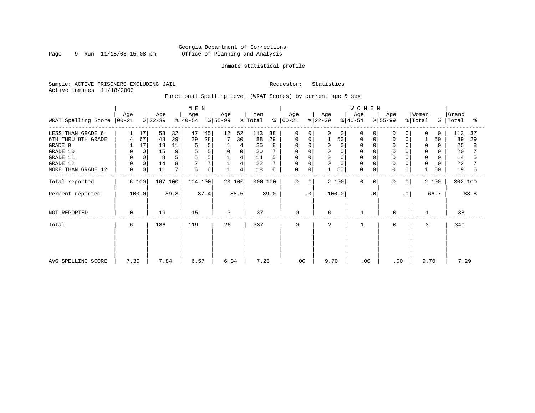Page 9 Run 11/18/03 15:08 pm

### Inmate statistical profile

Sample: ACTIVE PRISONERS EXCLUDING JAIL Requestor: Statistics Active inmates 11/18/2003

Functional Spelling Level (WRAT Scores) by current age & sex

|                             |             |       | M E N            |      |                  |      |                  |             |                |      | WOMEN           |                |                  |          |                  |           |                  |                |                  |       |                    |      |
|-----------------------------|-------------|-------|------------------|------|------------------|------|------------------|-------------|----------------|------|-----------------|----------------|------------------|----------|------------------|-----------|------------------|----------------|------------------|-------|--------------------|------|
| WRAT Spelling Score   00-21 | Age         |       | Age<br>$ 22-39 $ |      | Age<br>$8 40-54$ |      | Age<br>$ 55-99 $ |             | Men<br>% Total | ႜႜ   | Age<br>$ 00-21$ |                | Age<br>$ 22-39 $ |          | Age<br>$ 40-54 $ |           | Age<br>$ 55-99 $ |                | Women<br>% Total |       | Grand<br>%   Total | ႜ    |
| LESS THAN GRADE 6           |             | 17    | 53               | 32   | 47               | 45   | 12               | 52          | 113            | 38   | $\mathbf 0$     | <sup>o</sup>   | 0                | 0        | $\Omega$         |           | $\Omega$         | 0              | $\Omega$         | 0     | 113                | 37   |
| 6TH THRU 8TH GRADE          | 4           | 67    | 48               | 29   | 29               | 28   |                  | 30          | 88             | 29   | 0               |                |                  | 50       | 0                |           | 0                | 0              |                  | 50    | 89                 | 29   |
| GRADE 9                     |             | 17    | 18               | 11   |                  | 5    |                  | 4           | 25             |      | 0               |                |                  | $\Omega$ | $\Omega$         |           |                  |                | $\Omega$         |       | 25                 | 8    |
| GRADE 10                    | 0           | 0     | 15               | 9    | 5                | 5    | $\mathbf 0$      | $\mathbf 0$ | 20             |      | 0               |                | 0                |          |                  |           | $\mathbf 0$      |                | 0                | O     | 20                 |      |
| GRADE 11                    | $\mathbf 0$ |       | 8                | 5    |                  | 5    |                  | 4           | 14             |      |                 |                | $\Omega$         |          |                  |           |                  |                | $\Omega$         |       | 14                 |      |
| GRADE 12                    | 0           | 0     | 14               | 8    |                  | 7    |                  | 4           | 22             |      | 0               | $\Omega$       | 0                | $\Omega$ | $\Omega$         |           | 0                | 0              | 0                | 0     | 22                 |      |
| MORE THAN GRADE 12          | 0           | 0     | 11               | 7    | 6                | 6    |                  | 4           | 18             | 6    | 0               | 0              |                  | 50       | $\Omega$         | 0         | 0                | 0              |                  | 50    | 19                 | 6    |
| Total reported              |             | 6 100 | 167 100          |      | 104 100          |      |                  | 23 100      | 300 100        |      | $\mathbf 0$     | 0 <sup>1</sup> |                  | 2 100    | $\Omega$         | $\Omega$  | 0                | 0 <sup>1</sup> |                  | 2 100 | 302 100            |      |
| Percent reported            |             | 100.0 |                  | 89.8 |                  | 87.4 |                  | 88.5        |                | 89.0 |                 | $\cdot$ 0      |                  | 100.0    |                  | $\cdot$ 0 |                  | $\cdot$ 0      |                  | 66.7  |                    | 88.8 |
| NOT REPORTED                | 0           |       | 19               |      | 15               |      | 3                |             | 37             |      | $\mathbf 0$     |                | $\mathbf 0$      |          |                  |           | 0                |                |                  |       | 38                 |      |
| Total                       | 6           |       | 186              |      | 119              |      | 26               |             | 337            |      | $\mathbf 0$     |                | 2                |          |                  |           | 0                |                | 3                |       | 340                |      |
|                             |             |       |                  |      |                  |      |                  |             |                |      |                 |                |                  |          |                  |           |                  |                |                  |       |                    |      |
|                             |             |       |                  |      |                  |      |                  |             |                |      |                 |                |                  |          |                  |           |                  |                |                  |       |                    |      |
| AVG SPELLING SCORE          | 7.30        |       | 7.84             |      | 6.57             |      | 6.34             |             | 7.28           |      | .00             |                | 9.70             |          | .00              |           | .00              |                | 9.70             |       | 7.29               |      |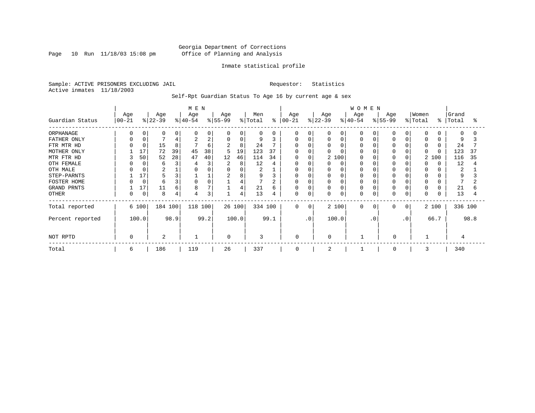Page 10 Run  $11/18/03$  15:08 pm

### Inmate statistical profile

Sample: ACTIVE PRISONERS EXCLUDING JAIL Requestor: Statistics Active inmates 11/18/2003

Self-Rpt Guardian Status To Age 16 by current age & sex

|                  |                   |             |                  |      |                  |      | <b>WOMEN</b>    |        |                |      |                   |             |                  |          |                  |           |                 |           |                  |           |                |      |
|------------------|-------------------|-------------|------------------|------|------------------|------|-----------------|--------|----------------|------|-------------------|-------------|------------------|----------|------------------|-----------|-----------------|-----------|------------------|-----------|----------------|------|
| Guardian Status  | Age<br>$ 00 - 21$ |             | Age<br>$ 22-39 $ |      | Age<br>$ 40-54 $ |      | Age<br>$ 55-99$ |        | Men<br>% Total | န္   | Age<br>$ 00 - 21$ |             | Age<br>$ 22-39 $ |          | Age<br>$8 40-54$ |           | Age<br>$ 55-99$ |           | Women<br>% Total | $\approx$ | Grand<br>Total | °    |
| ORPHANAGE        |                   |             | $\Omega$         | 0    |                  | 0    | $\Omega$        | 0      | $\Omega$       | O    | $\Omega$          |             |                  | $\Omega$ | O                |           |                 |           | $\Omega$         |           | $\Omega$       |      |
| FATHER ONLY      |                   | 0           |                  | 4    |                  | 2    | 0               | 0      | 9              | 3    | 0                 | 0           |                  | 0        | $\Omega$         |           |                 |           | 0                |           | 9              |      |
| FTR MTR HD       |                   | $\Omega$    | 15               | 8    |                  | 6    | 2               | 8      | 24             |      | O                 |             |                  | O        | <sup>0</sup>     |           |                 |           | $\Omega$         |           | 24             |      |
| MOTHER ONLY      |                   | 17          | 72               | 39   | 45               | 38   | 5               | 19     | 123            | 37   | O                 |             |                  |          |                  |           |                 |           | $\Omega$         |           | 123            | 37   |
| MTR FTR HD       | 3                 | 50          | 52               | 28   | 47               | 40   | 12              | 46     | 114            | 34   | 0                 |             |                  | 2 100    | $\Omega$         |           |                 |           | 2                | 100       | 116            | 35   |
| OTH FEMALE       |                   | $\Omega$    | 6                | 3    |                  | 3    | 2               | 8      | 12             | 4    | U                 |             |                  | $\Omega$ |                  |           |                 |           | <sup>0</sup>     |           | 12             | 4    |
| OTH MALE         |                   |             | 2                |      |                  |      |                 |        | 2              |      | U                 |             |                  |          | $\Omega$         |           |                 |           | 0                |           | 2              |      |
| STEP-PARNTS      |                   | 17          |                  | 3    |                  |      | $\overline{2}$  | 8      | 9              | 3    | 0                 |             |                  | 0        | 0                |           |                 |           | 0                |           | 9              |      |
| FOSTER HOME      |                   | $\mathbf 0$ | 6                | 3    |                  | 0    |                 | 4      |                |      | O                 |             |                  |          | $\Omega$         |           |                 |           | 0                |           |                |      |
| GRAND PRNTS      |                   | 17          | 11               | 6    | 8                |      |                 | 4      | 21             | 6    | 0                 |             |                  | 0        | 0                |           | $\Omega$        |           | 0                |           | 21             |      |
| <b>OTHER</b>     |                   | 0           | 8                | 4    |                  | 3    |                 | 4      | 13             | 4    | 0                 | $\mathbf 0$ | 0                | 0        | 0                |           | $\Omega$        | 0         | $\Omega$         |           | 13             |      |
| Total reported   |                   | 6 100       | 184 100          |      | 118 100          |      |                 | 26 100 | 334 100        |      | $\Omega$          | 0           |                  | 2 100    | $\Omega$         | $\Omega$  | $\Omega$        | $\Omega$  |                  | 2 100     | 336 100        |      |
| Percent reported |                   | 100.0       |                  | 98.9 |                  | 99.2 |                 | 100.0  |                | 99.1 |                   | . 0         |                  | 100.0    |                  | $\cdot$ 0 |                 | $\cdot$ 0 |                  | 66.7      |                | 98.8 |
| NOT RPTD         | 0                 |             | $\overline{2}$   |      |                  |      | $\Omega$        |        | 3              |      | $\Omega$          |             | 0                |          |                  |           | $\mathbf 0$     |           |                  |           |                |      |
| Total            | 6                 |             | 186              |      | 119              |      | 26              |        | 337            |      | 0                 |             | 2                |          |                  |           | $\mathbf 0$     |           | 3                |           | 340            |      |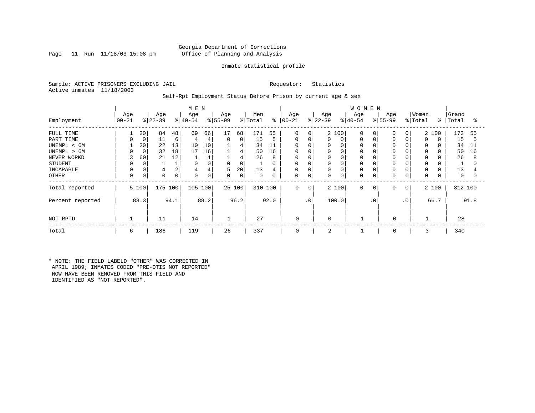### Georgia Department of Corrections Page 11 Run 11/18/03 15:08 pm Office of Planning and Analysis

### Inmate statistical profile

Sample: ACTIVE PRISONERS EXCLUDING JAIL Requestor: Statistics Active inmates 11/18/2003

### Self-Rpt Employment Status Before Prison by current age & sex

|                  |                    |          |                 |      | M E N            |      |                 |        |                |      |                      |     |                  |             | <b>WOMEN</b>     |           |                  |           |                  |          |                |      |
|------------------|--------------------|----------|-----------------|------|------------------|------|-----------------|--------|----------------|------|----------------------|-----|------------------|-------------|------------------|-----------|------------------|-----------|------------------|----------|----------------|------|
| Employment       | Age<br>$ 00 - 21 $ |          | Age<br>$ 22-39$ |      | Age<br>$ 40-54 $ |      | Age<br>$ 55-99$ |        | Men<br>% Total |      | Age<br>$8   00 - 21$ |     | Age<br>$ 22-39 $ |             | Age<br>$8 40-54$ |           | Age<br>$ 55-99 $ |           | Women<br>% Total | ៖        | Grand<br>Total | °≈   |
| FULL TIME        |                    | 20       | 84              | 48   | 69               | 66   | 17              | 68     | 171            | 55   | 0                    | 0   |                  | 2 100       | $\mathbf 0$      |           | $\Omega$         | 0         |                  | 2 100    | 173            | 55   |
| PART TIME        | 0                  | 0        | 11              | 6    | 4                | 4    | $\Omega$        | 0      | 15             | 5    | 0                    | 0   | 0                | 0           | 0                |           | $\Omega$         | $\Omega$  | $\Omega$         | $\Omega$ | 15             | 5    |
| UNEMPL < 6M      |                    | 20       | 22              | 13   | 10               | 10   |                 | 4      | 34             | 11   | $\mathbf 0$          |     | 0                | 0           | 0                |           |                  |           | 0                |          | 34             | 11   |
| UNEMPL > 6M      | 0                  | 0        | 32              | 18   | 17               | 16   |                 | 4      | 50             | 16   | $\mathbf 0$          |     | 0                | $\Omega$    | 0                |           |                  |           | <sup>0</sup>     |          | 50             | 16   |
| NEVER WORKD      | 3                  | 60       | 21              | 12   |                  |      |                 | 4      | 26             | 8    | $\mathbf 0$          |     | 0                |             | 0                |           |                  |           | $\Omega$         |          | 26             | 8    |
| <b>STUDENT</b>   | 0                  | 0        |                 |      | 0                | 0    | 0               | 0      | 1              | 0    | 0                    |     | 0                | $\Omega$    | 0                |           | $\Omega$         |           | 0                |          |                |      |
| INCAPABLE        |                    |          |                 | ∠    | 4                | 4    | 5               | 20     | 13             | 4    | 0                    |     | 0                | 0           | 0                |           | $\Omega$         | 0         | $\Omega$         |          | 13             |      |
| <b>OTHER</b>     | 0                  | $\Omega$ |                 |      | $\Omega$         | 0    | $\Omega$        | 0      | 0              | 0    | 0                    | 0   | 0                | $\mathbf 0$ | 0                |           | $\Omega$         | $\Omega$  | $\Omega$         |          | 0              | 0    |
| Total reported   |                    | 5 100    | 175             | 100  | 105 100          |      |                 | 25 100 | 310            | 100  | 0                    | 0   |                  | 2 100       | 0                | 0         | 0                | 0         |                  | 2 100    | 312 100        |      |
| Percent reported |                    | 83.3     |                 | 94.1 |                  | 88.2 |                 | 96.2   |                | 92.0 |                      | .0' |                  | 100.0       |                  | $\cdot$ 0 |                  | $\cdot$ 0 |                  | 66.7     |                | 91.8 |
| NOT RPTD         |                    |          | 11              |      | 14               |      | $\mathbf{1}$    |        | 27             |      | $\mathbf 0$          |     | $\Omega$         |             |                  |           | $\mathbf 0$      |           |                  |          | 28             |      |
| Total            | 6                  |          | 186             |      | 119              |      | 26              |        | 337            |      | 0                    |     | 2                |             |                  |           | 0                |           | 3                |          | 340            |      |

\* NOTE: THE FIELD LABELD "OTHER" WAS CORRECTED IN APRIL 1989; INMATES CODED "PRE-OTIS NOT REPORTED" NOW HAVE BEEN REMOVED FROM THIS FIELD AND IDENTIFIED AS "NOT REPORTED".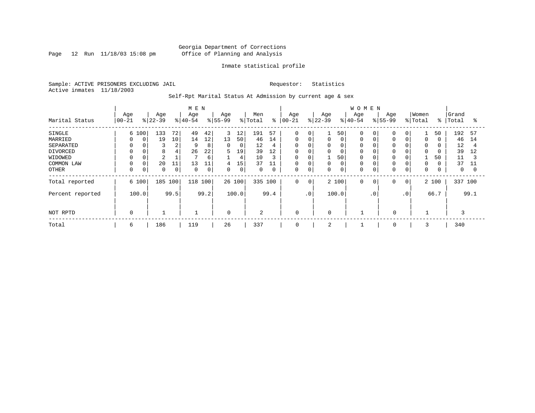Page 12 Run 11/18/03 15:08 pm

### Inmate statistical profile

Sample: ACTIVE PRISONERS EXCLUDING JAIL Requestor: Statistics Active inmates 11/18/2003

Self-Rpt Marital Status At Admission by current age & sex

|                                                                                     |                  |                        | M E N                                         |                               |                                |                                               |                             |                                               |                                                  |                                     | <b>WOMEN</b>                                                         |                              |                  |                                                       |                                                            |                |                                  |                    |                           |               |                                        |                                       |
|-------------------------------------------------------------------------------------|------------------|------------------------|-----------------------------------------------|-------------------------------|--------------------------------|-----------------------------------------------|-----------------------------|-----------------------------------------------|--------------------------------------------------|-------------------------------------|----------------------------------------------------------------------|------------------------------|------------------|-------------------------------------------------------|------------------------------------------------------------|----------------|----------------------------------|--------------------|---------------------------|---------------|----------------------------------------|---------------------------------------|
| Marital Status                                                                      | Age<br>$00 - 21$ |                        | Age<br>$8 22-39$                              |                               | Age<br>$ 40-54$                |                                               | Age<br>$8 55-99$            |                                               | Men<br>% Total                                   | ွေ                                  | Age<br>$ 00 - 21$                                                    |                              | Age<br>$ 22-39 $ |                                                       | Age<br>$8 40-54$                                           |                | Age<br>$\frac{8}{55-99}$         |                    | Women<br>% Total          | ွေ            | Grand<br>Total                         | °                                     |
| SINGLE<br>MARRIED<br>SEPARATED<br>DIVORCED<br>WIDOWED<br>COMMON LAW<br><b>OTHER</b> | 0<br>$\Omega$    | 6 100<br>$\Omega$<br>0 | 133<br>19<br>3<br>8<br>2<br>20<br>$\mathbf 0$ | 72<br>10<br>2<br>4<br>11<br>0 | 49<br>14<br>9<br>26<br>13<br>0 | 42<br>12<br>8<br>22<br>6<br>11<br>$\mathbf 0$ | 3<br>13<br>0<br>5<br>4<br>0 | 12<br>50<br>0<br>19<br>4<br>15<br>$\mathbf 0$ | 191<br>46<br>12<br>39<br>10<br>37<br>$\mathbf 0$ | 57<br>14<br>4<br>12<br>3<br>11<br>0 | $\mathbf 0$<br>$\Omega$<br>0<br>$\mathbf 0$<br>0<br>$\mathbf 0$<br>0 | 0<br>$\Omega$<br>$\mathbf 0$ | 0<br>0<br>0      | 50<br>0<br>0<br>0<br>50<br>$\mathbf 0$<br>$\mathbf 0$ | $\Omega$<br>0<br>0<br>0<br>0<br>$\mathbf 0$<br>$\mathbf 0$ | 0              | $\Omega$<br>$\Omega$<br>$\Omega$ | 0<br>0<br>$\Omega$ | $\Omega$<br>$\Omega$<br>0 | 50<br>50      | 192<br>46<br>12<br>39<br>11<br>37<br>0 | 57<br>14<br>4<br>12<br>11<br>$\Omega$ |
| Total reported<br>Percent reported                                                  |                  | 6 100<br>100.0         | 185                                           | 100<br>99.5                   | 118 100                        | 99.2                                          | 26 100                      | 100.0                                         | 335 100                                          | 99.4                                | $\mathbf 0$                                                          | 0<br>. 0                     |                  | 2 100<br>100.0                                        | $\mathbf 0$                                                | 0<br>$\cdot$ 0 | 0                                | 0<br>$\cdot$ 0     |                           | 2 100<br>66.7 | 337 100                                | 99.1                                  |
| NOT RPTD                                                                            | $\Omega$         |                        |                                               |                               |                                |                                               | $\mathbf 0$                 |                                               | $\overline{2}$                                   |                                     | $\mathbf 0$                                                          |                              | $\mathbf 0$      |                                                       |                                                            |                | $\mathbf 0$                      |                    |                           |               |                                        |                                       |
| Total                                                                               | 6                |                        | 186                                           |                               | 119                            |                                               | 26                          |                                               | 337                                              |                                     | 0                                                                    |                              | 2                |                                                       |                                                            |                | 0                                |                    | 3                         |               | 340                                    |                                       |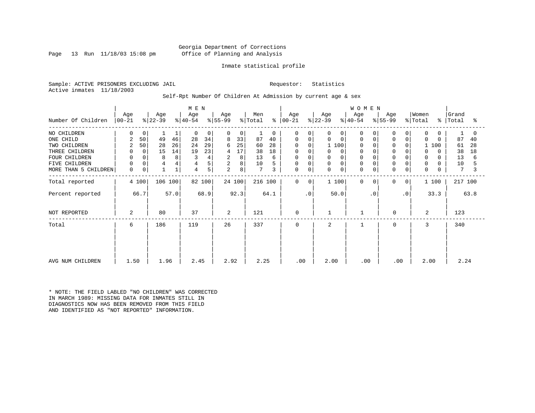### Georgia Department of Corrections Page 13 Run 11/18/03 15:08 pm Office of Planning and Analysis

### Inmate statistical profile

Sample: ACTIVE PRISONERS EXCLUDING JAIL Requestor: Statistics Active inmates 11/18/2003

### Self-Rpt Number Of Children At Admission by current age & sex

|                      | M E N          |             |           |      |           |        |                |        |                 |          |             |                |             |                | <b>WOMEN</b> |           |           |             |                |            |         |      |
|----------------------|----------------|-------------|-----------|------|-----------|--------|----------------|--------|-----------------|----------|-------------|----------------|-------------|----------------|--------------|-----------|-----------|-------------|----------------|------------|---------|------|
|                      | Age            |             | Age       |      | Age       |        | Age            |        | Men             |          | Age         |                | Age         |                | Age          |           | Age       |             | Women          |            | Grand   |      |
| Number Of Children   | $ 00-21$       |             | $ 22-39 $ |      | $ 40-54 $ |        | $ 55-99 $      |        | % Total         | န္       | $ 00 - 21$  |                | $ 22-39 $   |                | $ 40-54 $    |           | $ 55-99 $ |             | % Total        | န္ $\vert$ | Total   | °    |
| NO CHILDREN          |                | 0           |           | 1    | $\Omega$  | 0      |                | 0      |                 | $\Omega$ | 0           | $\Omega$       | 0           | $\overline{0}$ | $\Omega$     |           | $\Omega$  | 0           | $\mathbf 0$    |            |         | O    |
| ONE CHILD            |                | 50          | 49        | 46   | 28        | 34     | 8              | 33     | 87              | 40       | 0           | $\Omega$       | $\mathbf 0$ | 0              | $\Omega$     | $\Omega$  | $\Omega$  | $\mathbf 0$ | $\Omega$       | $\Omega$   | 87      | 40   |
| TWO CHILDREN         |                | 50          | 28        | 26   | 24        | 29     | 6              | 25     | 60              | 28       | $\Omega$    | $\Omega$       |             | 1 100          | $\Omega$     |           |           |             |                | 100        | 61      | 28   |
| THREE CHILDREN       |                | $\mathbf 0$ | 15        | 14   | 19        | 23     | 4              | 17     | 38              | 18       | 0           | 0              | $\Omega$    | $\Omega$       | 0            |           |           |             | 0              |            | 38      | 18   |
| <b>FOUR CHILDREN</b> | <sup>0</sup>   | 0           | 8         | 8    | 3         | 4      | $\overline{a}$ | 8      | 13              | 6        | 0           |                | $\Omega$    |                | $\Omega$     |           |           |             | 0              |            | 13      | 6    |
| FIVE CHILDREN        | 0              | 0           | 4         | 4    | 4         | 5      | 2              | 8      | 10              |          | 0           | $\Omega$       | 0           |                | $\mathbf 0$  |           |           |             | 0              |            | 10      | 5    |
| MORE THAN 5 CHILDREN | $\mathbf 0$    | 0           |           | 1    | 4         | 5      | $\overline{a}$ | 8      | $7\phantom{.0}$ | 3        | 0           | 0              | 0           | 0              | $\Omega$     | 0         | $\Omega$  | $\mathbf 0$ | $\mathbf 0$    |            | 7       |      |
| Total reported       |                | 4 100       | 106 100   |      |           | 82 100 |                | 24 100 | 216 100         |          | $\mathbf 0$ | $\overline{0}$ |             | 1 100          | $\Omega$     | $\Omega$  | 0         | 0           |                | 1 100      | 217 100 |      |
| Percent reported     |                | 66.7        |           | 57.0 |           | 68.9   |                | 92.3   |                 | 64.1     |             | $\cdot$ 0      |             | 50.0           |              | $\cdot$ 0 |           | $\cdot$ 0   |                | 33.3       |         | 63.8 |
| NOT REPORTED         | $\overline{a}$ |             | 80        |      | 37        |        | 2              |        | 121             |          | $\mathbf 0$ |                |             |                |              |           | $\Omega$  |             | $\overline{a}$ |            | 123     |      |
| Total                | 6              |             | 186       |      | 119       |        | 26             |        | 337             |          | 0           |                | 2           |                |              |           | $\Omega$  |             | 3              |            | 340     |      |
|                      |                |             |           |      |           |        |                |        |                 |          |             |                |             |                |              |           |           |             |                |            |         |      |
|                      |                |             |           |      |           |        |                |        |                 |          |             |                |             |                |              |           |           |             |                |            |         |      |
|                      |                |             |           |      |           |        |                |        |                 |          |             |                |             |                |              |           |           |             |                |            |         |      |
| AVG NUM CHILDREN     | 1.50           |             | 1.96      |      | 2.45      |        | 2.92           |        | 2.25            |          | .00         |                | 2.00        |                | .00          |           | .00       |             | 2.00           |            | 2.24    |      |

\* NOTE: THE FIELD LABLED "NO CHILDREN" WAS CORRECTED IN MARCH 1989: MISSING DATA FOR INMATES STILL IN DIAGNOSTICS NOW HAS BEEN REMOVED FROM THIS FIELD AND IDENTIFIED AS "NOT REPORTED" INFORMATION.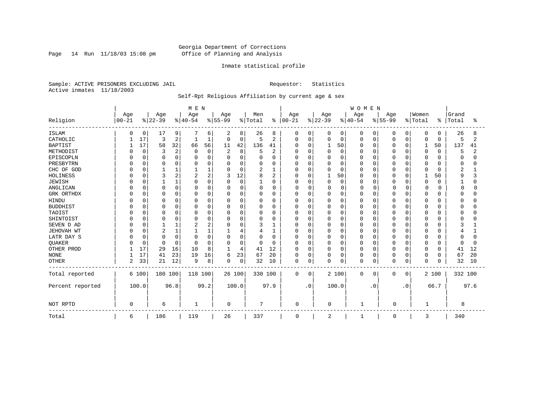Page 14 Run  $11/18/03$  15:08 pm

### Inmate statistical profile

Sample: ACTIVE PRISONERS EXCLUDING JAIL Requestor: Statistics Active inmates 11/18/2003

## Self-Rpt Religious Affiliation by current age & sex

|                  |           |              |                |                | MEN      |             |                |          |              |                |             |              |          |             | <b>WOMEN</b> |             |          |           |              |          |         |      |
|------------------|-----------|--------------|----------------|----------------|----------|-------------|----------------|----------|--------------|----------------|-------------|--------------|----------|-------------|--------------|-------------|----------|-----------|--------------|----------|---------|------|
|                  | Age       |              | Age            |                | Age      |             | Age            |          | Men          |                | Age         |              | Age      |             | Age          |             | Age      |           | Women        |          | Grand   |      |
| Religion         | $00 - 21$ |              | $ 22-39$       |                | $ 40-54$ |             | $ 55-99$       |          | % Total      | $\frac{1}{6}$  | $ 00 - 21$  |              | $ 22-39$ |             | $ 40-54 $    |             | $ 55-99$ |           | % Total      | ႜ        | Total   | °    |
| <b>ISLAM</b>     | O         | 0            | 17             | 9              |          | 6           | 2              | 8        | 26           | 8              | 0           | 0            | 0        | 0           | 0            | 0           | 0        | $\Omega$  | 0            | 0        | 26      |      |
| CATHOLIC         |           | 17           | 3              | 2              | 1        | 1           | 0              | 0        | 5            | $\overline{2}$ | $\Omega$    | $\mathbf 0$  | 0        | $\mathbf 0$ | 0            | 0           | 0        | $\Omega$  | 0            | 0        | 5       | 2    |
| <b>BAPTIST</b>   |           | 17           | 58             | 32             | 66       | 56          | 11             | 42       | 136          | 41             | $\Omega$    | 0            |          | 50          | 0            | 0           | 0        | $\Omega$  | 1            | 50       | 137     | 41   |
| METHODIST        |           | $\Omega$     | 3              | $\overline{2}$ | 0        | $\mathbf 0$ | $\overline{2}$ | 8        | 5            | $\overline{2}$ |             | $\Omega$     | 0        | $\Omega$    | 0            | 0           | 0        | $\Omega$  | $\mathbf 0$  | $\Omega$ | 5       | 2    |
| EPISCOPLN        |           |              | $\Omega$       | $\Omega$       |          | $\Omega$    | $\Omega$       | 0        | 0            | 0              |             | $\Omega$     | 0        | $\Omega$    | Ω            | 0           |          | O         | 0            | U        |         |      |
| PRESBYTRN        |           | <sup>0</sup> | 0              | $\Omega$       |          | O           | O              | 0        | O            | $\Omega$       |             | $\Omega$     | $\Omega$ | $\Omega$    | O            | $\Omega$    |          | O         | 0            | O        | U       |      |
| CHC OF GOD       |           | U            |                |                |          |             | $\Omega$       | 0        | 2            | 1              |             | $\Omega$     | 0        | $\cap$      | 0            | $\Omega$    | U        | $\Omega$  | $\Omega$     | U        | 2       |      |
| HOLINESS         |           |              | 3              |                | 2        | 2           | 3              | 12       | 8            | 2              | U           | $\Omega$     |          | 50          | 0            | 0           | U        | O         | $\mathbf{1}$ | 50       | q       |      |
| <b>JEWISH</b>    |           | $\Omega$     |                |                | O        | O           | $\Omega$       | $\Omega$ | $\mathbf{1}$ | 0              | U           | $\Omega$     | $\Omega$ | $\mathbf 0$ | O            | 0           | U        | O         | $\mathbf 0$  | $\Omega$ |         |      |
| ANGLICAN         |           | $\Omega$     | $\Omega$       | O              | O        | 0           | $\Omega$       | 0        | 0            | 0              | 0           | $\Omega$     | 0        | $\mathbf 0$ | 0            | 0           | O        | 0         | $\Omega$     |          |         |      |
| GRK ORTHDX       |           | 0            | $\Omega$       | O              | n        | 0           | O              | 0        | $\Omega$     | 0              | O           | 0            | 0        | $\Omega$    | O            | 0           | U        | $\Omega$  | $\Omega$     | U        |         |      |
| <b>HINDU</b>     |           |              | $\Omega$       | $\Omega$       |          | 0           | $\Omega$       | 0        | 0            | $\Omega$       |             | $\Omega$     | 0        | $\Omega$    | Ω            | 0           |          | $\Omega$  | $\Omega$     |          |         |      |
| <b>BUDDHIST</b>  |           |              | $\Omega$       | $\Omega$       |          | 0           | 0              | 0        | 0            | 0              |             | $\Omega$     | 0        | $\Omega$    | Ω            | 0           |          | $\Omega$  | $\Omega$     |          |         |      |
| TAOIST           |           |              | $\Omega$       | O              | €        | O           | O              | 0        | 0            | 0              |             | $\Omega$     | $\Omega$ | $\cap$      | 0            | 0           |          | $\Omega$  | $\Omega$     | U        |         |      |
| SHINTOIST        |           |              | $\Omega$       |                | O        | O           | $\Omega$       | 0        | O            | U              |             | $\Omega$     | O        | ∩           | O            | $\Omega$    | U        | $\Omega$  | $\Omega$     | U        |         |      |
| SEVEN D AD       |           |              |                |                |          | 2           | $\Omega$       | 0        | 3            | 1              | n           | $\Omega$     | $\Omega$ | ∩           | 0            | 0           | U        | $\Omega$  | $\Omega$     |          |         |      |
| JEHOVAH WT       |           | O            | $\overline{2}$ |                |          |             |                | 4        | 4            | 1              | U           | $\mathbf 0$  | 0        | $\Omega$    | 0            | 0           | U        | n         | 0            |          |         |      |
| LATR DAY S       |           |              | $\Omega$       | $\Omega$       | O        | O           | $\Omega$       | 0        | 0            | 0              |             | $\Omega$     | 0        | $\Omega$    | 0            | 0           |          | O         | 0            |          |         |      |
| <b>OUAKER</b>    |           | $\Omega$     | $\Omega$       | $\Omega$       | $\Omega$ | $\Omega$    | $\Omega$       | 0        | $\Omega$     | $\Omega$       | U           | 0            | 0        | $\Omega$    | 0            | 0           | U        | $\Omega$  | 0            | 0        |         |      |
| OTHER PROD       |           | 17           | 29             | 16             | 10       | 8           | 1              | 4        | 41           | 12             | $\Omega$    | $\Omega$     | $\Omega$ | $\Omega$    | 0            | $\Omega$    | U        | $\Omega$  | $\mathbf 0$  | O        | 41      | 12   |
| <b>NONE</b>      |           | 17           | 41             | 23             | 19       | 16          | 6              | 23       | 67           | 20             | $\Omega$    | $\mathbf{0}$ | 0        | $\mathbf 0$ | 0            | $\mathbf 0$ | 0        | 0         | $\mathbf 0$  | 0        | 67      | 20   |
| <b>OTHER</b>     | 2         | 33           | 21             | 12             | 9        | 8           | $\Omega$       | 0        | 32           | 10             | $\Omega$    | 0            | $\Omega$ | 0           | 0            | 0           | 0        | 0         | $\mathbf 0$  | 0        | 32      | 10   |
| Total reported   |           | 6 100        | 180 100        |                | 118 100  |             | 26 100         |          | 330 100      |                | $\mathbf 0$ | 0            |          | 2 100       | 0            | 0           | 0        | 0         |              | 2 100    | 332 100 |      |
| Percent reported |           | 100.0        |                | 96.8           |          | 99.2        |                | 100.0    |              | 97.9           |             | $\cdot$ 0    |          | 100.0       |              | . 0         |          | $\cdot$ 0 |              | 66.7     |         | 97.6 |
| NOT RPTD         | $\Omega$  |              | 6              |                |          |             | 0              |          | 7            |                | $\Omega$    |              | 0        |             | $\mathbf{1}$ |             | $\Omega$ |           |              |          | 8       |      |
| Total            | 6         |              | 186            |                | 119      |             | 26             |          | 337          |                | 0           |              | 2        |             |              |             | 0        |           | 3            |          | 340     |      |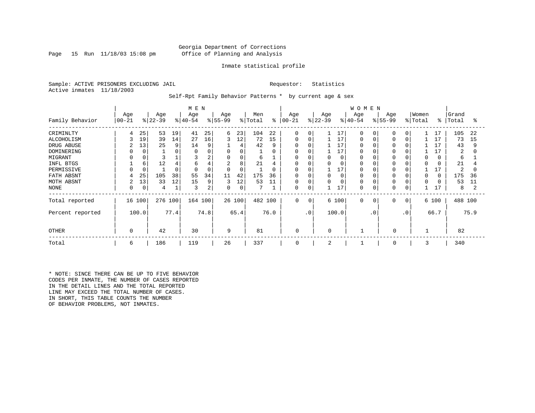### Georgia Department of Corrections Page 15 Run 11/18/03 15:08 pm Office of Planning and Analysis

### Inmate statistical profile

Sample: ACTIVE PRISONERS EXCLUDING JAIL **Requestor:** Statistics Active inmates 11/18/2003

Self-Rpt Family Behavior Patterns \* by current age & sex

|                  |           |             |           |      | M E N     |          |          |          |         |      |             |              |           |          | <b>WOMEN</b> |           |             |              |          |       |         |      |
|------------------|-----------|-------------|-----------|------|-----------|----------|----------|----------|---------|------|-------------|--------------|-----------|----------|--------------|-----------|-------------|--------------|----------|-------|---------|------|
|                  | Age       |             | Age       |      | Age       |          | Age      |          | Men     |      | Age         |              | Age       |          | Age          |           | Age         |              | Women    |       | Grand   |      |
| Family Behavior  | $00 - 21$ |             | $ 22-39 $ |      | $ 40-54 $ |          | $ 55-99$ |          | % Total | ៖    | $ 00 - 21 $ |              | $ 22-39 $ |          | $8 40-54$    |           | $ 55-99$    |              | % Total  | ៖     | Total   | °    |
| CRIMINLTY        | 4         | 25          | 53        | 19   | 41        | 25       | 6        | 23       | 104     | 22   | $\mathbf 0$ | 0            |           | 17       | $\Omega$     | 0         |             | $\Omega$     |          | 17    | 105     | 22   |
| ALCOHOLISM       | 3         | 19          | 39        | 14   | 27        | 16       | 3        | 12       | 72      | 15   | 0           | 0            |           | 17       | 0            |           |             | $\Omega$     |          | 17    | 73      | 15   |
| DRUG ABUSE       |           | 13          | 25        | 9    | 14        | 9        |          | 4        | 42      | 9    | $\Omega$    |              |           | 17       | O            |           |             |              |          | 17    | 43      | 9    |
| DOMINERING       |           |             |           |      | ∩         |          | 0        | 0        |         | 0    | $\Omega$    |              |           | 17       | 0            |           |             |              |          | 17    | 2       |      |
| MIGRANT          |           |             |           |      |           | 2        | 0        | 0        | 6       |      | 0           |              | 0         | 0        | 0            |           |             |              | 0        |       | 6       |      |
| INFL BTGS        |           | 6           | 12        |      | 6         |          | 2        | 8        | 21      | 4    | 0           |              |           | 0        | 0            |           |             |              |          |       | 21      |      |
| PERMISSIVE       |           |             |           |      | ∩         | $\Omega$ | 0        | $\Omega$ |         | 0    | 0           |              |           | 17       | 0            |           |             |              |          | 17    | 2       | U    |
| FATH ABSNT       | 4         | 25          | 105       | 38   | 55        | 34       | 11       | 42       | 175     | 36   | $\Omega$    |              |           | 0        | $\Omega$     |           |             |              | $\Omega$ |       | 175     | 36   |
| MOTH ABSNT       | 2         | 13          | 33        | 12   | 15        | 9        | 3        | 12       | 53      | 11   | 0           |              |           | $\Omega$ | $\Omega$     |           |             |              |          |       | 53      | 11   |
| NONE             | 0         | $\mathbf 0$ | 4         |      | 3         | 2        | 0        | 0        |         |      | 0           | 0            |           | 17       | 0            |           | $\Omega$    | 0            |          |       | 8       |      |
| Total reported   | 16        | 100         | 276 100   |      | 164 100   |          |          | 26 100   | 482 100 |      | $\mathbf 0$ | $\mathbf{0}$ |           | 6 100    | $\mathbf 0$  | 0         | $\Omega$    | $\mathbf{0}$ |          | 6 100 | 488 100 |      |
| Percent reported | 100.0     |             |           | 77.4 |           | 74.8     |          | 65.4     |         | 76.0 |             | $\cdot$ 0    |           | 100.0    |              | $\cdot$ 0 |             | $\cdot$ 0    |          | 66.7  |         | 75.9 |
| <b>OTHER</b>     | 0         |             | 42        |      | 30        |          | 9        |          | 81      |      | 0           |              | 0         |          |              |           | 0           |              |          |       | 82      |      |
| Total            | 6         |             | 186       |      | 119       |          | 26       |          | 337     |      | 0           |              | 2         |          |              |           | $\mathbf 0$ |              | 3        |       | 340     |      |

\* NOTE: SINCE THERE CAN BE UP TO FIVE BEHAVIOR CODES PER INMATE, THE NUMBER OF CASES REPORTED IN THE DETAIL LINES AND THE TOTAL REPORTED LINE MAY EXCEED THE TOTAL NUMBER OF CASES. IN SHORT, THIS TABLE COUNTS THE NUMBER OF BEHAVIOR PROBLEMS, NOT INMATES.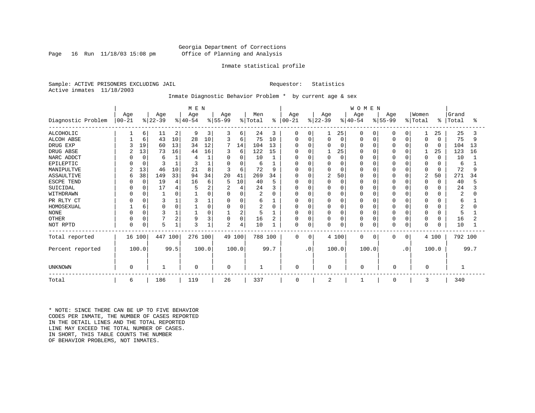### Georgia Department of Corrections Page 16 Run 11/18/03 15:08 pm Office of Planning and Analysis

### Inmate statistical profile

Sample: ACTIVE PRISONERS EXCLUDING JAIL Requestor: Statistics Active inmates 11/18/2003

Inmate Diagnostic Behavior Problem \* by current age & sex

|                    |           |          |           |      | M E N     |                   |                |             |                |      |               |             |           |          | <b>WOMEN</b> |             |           |           |             |              |         |      |
|--------------------|-----------|----------|-----------|------|-----------|-------------------|----------------|-------------|----------------|------|---------------|-------------|-----------|----------|--------------|-------------|-----------|-----------|-------------|--------------|---------|------|
|                    | Age       |          | Age       |      | Age       |                   | Age            |             | Men            |      | Age           |             | Age       |          | Age          |             | Age       |           | Women       |              | Grand   |      |
| Diagnostic Problem | $00 - 21$ |          | $ 22-39 $ |      | $ 40-54 $ |                   | $ 55-99$       |             | % Total        |      | $8   00 - 21$ |             | $ 22-39 $ |          | $ 40-54 $    |             | $8 55-99$ |           | % Total     | $\approx$    | Total   | ႜ    |
| <b>ALCOHOLIC</b>   |           | 6        | 11        | 2    | 9         | 3                 | 3              | 6           | 24             | 3    | 0             | 0           |           | 25       |              | 0           |           | 0         |             | 25           | 25      |      |
| <b>ALCOH ABSE</b>  |           | 6        | 43        | 10   | 28        | 10                | 3              | 6           | 75             | 10   | $\Omega$      | 0           |           | 0        | $\Omega$     | 0           | 0         | $\Omega$  | 0           | 0            | 75      | 9    |
| DRUG EXP           |           | 19       | 60        | 13   | 34        | $12 \overline{ }$ |                | 14          | 104            | 13   |               | $\Omega$    |           | $\Omega$ | $\Omega$     | $\Omega$    |           | $\Omega$  | 0           | $\Omega$     | 104     | 13   |
| DRUG ABSE          |           | 13       | 73        | 16   | 44        | 16                | 3              | 6           | 122            | 15   |               | $\Omega$    |           | 25       |              | $\Omega$    |           | $\cap$    |             | 25           | 123     | 16   |
| NARC ADDCT         |           | $\Omega$ | 6         |      |           |                   | $\Omega$       | 0           | 10             |      |               | $\Omega$    |           | $\Omega$ |              | $\Omega$    |           | $\cap$    | 0           | $\Omega$     | 10      |      |
| EPILEPTIC          |           | $\Omega$ |           |      | Р         |                   | O              | 0           | 6              |      | <sup>0</sup>  | $\Omega$    |           | $\Omega$ |              | $\Omega$    |           |           | O           | $\Omega$     | 6       |      |
| MANIPULTVE         |           | 13       | 46        | 10   | 21        | 8                 | 3              | 6           | 72             | 9    |               | $\Omega$    |           | $\Omega$ |              | $\Omega$    |           |           | 0           | 0            | 72      | 9    |
| <b>ASSAULTIVE</b>  | 6         | 38       | 149       | 33   | 94        | 34                | 20             | 41          | 269            | 34   | $\Omega$      | $\Omega$    | 2         | 50       |              | $\Omega$    |           | $\Omega$  | 2           | 50           | 271     | 34   |
| ESCPE TEND         |           | $\Omega$ | 19        |      | 16        | 6                 | 5              | 10          | 40             | 5    | $\Omega$      | $\Omega$    |           | $\Omega$ |              | $\Omega$    |           | ∩         | 0           | $\Omega$     | 40      |      |
| SUICIDAL           |           | 0        | 17        |      |           |                   | 2              | 4           | 24             | 3    | <sup>0</sup>  | $\Omega$    |           | $\Omega$ |              | $\Omega$    |           |           | O           | $\Omega$     | 24      |      |
| WITHDRAWN          |           |          |           |      |           |                   | $\Omega$       | 0           | $\overline{2}$ | O    | O             | $\Omega$    |           | $\Omega$ |              | $\Omega$    |           | $\cap$    | O           | $\Omega$     | 2       |      |
| PR RLTY CT         |           |          | 3         |      |           |                   | 0              | 0           | 6              |      | 0             | $\Omega$    |           | 0        | $\Omega$     | $\Omega$    | O         | $\Omega$  | $\Omega$    | $\Omega$     | 6       |      |
| HOMOSEXUAL         |           | 6        |           |      |           |                   | $\Omega$       | 0           |                | O    | <sup>0</sup>  | $\Omega$    |           | 0        |              | $\Omega$    |           | $\Omega$  | $\Omega$    | <sup>0</sup> |         |      |
| <b>NONE</b>        |           | $\Omega$ | 3         |      |           |                   |                | 2           | 5              |      | $\Omega$      | $\Omega$    |           | $\Omega$ | $\Omega$     | $\Omega$    | 0         | $\Omega$  | $\Omega$    | $\Omega$     | 5       |      |
| <b>OTHER</b>       | $\Omega$  | $\Omega$ |           | 2    | 9         |                   | 0              | $\mathbf 0$ | 16             |      | 0             | $\Omega$    |           | 0        | $\Omega$     | $\mathbf 0$ | 0         | $\Omega$  | 0           | $\Omega$     | 16      |      |
| NOT RPTD           | $\Omega$  | 0        | 5         |      | 3         |                   | $\overline{2}$ | 4           | 10             |      | $\mathbf 0$   | $\mathbf 0$ |           | 0        | $\Omega$     | $\mathbf 0$ | 0         | 0         | $\mathbf 0$ | 0            | 10      |      |
| Total reported     | 16 100    |          | 447 100   |      | 276 100   |                   |                | 49 100      | 788 100        |      | $\Omega$      | 0           |           | 4 100    | 0            | $\Omega$    | $\Omega$  | $\Omega$  |             | 4 100        | 792 100 |      |
| Percent reported   |           | 100.0    |           | 99.5 |           | 100.0             |                | 100.0       |                | 99.7 |               | $\cdot$ 0   |           | 100.0    | 100.0        |             |           | $\cdot$ 0 |             | 100.0        |         | 99.7 |
| <b>UNKNOWN</b>     | 0         |          |           |      | 0         |                   | $\mathbf 0$    |             |                |      | $\mathbf 0$   |             | 0         |          | $\Omega$     |             | 0         |           | 0           |              |         |      |
| Total              | 6         |          | 186       |      | 119       |                   | 26             |             | 337            |      | 0             |             | 2         |          | 1            |             | 0         |           | 3           |              | 340     |      |

\* NOTE: SINCE THERE CAN BE UP TO FIVE BEHAVIOR CODES PER INMATE, THE NUMBER OF CASES REPORTED IN THE DETAIL LINES AND THE TOTAL REPORTED LINE MAY EXCEED THE TOTAL NUMBER OF CASES. IN SHORT, THIS TABLE COUNTS THE NUMBER OF BEHAVIOR PROBLEMS, NOT INMATES.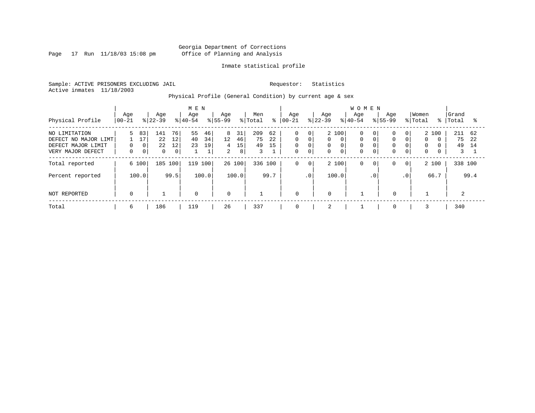Page 17 Run 11/18/03 15:08 pm

### Inmate statistical profile

Sample: ACTIVE PRISONERS EXCLUDING JAIL Requestor: Statistics Active inmates 11/18/2003

Physical Profile (General Condition) by current age & sex

|                                                                                  |                     |                              |                             |                                  | M E N            |                                |                                |                     |                      |                |                                                          |                             |                             |                              | <b>WOMEN</b>                      |                      |                                              |                                                   |                                       |          |                      |                 |
|----------------------------------------------------------------------------------|---------------------|------------------------------|-----------------------------|----------------------------------|------------------|--------------------------------|--------------------------------|---------------------|----------------------|----------------|----------------------------------------------------------|-----------------------------|-----------------------------|------------------------------|-----------------------------------|----------------------|----------------------------------------------|---------------------------------------------------|---------------------------------------|----------|----------------------|-----------------|
| Physical Profile                                                                 | Age<br>$00 - 21$    |                              | Age<br>$ 22-39 $            |                                  | Age<br>$8 40-54$ |                                | Age<br>$8155 - 99$             |                     | Men<br>% Total       | ៖              | Age<br>$ 00-21$                                          |                             | Age<br>$ 22-39 $            |                              | Age<br>$8 40-54$                  | $8155 - 99$          | Aqe                                          |                                                   | Women<br>% Total                      | ႜႜ       | Grand<br>Total       | °≈              |
| NO LIMITATION<br>DEFECT NO MAJOR LIMT<br>DEFECT MAJOR LIMIT<br>VERY MAJOR DEFECT | 5.<br>0<br>$\Omega$ | 83<br>17<br>0<br>$\mathbf 0$ | 141<br>22<br>22<br>$\Omega$ | 76<br>12<br>12<br>0 <sup>1</sup> | 55<br>40<br>23   | 46<br>34<br>19<br>$\mathbf{1}$ | 8<br>12<br>4<br>$\overline{2}$ | 31<br>46<br>15<br>8 | 209<br>75<br>49<br>3 | 62<br>22<br>15 | $\mathbf 0$<br>$\mathbf 0$<br>$\mathbf 0$<br>$\mathbf 0$ | 0<br>0<br>0<br>$\mathbf{0}$ | 2 100<br>0<br>0<br>$\Omega$ | $\Omega$<br>0<br>$\mathbf 0$ | 0<br>$\mathbf 0$<br>0<br>$\Omega$ | 0  <br>$\Omega$<br>0 | $\Omega$<br>$\Omega$<br>$\Omega$<br>$\Omega$ | 0 <sup>1</sup><br>$\Omega$<br>0<br>$\overline{0}$ | 2 100<br>$\Omega$<br>0<br>$\mathbf 0$ | $\Omega$ | 211<br>75<br>49<br>3 | 62<br>2.2<br>14 |
| Total reported                                                                   |                     | 6 100                        | 185 100                     |                                  | 119              | 100                            | 26 100                         |                     | 336 100              |                | $\mathbf 0$                                              | $\mathbf 0$                 | 2 100                       |                              | 0                                 | 0 <sub>1</sub>       | 0                                            | $\mathbf{0}$                                      | 2 100                                 |          | 338 100              |                 |
| Percent reported                                                                 |                     | 100.0                        |                             | 99.5                             |                  | 100.0                          |                                | 100.0               |                      | 99.7           |                                                          | .0                          | 100.0                       |                              |                                   | $\cdot$ 0            |                                              | $\cdot$ 0                                         |                                       | 66.7     |                      | 99.4            |
| NOT REPORTED                                                                     | $\mathbf 0$         |                              |                             |                                  | $\mathbf 0$      |                                | $\mathbf 0$                    |                     |                      |                | $\mathbf 0$                                              |                             | $\mathbf 0$                 |                              |                                   |                      | $\mathbf 0$                                  |                                                   |                                       |          | 2                    |                 |
| Total                                                                            | 6                   |                              | 186                         |                                  | 119              |                                | 26                             |                     | 337                  |                | 0                                                        |                             | 2                           |                              |                                   |                      | 0                                            |                                                   |                                       |          | 340                  |                 |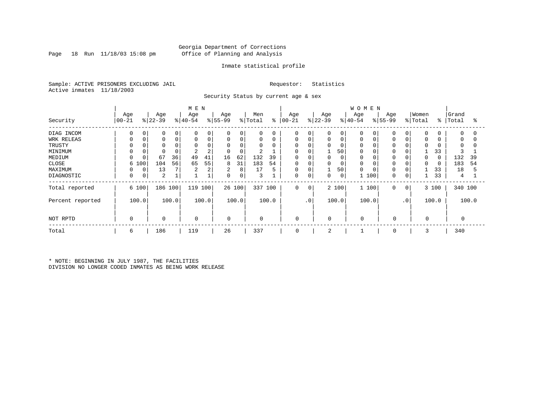### Georgia Department of Corrections Page 18 Run 11/18/03 15:08 pm Office of Planning and Analysis

### Inmate statistical profile

Sample: ACTIVE PRISONERS EXCLUDING JAIL Requestor: Statistics Active inmates 11/18/2003

Security Status by current age & sex

|                  |             |       |                |       | M E N       |       |             |          |             |       |             |             |           |                | <b>WOMEN</b> |               |           |              |             |       |             |       |
|------------------|-------------|-------|----------------|-------|-------------|-------|-------------|----------|-------------|-------|-------------|-------------|-----------|----------------|--------------|---------------|-----------|--------------|-------------|-------|-------------|-------|
|                  | Age         |       | Age            |       | Age         |       | Age         |          | Men         |       | Age         |             | Age       |                | Age          |               | Age       |              | Women       |       | Grand       |       |
| Security         | $ 00 - 21$  |       | $ 22-39$       |       | $ 40-54$    |       | $ 55-99$    |          | % Total     | ి     | $ 00 - 21$  |             | $ 22-39 $ |                | $ 40-54$     |               | $8 55-99$ |              | % Total     | ៖     | Total       | န္    |
| DIAG INCOM       | $\Omega$    | 0     | 0              | 0     | $\Omega$    | 0     | $\Omega$    | 0        | 0           | 0     | $\mathbf 0$ | 0           | 0         | $\overline{0}$ | $\Omega$     | $\Omega$      | 0         | $\Omega$     | 0           | 0     | $\mathbf 0$ |       |
| WRK RELEAS       | $\Omega$    | 0     |                | 0     | $\mathbf 0$ | 0     | 0           | 0        | 0           | 0     | 0           | $\mathbf 0$ | 0         | $\mathbf 0$    | 0            | 0             | 0         | $\Omega$     | 0           | 0     | 0           |       |
| TRUSTY           |             |       |                |       |             |       | $\Omega$    | $\Omega$ | 0           |       | $\Omega$    | 0           |           | $\Omega$       | $\Omega$     | C             |           |              | $\Omega$    |       | 0           |       |
| MINIMUM          | $\Omega$    |       |                |       | 2           | 2     | $\mathbf 0$ | 0        | 2           |       | $\Omega$    | $\Omega$    |           | 50             | 0            | C             |           |              |             | 33    | 3           |       |
| MEDIUM           | $\Omega$    |       | 67             | 36    | 49          | 41    | 16          | 62       | 132         | 39    | $\mathbf 0$ |             | $\Omega$  | $\mathbf 0$    | $\Omega$     | C             | 0         | $\Omega$     | 0           | 0     | 132         | 39    |
| CLOSE            |             | 6 100 | 104            | 56    | 65          | 55    | 8           | 31       | 183         | 54    | 0           | 0           | 0         | 0              | $\Omega$     | C             | 0         |              | $\Omega$    | 0     | 183         | 54    |
| MAXIMUM          | 0           | 0     | 13             |       | 2           | 2     | 2           | 8        | 17          | 5     | $\mathbf 0$ | $\mathbf 0$ |           | 50             | 0            | $\mathcal{C}$ |           | $\mathbf 0$  |             | 33    | 18          |       |
| DIAGNOSTIC       | $\mathbf 0$ | 0     | $\overline{2}$ |       |             |       | $\mathbf 0$ | 0        | 3           |       | $\mathbf 0$ | $\mathbf 0$ | 0         | 0 <sup>1</sup> |              | 100           | 0         | 0            |             | 33    | 4           |       |
| Total reported   |             | 6 100 | 186 100        |       | 119         | 100   |             | 26 100   | 337         | 100   | $\mathbf 0$ | $\circ$     |           | 2 100          |              | 1 100         | 0         | $\mathbf{0}$ |             | 3 100 | 340 100     |       |
| Percent reported |             | 100.0 |                | 100.0 |             | 100.0 |             | 100.0    |             | 100.0 |             | $\cdot$ 0   |           | 100.0          |              | 100.0         |           | $\cdot$ 0    |             | 100.0 |             | 100.0 |
| NOT RPTD         | $\Omega$    |       | $\mathbf 0$    |       | $\mathbf 0$ |       | 0           |          | $\mathbf 0$ |       | $\mathbf 0$ |             | 0         |                | $\mathbf 0$  |               | $\Omega$  |              | $\mathbf 0$ |       | 0           |       |
| Total            | 6           |       | 186            |       | 119         |       | 26          |          | 337         |       | $\mathbf 0$ |             | 2         |                |              |               | $\Omega$  |              | 3           |       | 340         |       |

\* NOTE: BEGINNING IN JULY 1987, THE FACILITIES DIVISION NO LONGER CODED INMATES AS BEING WORK RELEASE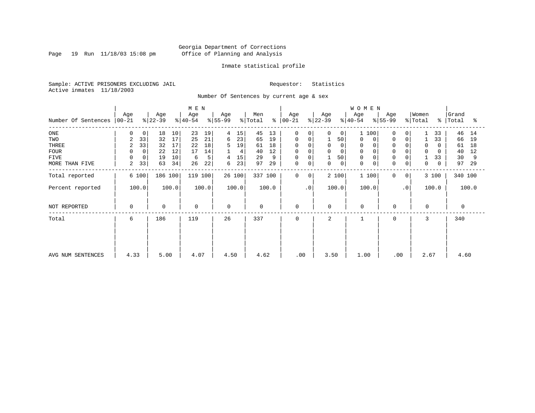Page 19 Run 11/18/03 15:08 pm

### Inmate statistical profile

Sample: ACTIVE PRISONERS EXCLUDING JAIL Requestor: Statistics Active inmates 11/18/2003

Number Of Sentences by current age & sex

|                     |                 |             |                  |       | M E N            |       |                  |        |                |         |                  |           |                  |    | WOMEN                      |                  |                            |                  |             |                |       |
|---------------------|-----------------|-------------|------------------|-------|------------------|-------|------------------|--------|----------------|---------|------------------|-----------|------------------|----|----------------------------|------------------|----------------------------|------------------|-------------|----------------|-------|
| Number Of Sentences | Age<br>$ 00-21$ |             | Age<br>$ 22-39 $ |       | Age<br>$ 40-54 $ |       | Age<br>$ 55-99 $ |        | Men<br>% Total | ႜ       | Age<br>$ 00-21 $ |           | Age<br>$ 22-39 $ |    | Age<br>$ 40-54 $           | Age<br>$ 55-99 $ |                            | Women<br>% Total | $\approx$ 1 | Grand<br>Total | ႜ     |
|                     |                 |             |                  |       |                  |       |                  |        |                |         |                  |           |                  |    |                            |                  |                            |                  |             |                |       |
| ONE                 | $\Omega$        | 0           | 18               | 10    | 23               | 19    | 4                | 15     | 45             | 13      | 0                | 0         | 0                | 0  | 1 100                      |                  | $\Omega$<br>0              |                  | 33          | 46             | 14    |
| TWO                 | 2               | 33          | 32               | 17    | 25               | 21    | 6                | 23     | 65             | 19      | 0                |           |                  | 50 | 0                          |                  | 0<br>0                     |                  | 33          | 66             | 19    |
| THREE               | 2               | 33          | 32               | 17    | 22               | 18    | 5                | 19     | 61             | 18      | 0                |           | $\mathbf 0$      |    | 0                          |                  | $\Omega$                   | $\Omega$         | 0           | 61             | 18    |
| <b>FOUR</b>         | 0               | $\mathbf 0$ | 22               | 12    | 17               | 14    |                  | 4      | 40             | 12      | $\mathbf 0$      |           | $\Omega$         |    | $\Omega$                   |                  |                            |                  | 0           | 40             | 12    |
| FIVE                | $\Omega$        | 0           | 19               | 10    | 6                | 5     |                  | 15     | 29             | 9       | 0                |           |                  | 50 | 0                          |                  | $\Omega$                   |                  | 33          | 30             | 9     |
| MORE THAN FIVE      | 2               | 33          | 63               | 34    | 26               | 22    | 6                | 23     | 97             | 29      | $\mathsf 0$      |           | $\mathbf 0$      | 0  | $\mathbf 0$<br>$\mathbf 0$ |                  | $\Omega$<br>0              | 0                | 0           | 97             | 29    |
| Total reported      |                 | 6 100       | 186 100          |       | 119 100          |       |                  | 26 100 |                | 337 100 | $\Omega$         | $\Omega$  | 2 100            |    | 1 100                      |                  | $\Omega$<br>0 <sup>1</sup> |                  | 3 100       | 340 100        |       |
| Percent reported    | 100.0           |             |                  | 100.0 |                  | 100.0 |                  | 100.0  |                | 100.0   |                  | $\cdot$ 0 | 100.0            |    | 100.0                      |                  | $\cdot$ 0                  |                  | 100.0       |                | 100.0 |
| NOT REPORTED        | $\mathbf 0$     |             | $\Omega$         |       | $\mathbf 0$      |       | $\mathbf 0$      |        | $\mathbf 0$    |         | $\mathbf 0$      |           | $\mathbf 0$      |    | $\Omega$                   |                  | $\mathbf 0$                | $\Omega$         |             | $\Omega$       |       |
| Total               | 6               |             | 186              |       | 119              |       | 26               |        | 337            |         | $\Omega$         |           | 2                |    |                            |                  | $\Omega$                   | 3                |             | 340            |       |
|                     |                 |             |                  |       |                  |       |                  |        |                |         |                  |           |                  |    |                            |                  |                            |                  |             |                |       |
|                     |                 |             |                  |       |                  |       |                  |        |                |         |                  |           |                  |    |                            |                  |                            |                  |             |                |       |
| AVG NUM SENTENCES   | 4.33            |             | 5.00             |       | 4.07             |       | 4.50             |        | 4.62           |         | .00.             |           | 3.50             |    | 1.00                       |                  | .00                        |                  | 2.67        | 4.60           |       |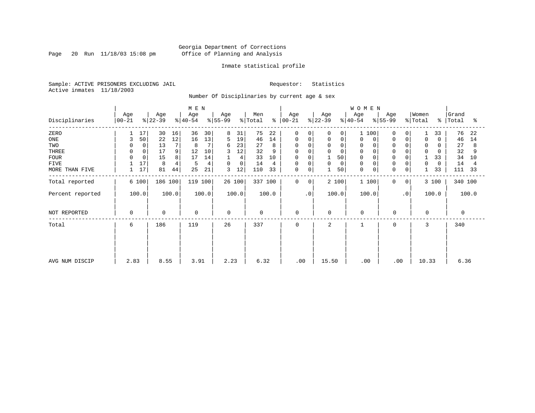Page 20 Run 11/18/03 15:08 pm

### Inmate statistical profile

Sample: ACTIVE PRISONERS EXCLUDING JAIL Requestor: Statistics Active inmates 11/18/2003

Number Of Disciplinaries by current age & sex

|                  |                 |                  | M E N            |                  |                      |                         |                  | WOMEN                                            |                         |                         |                     |
|------------------|-----------------|------------------|------------------|------------------|----------------------|-------------------------|------------------|--------------------------------------------------|-------------------------|-------------------------|---------------------|
| Disciplinaries   | Age<br>$ 00-21$ | Age<br>$ 22-39 $ | Age<br>$ 40-54 $ | Age<br>$ 55-99$  | Men<br>% Total<br>န္ | Age<br>$ 00-21$         | Age<br>$ 22-39 $ | Age<br>Age<br>$\frac{1}{6}$   55-99<br>$ 40-54 $ | Women<br>% Total        | ွေ                      | Grand<br>Total<br>ႜ |
| ZERO             | 17              | 30<br>16         | 36<br>30         | 8<br>31          | 75<br>22             | $\mathbf 0$<br>$\Omega$ | 0<br>0           | 100<br>1                                         | $\Omega$<br>0           | 33                      | 76<br>22            |
| $_{\rm ONE}$     | 50<br>3         | 12<br>22         | 13<br>16         | 5<br>19          | 14<br>46             | $\mathbf 0$<br>0        | $\mathbf 0$<br>0 | 0<br>0                                           | $\mathbf 0$<br>$\Omega$ | $\mathbf 0$<br>$\Omega$ | 46<br>14            |
| TWO              | $\mathbf 0$     | 13               | 7<br>8           | 23<br>6          | 27<br>8              | 0<br>$\Omega$           | $\mathbf 0$      | 0                                                |                         | 0                       | 27<br>8             |
| THREE            | 0<br>0          | 17<br>9          | 12<br>10         | 12<br>3          | 32<br>9              | 0<br>0                  | $\mathbf{0}$     | 0                                                | $\Omega$                | $\mathbf 0$             | 32                  |
| <b>FOUR</b>      |                 | 8<br>15          | 14<br>17         | 4                | 33<br>10             | $\mathbf 0$             | 50               | $\mathbf 0$                                      |                         | 33                      | 34<br>10            |
| <b>FIVE</b>      | 17              | 8<br>4           | 4<br>5           | $\mathbf 0$<br>0 | 14<br>4              | 0<br>0                  | 0<br>0           | 0                                                | 0<br>$\Omega$           | 0<br>$\Omega$           | 14<br>4             |
| MORE THAN FIVE   | 17<br>1         | 81<br>44         | 25<br>21         | 3<br>12          | 33<br>110            | 0<br>0                  | 50               | $\mathbf 0$<br>0                                 | $\mathbf 0$<br>0        | 33                      | 111<br>33           |
| Total reported   | 6 100           | 186 100          | 119 100          | 26 100           | 337 100              | $\mathbf 0$<br>0        | 2 100            | 1 100                                            | 0<br>0                  | 3 100                   | 340 100             |
| Percent reported | 100.0           | 100.0            | 100.0            | 100.0            | 100.0                | $\cdot$ 0               | 100.0            | 100.0                                            | $\cdot$ 0               | 100.0                   | 100.0               |
| NOT REPORTED     | 0               | $\mathbf 0$      | 0                | $\Omega$         | $\mathbf 0$          | 0                       | 0                | $\mathbf 0$                                      | 0                       | $\mathbf 0$             | $\Omega$            |
| Total            | 6               | 186              | 119              | 26               | 337                  | 0                       | 2                | $\mathbf{1}$                                     | 0                       | 3                       | 340                 |
|                  |                 |                  |                  |                  |                      |                         |                  |                                                  |                         |                         |                     |
|                  |                 |                  |                  |                  |                      |                         |                  |                                                  |                         |                         |                     |
| AVG NUM DISCIP   | 2.83            | 8.55             | 3.91             | 2.23             | 6.32                 | .00                     | 15.50            | .00                                              | .00                     | 10.33                   | 6.36                |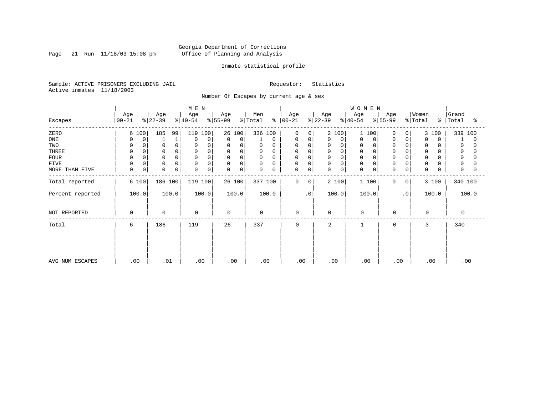Page 21 Run  $11/18/03$  15:08 pm

### Inmate statistical profile

Sample: ACTIVE PRISONERS EXCLUDING JAIL Requestor: Statistics Active inmates 11/18/2003

Number Of Escapes by current age & sex

|                  |                  |                      | M E N            |                            |                  |                      |                         | WOMEN            |                         |                         |                         |
|------------------|------------------|----------------------|------------------|----------------------------|------------------|----------------------|-------------------------|------------------|-------------------------|-------------------------|-------------------------|
| Escapes          | Age<br>$00 - 21$ | Age<br>$ 22-39$      | Age<br>$ 40-54 $ | Age<br>$ 55-99$            | Men<br>% Total   | Age<br>$8   00 - 21$ | Age<br>$ 22-39 $        | Age<br>$ 40-54 $ | Age<br>$ 55-99 $        | Women<br>% Total        | Grand<br>%   Total<br>ႜ |
| ZERO             | 6 100            | 185<br>99            | 119 100          | 26 100                     | 336 100          | $\mathbf 0$<br>0     | 2 100                   | 1 100            | $\Omega$<br>0           | 3 100                   | 339 100                 |
| ONE              | 0<br>0           |                      | $\Omega$<br>0    | $\mathbf 0$<br>$\mathbf 0$ | 0                | 0<br>0               | 0<br>0                  | 0<br>0           | 0                       | $\mathbf 0$<br>$\Omega$ | 0                       |
| TWO              | $\Omega$<br>0    | $\Omega$             | $\Omega$         | 0<br>0                     | 0<br>0           | 0<br>$\Omega$        | 0<br>0                  | 0                |                         | $\mathbf 0$             | 0                       |
| THREE            | $\Omega$         |                      | $\Omega$         | 0<br>0                     | 0                | 0                    | 0<br>$\Omega$           | $\Omega$         |                         | $\mathbf 0$             | 0                       |
| <b>FOUR</b>      | $\Omega$         |                      | $\Omega$         | 0<br>$\Omega$              | $\mathbf 0$      | 0                    | $\Omega$<br>0           | $\Omega$         |                         | 0                       | $\Omega$                |
| FIVE             | 0<br>0           | $\mathbf 0$          | 0<br>$\Omega$    | 0<br>$\mathbf 0$           | 0<br>0           | 0<br>0               | 0<br>0                  | 0                |                         | 0                       | 0                       |
| MORE THAN FIVE   | 0<br>$\mathbf 0$ | $\Omega$<br>$\Omega$ | $\mathbf 0$<br>0 | $\Omega$<br>0              | $\mathbf 0$<br>0 | $\mathbf 0$<br>0     | $\Omega$<br>$\mathbf 0$ | $\Omega$         | $\Omega$<br>$\mathbf 0$ | $\mathbf 0$             | $\Omega$                |
| Total reported   | 6 100            | 186 100              | 119 100          | 26 100                     | 337 100          | $\mathbf 0$<br>0     | 2 100                   | 1 100            | 0<br>0                  | 3 100                   | 340 100                 |
| Percent reported | 100.0            | 100.0                | 100.0            | 100.0                      | 100.0            | $\cdot$ 0            | 100.0                   | 100.0            | $\cdot$ 0               | 100.0                   | 100.0                   |
| NOT REPORTED     | $\Omega$         | $\mathbf 0$          | $\mathbf 0$      | $\mathbf 0$                | $\mathbf 0$      | $\mathbf 0$          | 0                       | $\mathbf 0$      | $\Omega$                | $\Omega$                | $\Omega$                |
| Total            | 6                | 186                  | 119              | 26                         | 337              | 0                    | 2                       |                  | $\Omega$                | 3                       | 340                     |
|                  |                  |                      |                  |                            |                  |                      |                         |                  |                         |                         |                         |
|                  |                  |                      |                  |                            |                  |                      |                         |                  |                         |                         |                         |
| AVG NUM ESCAPES  | .00              | .01                  | .00              | .00                        | .00              | .00                  | .00                     | .00              | .00                     | .00                     | .00                     |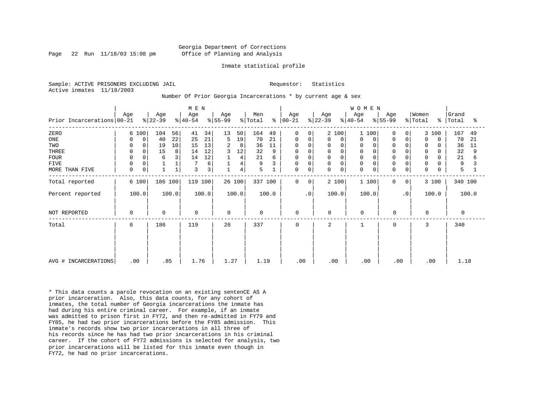### Georgia Department of Corrections Page 22 Run 11/18/03 15:08 pm Office of Planning and Analysis

### Inmate statistical profile

Sample: ACTIVE PRISONERS EXCLUDING JAIL **Requestor:** Statistics Active inmates 11/18/2003

Number Of Prior Georgia Incarcerations \* by current age & sex

| Prior Incarcerations 00-21                                           | Age                                                                        | Age<br>$ 22-39 $                                                | M E N<br>Age<br>$ 40-54 $                                               | Age<br>$ 55-99 $                                                     | Men<br>% Total<br>ႜ                                               | Age<br>$ 00-21$                                                                     | Age<br>$ 22-39 $                                                                   | WOMEN<br>Age<br>Age<br>$ 55-99 $<br>$ 40-54 $                                                                                                                          | Women<br>% Total<br>$\approx$ 1                                                                                                                           | Grand<br>Total<br>ႜ                                               |
|----------------------------------------------------------------------|----------------------------------------------------------------------------|-----------------------------------------------------------------|-------------------------------------------------------------------------|----------------------------------------------------------------------|-------------------------------------------------------------------|-------------------------------------------------------------------------------------|------------------------------------------------------------------------------------|------------------------------------------------------------------------------------------------------------------------------------------------------------------------|-----------------------------------------------------------------------------------------------------------------------------------------------------------|-------------------------------------------------------------------|
| ZERO<br>ONE<br>TWO<br>THREE<br><b>FOUR</b><br>FIVE<br>MORE THAN FIVE | 6 100<br>0<br>0<br>$\mathbf 0$<br>0<br>$\Omega$<br>0<br>$\Omega$<br>0<br>0 | 104<br>56<br>22<br>40<br>19<br>10<br>15<br>8<br>3<br>6<br>$1\,$ | 34<br>41<br>21<br>25<br>13<br>15<br>12<br>14<br>12<br>14<br>6<br>3<br>3 | 13<br>50<br>19<br>5<br>2<br>8<br>3<br>12<br>4<br>4<br>$\overline{4}$ | 164<br>49<br>70<br>21<br>36<br>11<br>32<br>9<br>21<br>6<br>9<br>5 | $\mathbf 0$<br>0<br>0<br>0<br>0<br>$\mathbf 0$<br>$\mathbf 0$<br>0<br>0<br>$\Omega$ | 2 100<br>0<br>0<br>0<br>$\mathsf 0$<br>$\mathbf 0$<br>$\mathbf 0$<br>$\Omega$<br>0 | 1 100<br>$\Omega$<br>0<br>$\Omega$<br>0<br>0<br>0<br>$\mathbf 0$<br>$\Omega$<br>$\mathbf 0$<br>$\Omega$<br>$\mathbf 0$<br>$\Omega$<br>$\Omega$<br>$\Omega$<br>$\Omega$ | 3 100<br>$\overline{0}$<br>0<br>$\Omega$<br>$\Omega$<br>$\Omega$<br>O<br>0<br>$\Omega$<br>O<br>$\mathbf 0$<br>0<br>0<br>$\mathbf 0$<br>0<br>$\Omega$<br>O | 167<br>49<br>70<br>21<br>36<br>11<br>32<br>9<br>21<br>6<br>9<br>5 |
| Total reported<br>Percent reported                                   | 6 100<br>100.0                                                             | 186 100<br>100.0                                                | 119 100<br>100.0                                                        | 26 100<br>100.0                                                      | 337 100<br>100.0                                                  | $\mathbf 0$<br>$\Omega$<br>$\cdot$ 0                                                | 2 100<br>100.0                                                                     | 1 100<br>$\Omega$<br>100.0                                                                                                                                             | 3 100<br>0 <sup>1</sup><br>$\cdot$ 0<br>100.0                                                                                                             | 340 100<br>100.0                                                  |
| NOT REPORTED                                                         | 0                                                                          | $\Omega$                                                        | $\mathbf 0$                                                             | $\mathbf 0$                                                          | $\mathbf 0$                                                       | $\mathbf 0$                                                                         | $\mathbf 0$                                                                        | $\Omega$<br>$\mathbf 0$                                                                                                                                                | $\Omega$                                                                                                                                                  | $\Omega$                                                          |
| Total                                                                | 6                                                                          | 186                                                             | 119                                                                     | 26                                                                   | 337                                                               | $\mathbf 0$                                                                         | 2                                                                                  | 0                                                                                                                                                                      | 3                                                                                                                                                         | 340                                                               |
| AVG # INCARCERATIONS                                                 | .00                                                                        | .85                                                             | 1.76                                                                    | 1.27                                                                 | 1.19                                                              | .00                                                                                 | .00                                                                                | .00<br>.00                                                                                                                                                             | .00                                                                                                                                                       | 1.18                                                              |

\* This data counts a parole revocation on an existing sentenCE AS A prior incarceration. Also, this data counts, for any cohort of inmates, the total number of Georgia incarcerations the inmate has had during his entire criminal career. For example, if an inmate was admitted to prison first in FY72, and then re-admitted in FY79 and FY85, he had two prior incarcerations before the FY85 admission. This inmate's records show two prior incarcerations in all three of his records since he has had two prior incarcerations in his criminal career. If the cohort of FY72 admissions is selected for analysis, two prior incarcerations will be listed for this inmate even though in FY72, he had no prior incarcerations.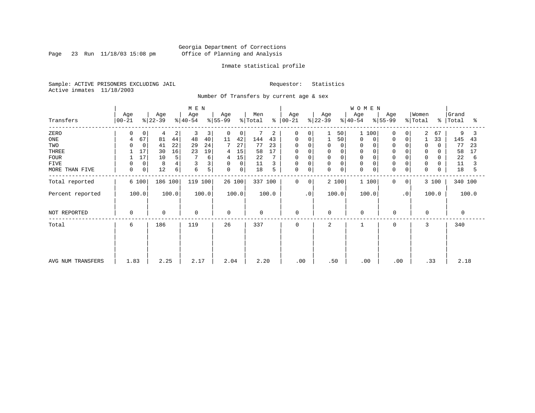Page 23 Run 11/18/03 15:08 pm

### Inmate statistical profile

Sample: ACTIVE PRISONERS EXCLUDING JAIL Requestor: Statistics Active inmates 11/18/2003

Number Of Transfers by current age & sex

|                   |                  |                           | M E N            |                  |                |                      |                         | <b>WOMEN</b>                  |                            |                      |                         |
|-------------------|------------------|---------------------------|------------------|------------------|----------------|----------------------|-------------------------|-------------------------------|----------------------------|----------------------|-------------------------|
| Transfers         | Age<br>$ 00-21 $ | Age<br>$ 22-39 $          | Age<br>$ 40-54 $ | Age<br>$ 55-99 $ | Men<br>% Total | Age<br>$8   00 - 21$ | Age<br>$ 22-39 $        | Age<br>$ 40-54 $<br>$ 55-99 $ | Age<br>$\frac{1}{2}$ Total | Women                | Grand<br>%   Total<br>ႜ |
| ZERO              |                  | 0<br>4<br>2               | 3<br>3           | 0<br>0           | 7<br>2         | 0                    | 50 <br>$\Omega$         | 100<br>$\mathbf{1}$           | 0<br>$\Omega$              | 2<br>67              | 9                       |
| ONE               | 67<br>4          | 81<br>44                  | 48<br>40         | 11<br>42         | 144<br>43      | 0<br>0               | 50                      | 0<br>0                        | 0<br>0                     | 33                   | 145<br>43               |
| TWO               |                  | 22<br>41<br>$\Omega$      | 24<br>29         | 7<br>27          | 77<br>23       | $\Omega$<br>$\Omega$ | $\Omega$<br>0           | 0<br>$\Omega$                 |                            | $\Omega$<br>$\Omega$ | 77<br>23                |
| THREE             | 17               | 30<br>16                  | 19<br>23         | 15<br>4          | 17<br>58       | 0                    | 0                       | 0                             | $\Omega$                   | 0                    | 58<br>17                |
| <b>FOUR</b>       | 17               | 10<br>5                   | 6                | 15<br>4          | 22             | 0                    | $\mathbf 0$<br>$\Omega$ | $\mathbf 0$                   |                            | 0                    | 22<br>6                 |
| <b>FIVE</b>       |                  | 0<br>8                    |                  | $\mathbf 0$<br>0 | 11             | 0<br>0               | $\mathbf 0$<br>0        | $\mathbf 0$                   | $\Omega$<br>0              | $\mathbf 0$          | 11                      |
| MORE THAN FIVE    | $\mathbf 0$      | 0 <sup>1</sup><br>12<br>6 | 5<br>6           | 0<br>$\mathbf 0$ | 18<br>5        | 0<br>0               | $\mathbf 0$<br>0        | $\mathbf 0$<br>0              | $\mathbf 0$<br>0           | $\mathbf 0$          | 18<br>5                 |
| Total reported    | 6 100            | 186 100                   | 119 100          | 26 100           | 337 100        | 0<br>0               | 2 100                   | 1 100                         | 0<br>0                     | 3 100                | 340 100                 |
| Percent reported  | 100.0            | 100.0                     | 100.0            | 100.0            | 100.0          | $\cdot$ 0            | 100.0                   | 100.0                         | $\cdot$ 0                  | 100.0                | 100.0                   |
| NOT REPORTED      | 0                | $\mathbf 0$               | $\mathbf 0$      | $\mathbf 0$      | $\mathbf 0$    | $\mathbf 0$          | $\mathbf 0$             | $\mathbf 0$                   | $\mathbf 0$                | $\mathbf 0$          | 0                       |
| Total             | 6                | 186                       | 119              | 26               | 337            | 0                    | 2                       | 1                             | $\mathbf 0$                | 3                    | 340                     |
|                   |                  |                           |                  |                  |                |                      |                         |                               |                            |                      |                         |
|                   |                  |                           |                  |                  |                |                      |                         |                               |                            |                      |                         |
| AVG NUM TRANSFERS | 1.83             | 2.25                      | 2.17             | 2.04             | 2.20           | .00                  | .50                     | .00                           | .00                        | .33                  | 2.18                    |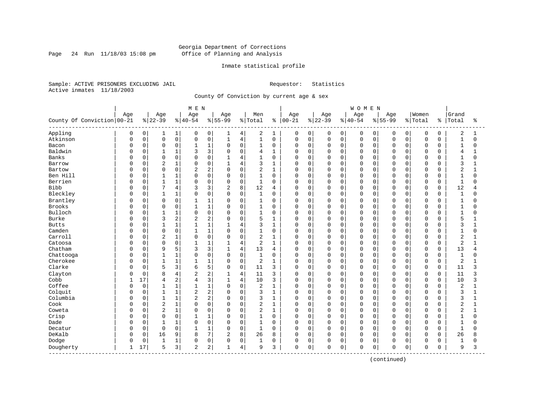Page 24 Run  $11/18/03$  15:08 pm

### Inmate statistical profile

Sample: ACTIVE PRISONERS EXCLUDING JAIL Requestor: Statistics Active inmates 11/18/2003

County Of Conviction by current age & sex

|                              |     |              |                |                | M E N          |                |                |                |                |              |              |             |             |             | <b>WOMEN</b> |          |              |             |             |             |                |              |
|------------------------------|-----|--------------|----------------|----------------|----------------|----------------|----------------|----------------|----------------|--------------|--------------|-------------|-------------|-------------|--------------|----------|--------------|-------------|-------------|-------------|----------------|--------------|
|                              | Age |              | Age            |                | Age            |                | Age            |                | Men            |              | Age          |             | Age         |             | Age          |          | Age          |             | Women       |             | Grand          |              |
| County Of Conviction 00-21   |     |              | $8 22-39$      |                | $8140 - 54$    |                | $8155 - 99$    |                | % Total        | ႜ            | $ 00 - 21$   |             | $8 22-39$   |             | $8 40-54$    |          | $8 55-99$    |             | % Total     | ႜ           | Total          | ႜ            |
| Appling                      | 0   | 0            | 1              | 1              | 0              | 0              | 1              | 4              | 2              | 1            | 0            | 0           | 0           | 0           | 0            | 0        | 0            | 0           | 0           | 0           | 2              | 1            |
| Atkinson                     | 0   | 0            | $\mathsf 0$    | 0              | $\Omega$       | 0              | $\mathbf{1}$   | $\,4$          | $\mathbf{1}$   | $\mathbf 0$  | $\Omega$     | $\mathbf 0$ | $\mathsf 0$ | $\mathbf 0$ | $\mathbf 0$  | 0        | $\Omega$     | $\mathbf 0$ | $\mathbf 0$ | $\mathbf 0$ | $\mathbf{1}$   | $\Omega$     |
| Bacon                        | O   | 0            | $\mathbf 0$    | 0              | $\mathbf{1}$   | $1\,$          | $\Omega$       | $\mathbf 0$    | $\mathbf{1}$   | $\mathbf 0$  | 0            | $\mathbf 0$ | $\mathbf 0$ | $\mathbf 0$ | $\mathbf 0$  | 0        | $\Omega$     | $\Omega$    | $\mathbf 0$ | $\Omega$    | $\mathbf{1}$   | $\Omega$     |
| Baldwin                      | C   | 0            | 1              | 1              |                | 3              | $\Omega$       | $\mathbf 0$    | 4              | 1            | 0            | $\mathbf 0$ | 0           | 0           | $\Omega$     | 0        | $\Omega$     | $\cap$      | $\mathbf 0$ | 0           | 4              |              |
| Banks                        |     | 0            | $\Omega$       | 0              | $\cap$         | $\Omega$       | $\mathbf{1}$   | 4              | $\mathbf{1}$   | $\Omega$     | <sup>0</sup> | $\Omega$    | 0           | $\Omega$    | $\Omega$     | $\Omega$ | $\Omega$     | $\cap$      | $\Omega$    | $\Omega$    | $\mathbf{1}$   | U            |
| Barrow                       | C   | 0            | 2              | $\mathbf{1}$   | $\Omega$       | $\mathbf 0$    | 1              | $\overline{4}$ | 3              | $\mathbf{1}$ | 0            | $\Omega$    | 0           | $\Omega$    | $\Omega$     | $\Omega$ | $\Omega$     | $\Omega$    | $\mathbf 0$ | $\Omega$    | 3              |              |
| Bartow                       |     | 0            | $\mathbf 0$    | 0              | $\overline{2}$ | $\overline{c}$ | $\Omega$       | $\mathsf 0$    | 2              | $\mathbf{1}$ | $\Omega$     | $\mathbf 0$ | 0           | 0           | $\Omega$     | 0        | $\Omega$     | 0           | $\mathbf 0$ | 0           | $\overline{2}$ |              |
| Ben Hill                     |     | 0            | $\mathbf{1}$   | $\mathbf 1$    | $\Omega$       | $\mathbf 0$    | $\Omega$       | $\mathbf 0$    | $\mathbf{1}$   | $\mathbf 0$  | 0            | $\mathbf 0$ | 0           | $\mathbf 0$ | $\Omega$     | 0        | $\Omega$     | $\Omega$    | $\mathbf 0$ | $\Omega$    | $\mathbf{1}$   | $\Omega$     |
| Berrien                      | C   | 0            | $\mathbf{1}$   | 1              | $\Omega$       | 0              | $\Omega$       | $\mathbf 0$    | 1              | 0            | 0            | 0           | 0           | $\Omega$    | $\Omega$     | 0        | $\Omega$     | $\Omega$    | $\mathbf 0$ | 0           | $\mathbf{1}$   | 0            |
| Bibb                         | C   | 0            | 7              | 4              |                | 3              | $\overline{2}$ | 8              | 12             | 4            | $\Omega$     | $\mathbf 0$ | 0           | $\mathbf 0$ | 0            | 0        | $\Omega$     | $\Omega$    | $\mathbf 0$ | 0           | 12             | 4            |
| Bleckley                     | U   | 0            | $\mathbf{1}$   | 1              | $\Omega$       | $\mathbf 0$    | $\Omega$       | $\mathbf 0$    | $\mathbf{1}$   | 0            | 0            | $\mathbf 0$ | 0           | $\mathbf 0$ | $\mathbf 0$  | 0        | $\Omega$     | $\Omega$    | $\mathbf 0$ | 0           | 1              | 0            |
| Brantley                     | O   | 0            | $\mathbf 0$    | 0              | 1              | $\mathbf{1}$   | $\Omega$       | 0              | 1              | $\Omega$     | $\Omega$     | $\Omega$    | 0           | $\Omega$    | $\mathbf 0$  | $\Omega$ | $\Omega$     | $\Omega$    | $\mathbf 0$ | $\Omega$    | $\mathbf{1}$   | 0            |
| Brooks                       |     | 0            | $\mathbf 0$    | 0              |                | $1\,$          | $\Omega$       | $\mathbf 0$    | 1              | $\mathbf 0$  | 0            | $\mathbf 0$ | 0           | $\mathbf 0$ | $\Omega$     | 0        | $\Omega$     | $\Omega$    | $\mathbf 0$ | 0           | 1              | O            |
| Bulloch                      |     | 0            | $\mathbf{1}$   | $\mathbf 1$    | $\Omega$       | $\mathbf 0$    | $\Omega$       | $\mathbf 0$    | $\mathbf{1}$   | $\mathbf 0$  | $\Omega$     | $\Omega$    | 0           | $\mathbf 0$ | $\Omega$     | 0        | $\Omega$     | $\Omega$    | $\mathbf 0$ | $\Omega$    | $\mathbf{1}$   | U            |
| Burke                        | C   | 0            | 3              | 2              | $\overline{c}$ | $\overline{c}$ | $\Omega$       | $\mathbf 0$    | 5              | $\mathbf{1}$ | 0            | $\mathbf 0$ | $\mathbf 0$ | $\mathbf 0$ | $\Omega$     | 0        | $\Omega$     | $\Omega$    | $\mathbf 0$ | 0           | 5              |              |
| <b>Butts</b>                 | ſ   | 0            | $\mathbf{1}$   | 1              |                | $\mathbf{1}$   |                | $\overline{4}$ | 3              | $\mathbf{1}$ | 0            | $\mathbf 0$ | 0           | $\Omega$    | $\Omega$     | 0        | $\Omega$     | $\Omega$    | $\mathbf 0$ | $\Omega$    | 3              |              |
| Camden                       |     | $\Omega$     | $\mathbf 0$    | 0              | 1              | $\mathbf{1}$   | $\Omega$       | $\mathbf 0$    | 1              | $\Omega$     | 0            | $\Omega$    | 0           | $\Omega$    | $\mathbf 0$  | $\Omega$ | $\Omega$     | $\cap$      | $\Omega$    | $\Omega$    | $\mathbf{1}$   | U            |
| Carroll                      | C   | 0            | 2              | $\mathbf 1$    | $\Omega$       | $\mathbf 0$    | $\mathbf 0$    | $\mathbf 0$    | 2              | $\mathbf{1}$ | 0            | $\Omega$    | 0           | $\mathbf 0$ | $\Omega$     | 0        | $\Omega$     | $\Omega$    | $\mathbf 0$ | 0           | 2              |              |
| Catoosa                      | C   | 0            | $\Omega$       | 0              | $\mathbf{1}$   | $1\,$          | $\mathbf{1}$   | 4              | $\overline{2}$ | $\mathbf{1}$ | $\Omega$     | $\mathbf 0$ | 0           | $\mathbf 0$ | 0            | 0        | $\Omega$     | $\Omega$    | $\mathbf 0$ | $\mathbf 0$ | $\overline{2}$ |              |
| Chatham                      |     | 0            | 9              | 5              | 3              | 3              | $\mathbf{1}$   | 4              | 13             | 4            | 0            | $\mathbf 0$ | $\mathbf 0$ | $\mathbf 0$ | 0            | 0        | $\Omega$     | $\Omega$    | $\mathbf 0$ | 0           | 13             | 4            |
| Chattooga                    | C   | 0            | 1              | 1              | $\Omega$       | $\mathbf 0$    | 0              | $\mathbf 0$    | $\mathbf{1}$   | 0            | 0            | 0           | 0           | $\Omega$    | $\Omega$     | 0        | $\Omega$     | $\Omega$    | $\mathbf 0$ | 0           | 1              | O            |
| Cherokee                     |     | 0            | $\overline{1}$ | $\mathbf 1$    |                | $\mathbf{1}$   | $\Omega$       | $\mathbf 0$    | $\overline{2}$ | $\mathbf{1}$ | $\Omega$     | $\mathbf 0$ | 0           | $\mathbf 0$ | $\mathbf 0$  | 0        | $\Omega$     | $\Omega$    | $\mathbf 0$ | $\mathbf 0$ | 2              |              |
| Clarke                       | U   | 0            | 5              | 3              | 6              | 5              | $\Omega$       | $\mathbf 0$    | 11             | 3            | 0            | $\mathbf 0$ | 0           | $\Omega$    | 0            | $\Omega$ | $\Omega$     | $\Omega$    | $\Omega$    | $\Omega$    | 11             | 3            |
| Clayton                      | O   | 0            | 8              | 4              | $\overline{2}$ | $\overline{c}$ |                | 4              | 11             | 3            | 0            | $\mathbf 0$ | 0           | $\mathbf 0$ | 0            | $\Omega$ | <sup>0</sup> | $\Omega$    | $\mathbf 0$ | 0           | 11             | 3            |
| Cobb                         |     | 17           | 4              | $\overline{c}$ | 4              | 3              | $\mathbf{1}$   | $\overline{4}$ | 10             | 3            | 0            | $\mathbf 0$ | 0           | 0           | $\mathbf 0$  | 0        | $\Omega$     | $\mathbf 0$ | $\mathbf 0$ | $\mathbf 0$ | 10             | 3            |
| Coffee                       |     | $\mathsf{O}$ | $\mathbf{1}$   | $\mathbf 1$    | $\mathbf{1}$   | $1\,$          | $\Omega$       | $\mathsf 0$    | $\overline{2}$ | 1            | 0            | $\mathbf 0$ | 0           | 0           | $\Omega$     | 0        | $\Omega$     | $\Omega$    | $\mathbf 0$ | 0           | $\overline{2}$ | $\mathbf{1}$ |
| Colquit                      | C   | 0            | $\mathbf{1}$   | 1              | $\overline{2}$ | $\overline{2}$ | $\Omega$       | $\mathbf 0$    | 3              | $\mathbf{1}$ | 0            | 0           | 0           | 0           | $\Omega$     | 0        | $\Omega$     | $\cap$      | $\mathbf 0$ | 0           | 3              | 1            |
| Columbia                     | C   | 0            | $\mathbf{1}$   | $\mathbf 1$    | $\overline{2}$ | 2              | $\Omega$       | $\mathbf 0$    | 3              | $\mathbf{1}$ | 0            | $\Omega$    | 0           | $\Omega$    | $\mathbf 0$  | 0        | $\Omega$     | $\Omega$    | $\mathbf 0$ | $\Omega$    | 3              |              |
| Cook                         | U   | 0            | $\overline{2}$ | $\mathbf{1}$   | $\Omega$       | $\mathbf 0$    | $\Omega$       | $\Omega$       | 2              | 1            | 0            | $\mathbf 0$ | 0           | $\Omega$    | $\mathbf 0$  | $\Omega$ | $\Omega$     | $\Omega$    | $\mathbf 0$ | $\Omega$    | $\overline{2}$ | $\mathbf{1}$ |
| Coweta                       | 0   | 0            | $\overline{2}$ | $\mathbf{1}$   | $\Omega$       | $\mathbf 0$    | $\Omega$       | $\mathbf 0$    | 2              | 1            | 0            | $\mathbf 0$ | 0           | $\mathbf 0$ | 0            | 0        | $\Omega$     | $\Omega$    | $\mathbf 0$ | 0           | $\overline{2}$ | 1            |
| Crisp                        |     | 0            | $\mathbf 0$    | 0              |                | 1              | $\Omega$       | $\mathbf 0$    | $\mathbf{1}$   | $\mathbf 0$  | 0            | $\mathbf 0$ | 0           | $\mathbf 0$ | 0            | 0        | $\Omega$     | $\Omega$    | $\mathbf 0$ | 0           | $\mathbf{1}$   | 0            |
| Dade                         | C   | 0            | $\mathbf{1}$   | $\mathbf 1$    | $\Omega$       | 0              | $\Omega$       | $\mathbf 0$    | $\mathbf{1}$   | $\Omega$     | 0            | $\mathbf 0$ | $\mathbf 0$ | $\Omega$    | $\mathbf 0$  | 0        | $\Omega$     | $\Omega$    | $\mathbf 0$ | $\Omega$    | $\mathbf{1}$   | 0            |
| Decatur                      | C   | 0            | $\Omega$       | 0              |                | 1              | $\Omega$       | $\mathbf 0$    | 1              | $\Omega$     | $\Omega$     | $\mathbf 0$ | 0           | $\Omega$    | $\mathbf 0$  | 0        | $\Omega$     | $\Omega$    | $\Omega$    | $\Omega$    | $\mathbf{1}$   | $\Omega$     |
| DeKalb                       | 0   | $\mathbf 0$  | 16             | 9              | 8              | 7              | 2              | 8              | 26             | 8            | 0            | $\Omega$    | 0           | $\Omega$    | $\Omega$     | 0        | $\Omega$     | $\Omega$    | $\Omega$    | $\Omega$    | 26             | 8            |
| Dodge                        | 0   | 0            | $\mathbf{1}$   | 1              | $\Omega$       | 0              | $\mathbf 0$    | $\mathbf 0$    | 1              | 0            | 0            | $\mathbf 0$ | 0           | 0           | $\Omega$     | 0        | $\Omega$     | 0           | $\mathbf 0$ | $\Omega$    | -1             | 0            |
| Dougherty<br>--------------- | 1   | 17           | 5              | 3              | 2              | 2              |                | $\overline{4}$ | 9              | 3            | 0            | 0           | 0           | 0           | $\mathbf 0$  | 0        | 0            | 0           | $\mathbf 0$ | 0           | 9              | 3            |

(continued)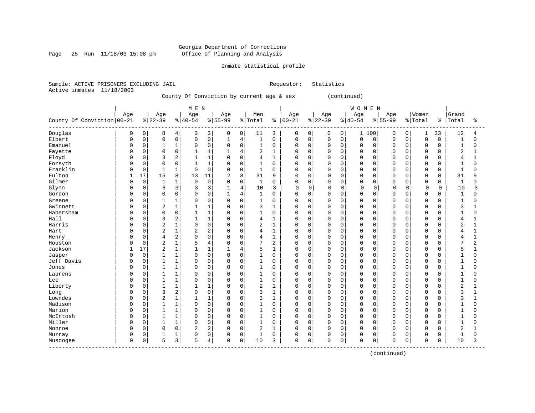### Georgia Department of Corrections Page 25 Run 11/18/03 15:08 pm Office of Planning and Analysis

### Inmate statistical profile

Sample: ACTIVE PRISONERS EXCLUDING JAIL Requestor: Statistics Active inmates 11/18/2003

### County Of Conviction by current age & sex (continued)

|                                    |              |             |                |                | M E N          |                |              |                |                |                |             |          |             |                | WOMEN       |             |           |          |             |              |                |              |
|------------------------------------|--------------|-------------|----------------|----------------|----------------|----------------|--------------|----------------|----------------|----------------|-------------|----------|-------------|----------------|-------------|-------------|-----------|----------|-------------|--------------|----------------|--------------|
|                                    | Age          |             | Age            |                | Age            |                | Age          |                | Men            |                | Age         |          | Age         |                | Age         |             | Age       |          | Women       |              | Grand          |              |
| County Of Conviction 00-21         |              |             | $ 22-39$       |                | $8 40-54$      |                | $8155 - 99$  |                | % Total        | ႜ              | $ 00 - 21$  |          | $ 22-39$    |                | $8140 - 54$ |             | $8 55-99$ |          | % Total     | ႜ            | Total          | ႜ            |
| Douglas                            | 0            | 0           | 8              | 4              | 3              | 3              | 0            | 0              | 11             | 3              | 0           | 0        | 0           | $\overline{0}$ | 1           | 100         | 0         | 0        | 1           | 33           | 12             | 4            |
| Elbert                             | $\Omega$     | $\mathbf 0$ | $\Omega$       | $\mathbf 0$    | $\mathbf 0$    | $\mathbf 0$    | $1\,$        | 4              | $\mathbf{1}$   | $\mathbf 0$    | $\mathbf 0$ | 0        | $\mathbf 0$ | $\mathbf 0$    | $\Omega$    | $\mathbf 0$ | $\Omega$  | $\Omega$ | $\mathbf 0$ | $\Omega$     | $\mathbf 1$    | $\Omega$     |
| Emanuel                            | $\Omega$     | $\mathbf 0$ | 1              | 1              | $\Omega$       | $\mathbf 0$    | $\mathbf 0$  | $\Omega$       | $\mathbf{1}$   | $\mathbf 0$    | 0           | 0        | $\Omega$    | $\Omega$       | $\Omega$    | $\Omega$    | $\Omega$  | $\Omega$ | $\mathbf 0$ | $\Omega$     | -1             | 0            |
| Fayette                            |              | $\mathbf 0$ | $\Omega$       | $\mathbf 0$    |                | $\mathbf{1}$   | $\mathbf{1}$ | 4              | 2              | $\mathbf{1}$   | $\Omega$    | 0        | $\Omega$    | $\Omega$       | $\Omega$    | $\Omega$    | O         | $\Omega$ | $\mathbf 0$ | $\Omega$     | $\overline{2}$ | 1            |
| Floyd                              |              | $\mathbf 0$ | 3              | $\overline{2}$ | $\mathbf{1}$   | $\mathbf{1}$   | $\Omega$     | $\Omega$       | 4              | $\mathbf{1}$   | $\Omega$    | 0        | $\Omega$    | 0              | $\Omega$    | $\mathbf 0$ | $\cap$    | $\Omega$ | $\mathbf 0$ | 0            | 4              | $\mathbf{1}$ |
| Forsyth                            |              | $\mathbf 0$ | $\Omega$       | $\mathbf 0$    | $\mathbf{1}$   | $\mathbf{1}$   | $\Omega$     | $\Omega$       | $\mathbf{1}$   | $\mathbf 0$    | $\mathbf 0$ | 0        | $\mathbf 0$ | $\Omega$       | $\Omega$    | $\mathbf 0$ | $\cap$    | $\Omega$ | $\mathbf 0$ | $\Omega$     | $\mathbf{1}$   | $\Omega$     |
| Franklin                           |              | 0           |                | 1              | $\Omega$       | $\mathbf 0$    | 0            | $\Omega$       | 1              | 0              | 0           | $\Omega$ | $\Omega$    | $\Omega$       | $\Omega$    | $\Omega$    | $\cap$    | $\Omega$ | 0           | $\Omega$     | $\mathbf{1}$   | 0            |
| Fulton                             |              | 17          | 15             | 8              | 13             | 11             | 2            | 8              | 31             | 9              | $\mathbf 0$ | $\Omega$ | $\Omega$    | 0              | $\Omega$    | 0           | $\cap$    |          | $\mathbf 0$ | 0            | 31             | 9            |
| Gilmer                             |              | $\mathbf 0$ | $\mathbf{1}$   | 1              | $\mathbf 0$    | $\Omega$       | $\Omega$     | $\Omega$       | $\mathbf{1}$   | 0              | $\Omega$    | $\Omega$ | $\Omega$    | $\Omega$       | $\Omega$    | $\Omega$    | $\cap$    | $\Omega$ | $\mathbf 0$ | $\Omega$     | $\mathbf 1$    | $\Omega$     |
| Glynn                              |              | $\mathbf 0$ | 6              | 3              | 3              | 3              | $\mathbf{1}$ | $\overline{4}$ | 10             | 3              | $\Omega$    | $\Omega$ | $\mathbf 0$ | $\Omega$       | $\Omega$    | $\mathbf 0$ | U         | 0        | $\mathbf 0$ | 0            | 10             | 3            |
| Gordon                             |              | $\mathbf 0$ | $\Omega$       | $\mathbf 0$    | $\Omega$       | $\mathbf 0$    | $\mathbf{1}$ | 4              | $\mathbf 1$    | 0              | $\Omega$    | 0        | $\Omega$    | $\Omega$       | $\Omega$    | $\mathbf 0$ | $\Omega$  | $\Omega$ | $\mathbf 0$ | $\Omega$     | $\mathbf{1}$   | 0            |
| Greene                             |              | 0           |                | 1              | $\Omega$       | $\mathbf 0$    | 0            | $\mathbf 0$    | 1              | 0              | 0           | 0        | 0           | $\Omega$       | $\Omega$    | 0           |           | $\Omega$ | $\mathbf 0$ | $\Omega$     |                | O            |
| Gwinnett                           |              | $\mathbf 0$ | $\overline{2}$ | $\mathbf 1$    | $\mathbf{1}$   | $\mathbf{1}$   | $\Omega$     | $\Omega$       | 3              | $\mathbf{1}$   | $\Omega$    | 0        | $\mathbf 0$ | $\Omega$       | $\Omega$    | $\Omega$    | $\Omega$  | $\Omega$ | $\mathbf 0$ | $\Omega$     | 3              |              |
| Habersham                          | $\Omega$     | $\mathsf 0$ | $\Omega$       | $\mathbf 0$    | 1              | $\mathbf{1}$   | $\Omega$     | $\Omega$       | $\mathbf{1}$   | $\mathbf 0$    | $\mathbf 0$ | 0        | $\mathbf 0$ | 0              | $\Omega$    | $\mathbf 0$ | $\cap$    | $\Omega$ | $\mathbf 0$ | $\Omega$     | $\mathbf{1}$   | $\Omega$     |
| Hall                               | $\Omega$     | $\mathbf 0$ | 3              | 2              |                | $\mathbf{1}$   | 0            | $\Omega$       | 4              | 1              | $\mathbf 0$ | 0        | $\Omega$    | $\Omega$       | $\Omega$    | $\mathbf 0$ | $\Omega$  | $\Omega$ | $\mathbf 0$ | $\Omega$     | 4              |              |
| Harris                             |              | $\mathbf 0$ | $\overline{2}$ | $\mathbf 1$    | $\Omega$       | $\mathbf 0$    | 0            | $\Omega$       | $\overline{2}$ | 1              | $\Omega$    | $\Omega$ | $\mathbf 0$ | $\Omega$       | $\Omega$    | $\Omega$    | $\Omega$  | $\Omega$ | $\mathbf 0$ | $\Omega$     | $\overline{a}$ |              |
| Hart                               |              | $\mathbf 0$ | $\overline{2}$ | $\mathbf 1$    | $\overline{2}$ | $\overline{2}$ | $\Omega$     | $\Omega$       | 4              | 1              | $\mathbf 0$ | $\Omega$ | $\Omega$    | $\Omega$       | $\Omega$    | $\Omega$    | O         | $\cap$   | $\mathbf 0$ | <sup>0</sup> | 4              |              |
| Henry                              |              | $\mathbf 0$ | $\overline{4}$ | 2              | $\Omega$       | $\mathbf 0$    | $\Omega$     | $\Omega$       | 4              | $\mathbf{1}$   | $\mathbf 0$ | $\Omega$ | $\Omega$    | $\Omega$       | $\Omega$    | $\Omega$    | $\cap$    | $\Omega$ | $\mathbf 0$ | $\Omega$     | $\overline{4}$ |              |
| Houston                            |              | $\mathsf 0$ | $\overline{2}$ | $\mathbf 1$    | 5              | $\overline{4}$ | 0            | $\Omega$       | 7              | $\overline{c}$ | $\Omega$    | 0        | 0           | 0              | $\Omega$    | $\mathbf 0$ |           | $\Omega$ | $\mathbf 0$ | $\Omega$     | 7              | 2            |
| Jackson                            |              | 17          | $\overline{2}$ | $\mathbf 1$    | $\mathbf{1}$   | $\mathbf{1}$   | $\mathbf{1}$ | 4              | 5              | $\mathbf{1}$   | $\Omega$    | 0        | $\Omega$    | $\Omega$       | $\Omega$    | $\Omega$    | $\Omega$  | $\Omega$ | $\mathbf 0$ | $\Omega$     | 5              |              |
| Jasper                             | $\Omega$     | $\mathbf 0$ | 1              | $\mathbf 1$    | $\Omega$       | $\mathbf 0$    | $\Omega$     | $\Omega$       | $\mathbf{1}$   | $\mathbf 0$    | $\mathbf 0$ | 0        | $\mathbf 0$ | 0              | $\Omega$    | 0           | $\cap$    | $\Omega$ | $\mathbf 0$ | $\Omega$     | $\mathbf{1}$   | $\Omega$     |
| Jeff Davis                         | $\Omega$     | 0           |                | 1              | $\Omega$       | $\mathbf 0$    | 0            | $\Omega$       | 1              | $\mathbf 0$    | $\mathbf 0$ | $\Omega$ | 0           | 0              | $\Omega$    | $\mathbf 0$ | $\cap$    | $\Omega$ | $\mathbf 0$ | 0            | $\mathbf{1}$   | 0            |
| Jones                              | $\Omega$     | $\mathbf 0$ | 1              | 1              | $\Omega$       | $\mathbf 0$    | $\Omega$     | $\Omega$       | $\mathbf{1}$   | 0              | $\mathbf 0$ | $\Omega$ | $\mathbf 0$ | 0              | $\Omega$    | 0           | $\Omega$  | $\Omega$ | 0           | $\Omega$     | $\mathbf{1}$   | 0            |
| Laurens                            | <sup>0</sup> | $\mathbf 0$ |                | 1              | $\Omega$       | $\mathbf 0$    | 0            | $\Omega$       | 1              | 0              | $\mathbf 0$ | $\Omega$ | $\Omega$    | $\Omega$       | $\Omega$    | 0           | O         | $\Omega$ | $\mathbf 0$ | $\Omega$     | 1              | O            |
| Lee                                | <sup>0</sup> | $\Omega$    | $\mathbf{1}$   | 1              | $\Omega$       | $\Omega$       | $\Omega$     | $\Omega$       | $\mathbf{1}$   | 0              | $\Omega$    | $\Omega$ | $\Omega$    | $\Omega$       | $\Omega$    | $\Omega$    | $\cap$    | $\cap$   | $\Omega$    | $\Omega$     | $\mathbf{1}$   | U            |
| Liberty                            | <sup>0</sup> | $\mathbf 0$ | 1              | $\mathbf 1$    |                | $\mathbf{1}$   | $\Omega$     | $\Omega$       | 2              | $\mathbf{1}$   | $\mathbf 0$ | $\Omega$ | $\Omega$    | $\Omega$       | $\Omega$    | $\mathbf 0$ | $\cap$    | $\Omega$ | $\mathbf 0$ | $\Omega$     | $\overline{2}$ |              |
| Long                               |              | $\mathbf 0$ | 3              | 2              | $\Omega$       | $\mathbf 0$    | 0            | $\mathbf 0$    | 3              | $\mathbf{1}$   | $\Omega$    | 0        | 0           | $\mathbf 0$    | $\Omega$    | $\mathbf 0$ |           | $\Omega$ | $\mathbf 0$ | 0            | 3              |              |
| Lowndes                            |              | $\mathbf 0$ | $\overline{2}$ | $\mathbf 1$    | $\mathbf{1}$   | $\mathbf{1}$   | $\Omega$     | $\mathbf 0$    | 3              | $\mathbf{1}$   | $\Omega$    | 0        | $\Omega$    | 0              | $\Omega$    | 0           | $\Omega$  | $\Omega$ | $\mathbf 0$ | $\Omega$     | 3              |              |
| Madison                            |              | $\mathbf 0$ | 1              | $\mathbf 1$    | $\Omega$       | $\Omega$       | $\Omega$     | $\Omega$       | 1              | $\mathbf 0$    | $\mathbf 0$ | 0        | $\Omega$    | $\Omega$       | $\Omega$    | $\Omega$    | $\cap$    | O        | $\mathbf 0$ | $\Omega$     | $\mathbf{1}$   | $\Omega$     |
| Marion                             | $\Omega$     | $\mathbf 0$ |                | 1              | $\Omega$       | $\mathbf 0$    | 0            | $\mathbf 0$    | 1              | 0              | $\mathbf 0$ | 0        | $\Omega$    | 0              | $\Omega$    | $\mathbf 0$ | $\cap$    | $\cap$   | $\mathbf 0$ | 0            | 1              | 0            |
| McIntosh                           | $\Omega$     | $\mathbf 0$ |                | 1              | $\Omega$       | $\mathbf 0$    | $\Omega$     | $\Omega$       | 1              | $\mathbf 0$    | $\mathbf 0$ | $\Omega$ | $\Omega$    | 0              | $\Omega$    | $\mathbf 0$ | $\cap$    | $\Omega$ | $\mathbf 0$ | $\Omega$     | -1             | U            |
| Miller                             | $\Omega$     | $\Omega$    | 1              | 1              | $\Omega$       | $\Omega$       | $\Omega$     | $\Omega$       | $\mathbf{1}$   | $\Omega$       | $\Omega$    | $\Omega$ | $\Omega$    | $\Omega$       | $\Omega$    | $\Omega$    | $\cap$    | $\cap$   | $\Omega$    | $\Omega$     | $\mathbf{1}$   | U            |
| Monroe                             | 0            | $\mathbf 0$ | $\mathbf 0$    | $\mathbf 0$    | $\overline{2}$ | $\overline{2}$ | $\Omega$     | $\mathbf 0$    | 2              | 1              | $\mathbf 0$ | 0        | $\mathbf 0$ | 0              | $\Omega$    | $\mathbf 0$ | $\Omega$  | $\Omega$ | $\mathbf 0$ | 0            | $\overline{2}$ |              |
| Murray                             | 0            | $\mathsf 0$ |                | 1              | 0              | $\mathsf 0$    | 0            | $\mathbf 0$    | 1              | 0              | 0           | 0        | 0           | 0              | $\mathbf 0$ | 0           | O         | 0        | $\mathbf 0$ | 0            |                | O            |
| Muscogee<br>---------------------- | $\Omega$     | 0           | 5              | 3              | 5              | 4              | $\Omega$     | 0              | 10             | 3              | $\mathsf 0$ | 0        | $\Omega$    | 0              | $\Omega$    | 0           | $\Omega$  | 0        | $\mathbf 0$ | $\Omega$     | 10             | 3            |

(continued)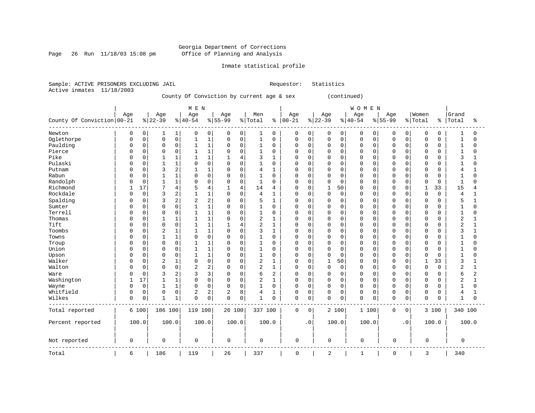Page 26 Run 11/18/03 15:08 pm

### Inmate statistical profile

Sample: ACTIVE PRISONERS EXCLUDING JAIL Requestor: Statistics Active inmates 11/18/2003

## County Of Conviction by current age & sex (continued)

|                            |              |             |             |                | M E N          |                |             |                |                |                |             |             |              |             | WOMEN       |             |             |             |              |               |                |              |
|----------------------------|--------------|-------------|-------------|----------------|----------------|----------------|-------------|----------------|----------------|----------------|-------------|-------------|--------------|-------------|-------------|-------------|-------------|-------------|--------------|---------------|----------------|--------------|
|                            | Age          |             | Age         |                | Age            |                | Age         |                | Men            |                | Age         |             | Age          |             | Age         |             | Age         |             | Women        |               | Grand          |              |
| County Of Conviction 00-21 |              |             | $8 22-39$   |                | $ 40-54$       |                | $8155 - 99$ |                | % Total        | နွ             | $ 00 - 21$  |             | $ 22-39$     |             | $8 40-54$   |             | $8155 - 99$ |             | % Total      | $\frac{8}{6}$ | Total          | ిక           |
| Newton                     | 0            | 0           | 1           | 1              | 0              | 0              | 0           | 0              | 1              | 0              | 0           | 0           | 0            | 0           | 0           | 0           | 0           | 0           | 0            | 0             | 1              | 0            |
| Oglethorpe                 | $\Omega$     | $\mathsf 0$ | $\mathbf 0$ | $\mathbf 0$    | $\mathbf{1}$   | 1              | 0           | $\mathsf{O}$   | $\mathbf{1}$   | $\mathbf 0$    | 0           | 0           | 0            | $\mathbf 0$ | $\mathbf 0$ | $\mathbf 0$ | $\mathbf 0$ | $\Omega$    | $\mathbf 0$  | 0             | $\mathbf{1}$   | 0            |
| Paulding                   | 0            | $\mathsf 0$ | $\Omega$    | $\mathsf 0$    | $\mathbf{1}$   | $1\,$          | 0           | $\mathsf 0$    | 1              | $\mathbf 0$    | 0           | 0           | $\Omega$     | $\mathbf 0$ | $\mathbf 0$ | $\mathbf 0$ | 0           | $\mathbf 0$ | $\mathbf 0$  | 0             | $\mathbf{1}$   | 0            |
| Pierce                     |              | $\mathbf 0$ | $\Omega$    | $\mathbf 0$    | $\mathbf{1}$   | $\mathbf{1}$   | $\Omega$    | $\mathbf 0$    | 1              | $\mathbf 0$    | $\mathbf 0$ | 0           | $\Omega$     | $\Omega$    | $\Omega$    | $\Omega$    | $\Omega$    | $\Omega$    | $\mathbf 0$  | 0             | $\mathbf{1}$   | $\Omega$     |
| Pike                       |              | $\mathbf 0$ |             | $\mathbf{1}$   |                | $\mathbf{1}$   |             | 4              | 3              | 1              | $\mathbf 0$ | 0           | $\Omega$     | $\Omega$    | $\Omega$    | $\Omega$    | $\Omega$    | $\Omega$    | $\mathbf 0$  | O             | 3              |              |
| Pulaski                    |              | $\Omega$    |             | $\mathbf{1}$   | 0              | $\Omega$       | $\Omega$    | $\mathbf 0$    | 1              | $\mathbf 0$    | $\Omega$    | $\Omega$    | $\Omega$     | $\Omega$    | $\Omega$    | $\Omega$    | $\Omega$    | $\Omega$    | $\mathbf 0$  | U             | $\mathbf{1}$   | $\Omega$     |
| Putnam                     | <sup>0</sup> | $\mathbf 0$ | 3           | $\overline{2}$ | $\mathbf{1}$   | $\mathbf{1}$   | 0           | $\mathbf 0$    | 4              | 1              | $\mathbf 0$ | $\Omega$    | $\Omega$     | $\Omega$    | $\Omega$    | $\Omega$    | $\Omega$    | $\Omega$    | $\mathbf 0$  | $\Omega$      | 4              | 1            |
| Rabun                      |              | $\mathbf 0$ |             | $\mathbf{1}$   | $\Omega$       | $\mathbf 0$    | 0           | $\mathbf 0$    | $\mathbf{1}$   | $\mathbf 0$    | $\Omega$    | $\mathbf 0$ | $\Omega$     | $\mathbf 0$ | $\Omega$    | $\mathbf 0$ | $\Omega$    | $\Omega$    | $\Omega$     | 0             | $\overline{1}$ | $\Omega$     |
| Randolph                   |              | $\mathbf 0$ | 1           | $\mathbf{1}$   | $\Omega$       | $\Omega$       | $\Omega$    | $\mathbf 0$    | $\mathbf 1$    | $\mathbf 0$    | $\mathbf 0$ | 0           | $\Omega$     | $\Omega$    | $\Omega$    | $\Omega$    | $\Omega$    | $\Omega$    | $\Omega$     | $\Omega$      | $\mathbf{1}$   | $\Omega$     |
| Richmond                   |              | 17          | 7           | $\overline{4}$ | 5              | $\overline{4}$ | 1           | $\overline{4}$ | 14             | 4              | $\mathbf 0$ | 0           | 1            | 50          | $\Omega$    | 0           | $\Omega$    | $\Omega$    | $\mathbf{1}$ | 33            | 15             | 4            |
| Rockdale                   | <sup>0</sup> | 0           | 3           | $\overline{c}$ |                | $\mathbf{1}$   | $\Omega$    | $\mathbf 0$    | 4              | $\mathbf{1}$   | $\mathbf 0$ | $\mathbf 0$ | $\Omega$     | $\mathbf 0$ | $\Omega$    | $\Omega$    | 0           | $\Omega$    | $\mathbf 0$  | $\Omega$      | 4              | 1            |
| Spalding                   |              | $\mathbf 0$ | 3           | $\overline{c}$ | 2              | $\overline{c}$ | 0           | $\mathbf 0$    | 5              | $\mathbf{1}$   | $\mathbf 0$ | 0           | $\Omega$     | $\Omega$    | $\Omega$    | $\Omega$    | 0           | $\Omega$    | $\mathbf 0$  | $\Omega$      | 5              | 1            |
| Sumter                     | <sup>0</sup> | $\mathbf 0$ | $\Omega$    | $\mathbf 0$    | $\mathbf{1}$   | $\mathbf{1}$   | $\Omega$    | $\mathbf 0$    | $\mathbf{1}$   | $\mathbf 0$    | $\mathbf 0$ | 0           | $\Omega$     | $\Omega$    | $\Omega$    | $\Omega$    | 0           | $\Omega$    | $\mathbf 0$  | $\Omega$      | $\mathbf{1}$   | 0            |
| Terrell                    |              | $\mathsf 0$ | $\Omega$    | $\mathsf 0$    | $\mathbf{1}$   | $\mathbf{1}$   | 0           | $\mathbf 0$    | 1              | $\mathbf 0$    | $\Omega$    | 0           | $\Omega$     | $\mathbf 0$ | $\Omega$    | $\Omega$    | $\Omega$    | $\Omega$    | $\mathbf 0$  | 0             | $\mathbf{1}$   | 0            |
| Thomas                     |              | $\mathbf 0$ | 1           | $\mathbf{1}$   | $\mathbf{1}$   | $\mathbf{1}$   | $\Omega$    | $\mathbf 0$    | 2              | $\mathbf{1}$   | $\Omega$    | $\Omega$    | $\Omega$     | $\Omega$    | $\Omega$    | $\Omega$    | $\Omega$    | $\Omega$    | $\mathbf 0$  | O             | $\sqrt{2}$     | 1            |
| Tift                       | <sup>0</sup> | $\mathbf 0$ | $\mathbf 0$ | $\mathbf 0$    |                | $\mathbf{1}$   |             | 4              | $\overline{2}$ | $\mathbf{1}$   | $\mathbf 0$ | 0           | $\Omega$     | $\Omega$    | $\Omega$    | 0           | $\Omega$    | $\Omega$    | $\mathbf 0$  | O             | $\overline{a}$ | 1            |
| Toombs                     |              | $\mathbf 0$ | 2           | $\mathbf{1}$   |                | $\mathbf{1}$   | 0           | $\mathbf 0$    | 3              | $\mathbf{1}$   | $\mathbf 0$ | $\Omega$    | $\Omega$     | $\Omega$    | $\Omega$    | $\Omega$    | $\Omega$    | $\cap$      | $\mathbf 0$  | 0             | 3              | 1            |
| Towns                      | <sup>0</sup> | $\Omega$    | 1           | $\mathbf{1}$   | $\mathbf 0$    | $\Omega$       | $\Omega$    | $\mathbf 0$    | $\mathbf 1$    | $\Omega$       | $\mathbf 0$ | $\Omega$    | $\Omega$     | $\Omega$    | $\Omega$    | $\Omega$    | $\Omega$    | $\Omega$    | $\mathbf 0$  | $\Omega$      | $\mathbf{1}$   | $\Omega$     |
| Troup                      |              | $\mathbf 0$ | $\Omega$    | $\mathbf 0$    | 1              | $\mathbf{1}$   | 0           | $\mathbf 0$    | 1              | 0              | 0           | 0           | $\Omega$     | $\mathbf 0$ | $\Omega$    | 0           | $\Omega$    | $\Omega$    | $\mathbf 0$  | 0             | $\mathbf{1}$   | O            |
| Union                      |              | $\mathbf 0$ | $\Omega$    | $\mathbf 0$    | $\mathbf{1}$   | $\mathbf{1}$   | 0           | $\mathbf 0$    | 1              | $\Omega$       | $\Omega$    | 0           | $\Omega$     | $\mathbf 0$ | $\Omega$    | $\mathbf 0$ | $\Omega$    | $\Omega$    | $\circ$      | 0             | $\mathbf{1}$   | O            |
| Upson                      | $\Omega$     | $\mathbf 0$ | 0           | $\mathbf 0$    | $\mathbf{1}$   | $\mathbf{1}$   | 0           | $\mathbf 0$    | 1              | $\mathbf 0$    | $\mathbf 0$ | 0           | $\Omega$     | $\mathbf 0$ | $\Omega$    | 0           | 0           | $\Omega$    | $\Omega$     | 0             | $\mathbf{1}$   | $\Omega$     |
| Walker                     |              | $\mathbf 0$ | 2           | $\mathbf{1}$   | $\Omega$       | $\mathbf 0$    | 0           | $\mathbf 0$    | 2              | $\mathbf{1}$   | $\mathbf 0$ | $\mathbf 0$ | $\mathbf{1}$ | 50          | $\Omega$    | $\Omega$    | $\Omega$    | $\Omega$    | $\mathbf{1}$ | 33            | 3              |              |
| Walton                     | <sup>0</sup> | $\mathbf 0$ | $\Omega$    | $\mathbf 0$    | $\overline{2}$ | $\overline{2}$ | $\Omega$    | $\mathbf 0$    | 2              | $\mathbf{1}$   | $\Omega$    | 0           | $\Omega$     | $\mathbf 0$ | $\Omega$    | $\Omega$    | $\Omega$    | $\Omega$    | $\mathbf 0$  | $\Omega$      | $\overline{2}$ | $\mathbf{1}$ |
| Ware                       | <sup>0</sup> | $\mathbf 0$ | 3           | $\overline{2}$ | 3              | 3              | $\Omega$    | $\mathbf 0$    | 6              | $\overline{2}$ | 0           | 0           | 0            | 0           | $\mathbf 0$ | $\Omega$    | 0           | $\Omega$    | $\mathbf 0$  | 0             | 6              | 2            |
| Washington                 |              | 17          |             | $\mathbf{1}$   | 0              | $\mathbf 0$    | 0           | $\mathbf 0$    | 2              | $\mathbf{1}$   | $\Omega$    | 0           | $\Omega$     | $\mathbf 0$ | $\Omega$    | 0           | 0           | $\Omega$    | $\mathbf 0$  | 0             | 2              | $\mathbf{1}$ |
| Wayne                      |              | 0           | 1           | $1\,$          | $\Omega$       | $\mathbf 0$    | 0           | $\mathbf 0$    | $\mathbf{1}$   | $\Omega$       | $\mathbf 0$ | 0           | $\Omega$     | $\Omega$    | $\mathbf 0$ | $\mathbf 0$ | $\mathbf 0$ | $\Omega$    | $\mathbf 0$  | 0             | $\mathbf{1}$   | 0            |
| Whitfield                  | $\Omega$     | 0           | $\mathbf 0$ | $\mathbf 0$    | 2              | 2              | 2           | 8              | 4              | 1              | 0           | 0           | $\mathbf 0$  | 0           | $\mathbf 0$ | 0           | $\mathbf 0$ | 0           | $\mathbf 0$  | 0             | 4              | 1            |
| Wilkes                     | $\mathbf 0$  | 0           |             | 1              | $\Omega$       | 0              | 0           | $\mathbf 0$    | 1              | 0              | $\mathbf 0$ | 0           | $\mathsf 0$  | 0           | $\mathbf 0$ | 0           | $\mathbf 0$ | 0           | $\mathbf 0$  | 0             | $\mathbf{1}$   | $\Omega$     |
| Total reported             |              | 6 100       | 186 100     |                | 119 100        |                | 26 100      |                | 337 100        |                | $\mathbf 0$ | $\Omega$    |              | 2 100       | 1 100       |             | $\mathbf 0$ | 0           |              | 3 100         | 340 100        |              |
| Percent reported           |              | 100.0       |             | 100.0          | 100.0          |                | 100.0       |                | 100.0          |                |             | $\cdot$ 0   |              | 100.0       | 100.0       |             |             | $\cdot$ 0   |              | 100.0         |                | 100.0        |
| Not reported               | 0            |             | 0           |                | 0              |                | 0           |                | $\mathbf 0$    |                | $\mathbf 0$ |             | 0            |             | $\mathbf 0$ |             | 0           |             | $\mathbf 0$  |               | 0              |              |
| Total                      | 6            |             | 186         |                | 119            |                | 26          |                | 337            |                | $\mathbf 0$ |             | 2            |             | 1           |             | 0           |             | 3            |               | 340            |              |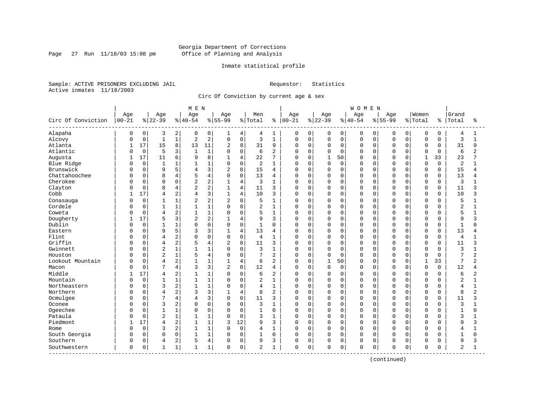Page  $27$  Run  $11/18/03$  15:08 pm

### Inmate statistical profile

Sample: ACTIVE PRISONERS EXCLUDING JAIL Requestor: Statistics Active inmates 11/18/2003

Circ Of Conviction by current age & sex

| Age<br>Age<br>Women<br>Age<br>Age<br>Men<br>Age<br>Age<br>Age<br>Grand<br>Age<br>Circ Of Conviction<br>$00 - 21$<br>$8 22-39$<br>$ 40-54$<br>$8 55-99$<br>$00 - 21$<br>$ 22-39$<br>$8 55-99$<br>% Total<br>$ 40-54$<br>% Total<br>Total<br>ႜ<br>နွ<br>Alapaha<br>0<br>$\overline{a}$<br>0<br>0<br>0<br>3<br>0<br>4<br>4<br>0<br>0<br>0<br>0<br>0<br>0<br>0<br>0<br>1<br>0<br>1<br>$\overline{c}$<br>$\mathbf 1$<br>$\mathsf 0$<br>$\mathsf 0$<br>$\mathbf{1}$<br>2<br>$\mathbf 0$<br>3<br>$1\,$<br>$\mathbf 0$<br>$\mathsf 0$<br>$\mathbf 0$<br>$\mathsf 0$<br>Alcovy<br>$\Omega$<br>0<br>0<br>$\Omega$<br>0<br>$\mathbf 0$<br>U<br>17<br>15<br>8<br>8<br>9<br>Atlanta<br>13<br>11<br>$\overline{c}$<br>31<br>0<br>$\mathbf 0$<br>0<br>$\mathbf 0$<br>$\mathbf 0$<br>$\Omega$<br>$\mathbf 0$<br>$\mathbf{1}$<br>0<br>$\Omega$<br>0<br>Atlantic<br>$\mathbf 0$<br>5<br>3<br>$\mathbf{1}$<br>$\mathbf 0$<br>$\overline{2}$<br>$\Omega$<br>6<br>$\mathbf 0$<br>0<br>$\mathbf 0$<br>$\mathbf 0$<br>$\Omega$<br>$\Omega$<br>$\Omega$<br>0<br>$\Omega$<br>$\Omega$<br>U<br>6<br>17<br>11<br>8<br>Augusta<br>4<br>22<br>7<br>$\Omega$<br>1<br>50<br>$\Omega$<br>1<br>33<br>9<br>1<br><sup>0</sup><br>$\Omega$<br>U<br>0<br>1<br>$\mathbf 0$<br>1<br>$1\,$<br>$\mathbf 0$<br>Blue Ridge<br>$\mathbf{1}$<br>$\mathbf 0$<br>2<br>$\mathbf 0$<br>0<br>$\mathbf 0$<br>$\Omega$<br>$\mathbf 0$<br>$\Omega$<br>$\mathbf{1}$<br>0<br>$\Omega$<br>$\Omega$<br>0<br>3<br>Brunswick<br>5<br>8<br>15<br>$\mathbf 0$<br>9<br>2<br>$\mathbf 0$<br>0<br>$\mathbf 0$<br>$\Omega$<br>$\mathbf 0$<br>4<br>0<br>0<br>0<br>0<br>0<br>4<br>Chattahoochee<br>8<br>$\overline{4}$<br>$\mathbf 0$<br>13<br>$\mathbf 0$<br>4<br>$\Omega$<br>$\mathbf 0$<br>$\mathbf 0$<br>$\Omega$<br>$\Omega$<br>$\Omega$<br>$\Omega$<br>U<br>4<br>0<br>0<br>0<br>O<br>$\overline{c}$<br>Cherokee<br>$\overline{4}$<br>0<br>0<br>0<br>0<br>2<br>3<br>0<br>0<br>0<br>0<br>$\Omega$<br>O<br>$\Omega$<br>0<br>1<br>$\Omega$<br>$\overline{c}$<br>Clayton<br>$\mathbf 0$<br>8<br>4<br>$\overline{2}$<br>4<br>11<br>$\mathbf 0$<br>$\Omega$<br>3<br>$\Omega$<br>$\mathbf 0$<br>0<br>$\Omega$<br>$\Omega$<br>$\Omega$<br>$\Omega$<br>$\mathbf 0$<br>Ω<br>3<br>17<br>2<br>4<br>Cobb<br>10<br>$\Omega$<br>4<br>$\mathbf{1}$<br>3<br>$\Omega$<br>$\Omega$<br>0<br>$\Omega$<br>$\Omega$<br>$\Omega$<br>$\Omega$<br>$\Omega$<br>$\Omega$<br>4<br>2<br>$\mathbf 0$<br>$\mathbf 1$<br>8<br>2<br>$\overline{2}$<br>$\mathbf 0$<br>$\mathbf 0$<br>$\Omega$<br>Conasauga<br>$\mathbf{1}$<br>5<br>$\mathbf{1}$<br>0<br>0<br>$\Omega$<br>0<br>$\Omega$<br>O<br>O<br>$1\,$<br>Cordele<br>$\mathsf 0$<br>$\mathbf{1}$<br>$\mathbf 1$<br>0<br>2<br>$\Omega$<br>$\Omega$<br>$\mathbf{1}$<br>$\mathbf 0$<br>0<br>$\mathbf 0$<br>0<br>$\Omega$<br>0<br>0<br>$\Omega$<br>$\Omega$<br>2<br>$1\,$<br>Coweta<br>$\mathbf 0$<br>4<br>$\Omega$<br>5<br>$\mathbf{1}$<br>$\mathbf 0$<br>$\Omega$<br>$\Omega$<br>$\Omega$<br>$\Omega$<br>0<br>0<br>0<br>$\Omega$<br>O<br>$\Omega$ |                                |
|---------------------------------------------------------------------------------------------------------------------------------------------------------------------------------------------------------------------------------------------------------------------------------------------------------------------------------------------------------------------------------------------------------------------------------------------------------------------------------------------------------------------------------------------------------------------------------------------------------------------------------------------------------------------------------------------------------------------------------------------------------------------------------------------------------------------------------------------------------------------------------------------------------------------------------------------------------------------------------------------------------------------------------------------------------------------------------------------------------------------------------------------------------------------------------------------------------------------------------------------------------------------------------------------------------------------------------------------------------------------------------------------------------------------------------------------------------------------------------------------------------------------------------------------------------------------------------------------------------------------------------------------------------------------------------------------------------------------------------------------------------------------------------------------------------------------------------------------------------------------------------------------------------------------------------------------------------------------------------------------------------------------------------------------------------------------------------------------------------------------------------------------------------------------------------------------------------------------------------------------------------------------------------------------------------------------------------------------------------------------------------------------------------------------------------------------------------------------------------------------------------------------------------------------------------------------------------------------------------------------------------------------------------------------------------------------------------------------------------------------------------------------------------------------------------------------------------------------------------------------------------------------------------------------------------------------------------------------------------------------------|--------------------------------|
|                                                                                                                                                                                                                                                                                                                                                                                                                                                                                                                                                                                                                                                                                                                                                                                                                                                                                                                                                                                                                                                                                                                                                                                                                                                                                                                                                                                                                                                                                                                                                                                                                                                                                                                                                                                                                                                                                                                                                                                                                                                                                                                                                                                                                                                                                                                                                                                                                                                                                                                                                                                                                                                                                                                                                                                                                                                                                                                                                                                                   |                                |
|                                                                                                                                                                                                                                                                                                                                                                                                                                                                                                                                                                                                                                                                                                                                                                                                                                                                                                                                                                                                                                                                                                                                                                                                                                                                                                                                                                                                                                                                                                                                                                                                                                                                                                                                                                                                                                                                                                                                                                                                                                                                                                                                                                                                                                                                                                                                                                                                                                                                                                                                                                                                                                                                                                                                                                                                                                                                                                                                                                                                   | ႜ                              |
|                                                                                                                                                                                                                                                                                                                                                                                                                                                                                                                                                                                                                                                                                                                                                                                                                                                                                                                                                                                                                                                                                                                                                                                                                                                                                                                                                                                                                                                                                                                                                                                                                                                                                                                                                                                                                                                                                                                                                                                                                                                                                                                                                                                                                                                                                                                                                                                                                                                                                                                                                                                                                                                                                                                                                                                                                                                                                                                                                                                                   | 4<br>1                         |
|                                                                                                                                                                                                                                                                                                                                                                                                                                                                                                                                                                                                                                                                                                                                                                                                                                                                                                                                                                                                                                                                                                                                                                                                                                                                                                                                                                                                                                                                                                                                                                                                                                                                                                                                                                                                                                                                                                                                                                                                                                                                                                                                                                                                                                                                                                                                                                                                                                                                                                                                                                                                                                                                                                                                                                                                                                                                                                                                                                                                   | 3<br>$\mathbf{1}$              |
|                                                                                                                                                                                                                                                                                                                                                                                                                                                                                                                                                                                                                                                                                                                                                                                                                                                                                                                                                                                                                                                                                                                                                                                                                                                                                                                                                                                                                                                                                                                                                                                                                                                                                                                                                                                                                                                                                                                                                                                                                                                                                                                                                                                                                                                                                                                                                                                                                                                                                                                                                                                                                                                                                                                                                                                                                                                                                                                                                                                                   | 31<br>9                        |
|                                                                                                                                                                                                                                                                                                                                                                                                                                                                                                                                                                                                                                                                                                                                                                                                                                                                                                                                                                                                                                                                                                                                                                                                                                                                                                                                                                                                                                                                                                                                                                                                                                                                                                                                                                                                                                                                                                                                                                                                                                                                                                                                                                                                                                                                                                                                                                                                                                                                                                                                                                                                                                                                                                                                                                                                                                                                                                                                                                                                   | 6                              |
|                                                                                                                                                                                                                                                                                                                                                                                                                                                                                                                                                                                                                                                                                                                                                                                                                                                                                                                                                                                                                                                                                                                                                                                                                                                                                                                                                                                                                                                                                                                                                                                                                                                                                                                                                                                                                                                                                                                                                                                                                                                                                                                                                                                                                                                                                                                                                                                                                                                                                                                                                                                                                                                                                                                                                                                                                                                                                                                                                                                                   | 23                             |
|                                                                                                                                                                                                                                                                                                                                                                                                                                                                                                                                                                                                                                                                                                                                                                                                                                                                                                                                                                                                                                                                                                                                                                                                                                                                                                                                                                                                                                                                                                                                                                                                                                                                                                                                                                                                                                                                                                                                                                                                                                                                                                                                                                                                                                                                                                                                                                                                                                                                                                                                                                                                                                                                                                                                                                                                                                                                                                                                                                                                   | $\overline{2}$                 |
|                                                                                                                                                                                                                                                                                                                                                                                                                                                                                                                                                                                                                                                                                                                                                                                                                                                                                                                                                                                                                                                                                                                                                                                                                                                                                                                                                                                                                                                                                                                                                                                                                                                                                                                                                                                                                                                                                                                                                                                                                                                                                                                                                                                                                                                                                                                                                                                                                                                                                                                                                                                                                                                                                                                                                                                                                                                                                                                                                                                                   | 15<br>4                        |
|                                                                                                                                                                                                                                                                                                                                                                                                                                                                                                                                                                                                                                                                                                                                                                                                                                                                                                                                                                                                                                                                                                                                                                                                                                                                                                                                                                                                                                                                                                                                                                                                                                                                                                                                                                                                                                                                                                                                                                                                                                                                                                                                                                                                                                                                                                                                                                                                                                                                                                                                                                                                                                                                                                                                                                                                                                                                                                                                                                                                   | 13                             |
|                                                                                                                                                                                                                                                                                                                                                                                                                                                                                                                                                                                                                                                                                                                                                                                                                                                                                                                                                                                                                                                                                                                                                                                                                                                                                                                                                                                                                                                                                                                                                                                                                                                                                                                                                                                                                                                                                                                                                                                                                                                                                                                                                                                                                                                                                                                                                                                                                                                                                                                                                                                                                                                                                                                                                                                                                                                                                                                                                                                                   | 3                              |
|                                                                                                                                                                                                                                                                                                                                                                                                                                                                                                                                                                                                                                                                                                                                                                                                                                                                                                                                                                                                                                                                                                                                                                                                                                                                                                                                                                                                                                                                                                                                                                                                                                                                                                                                                                                                                                                                                                                                                                                                                                                                                                                                                                                                                                                                                                                                                                                                                                                                                                                                                                                                                                                                                                                                                                                                                                                                                                                                                                                                   | 11<br>ς                        |
|                                                                                                                                                                                                                                                                                                                                                                                                                                                                                                                                                                                                                                                                                                                                                                                                                                                                                                                                                                                                                                                                                                                                                                                                                                                                                                                                                                                                                                                                                                                                                                                                                                                                                                                                                                                                                                                                                                                                                                                                                                                                                                                                                                                                                                                                                                                                                                                                                                                                                                                                                                                                                                                                                                                                                                                                                                                                                                                                                                                                   | 10<br>3                        |
|                                                                                                                                                                                                                                                                                                                                                                                                                                                                                                                                                                                                                                                                                                                                                                                                                                                                                                                                                                                                                                                                                                                                                                                                                                                                                                                                                                                                                                                                                                                                                                                                                                                                                                                                                                                                                                                                                                                                                                                                                                                                                                                                                                                                                                                                                                                                                                                                                                                                                                                                                                                                                                                                                                                                                                                                                                                                                                                                                                                                   | 5                              |
|                                                                                                                                                                                                                                                                                                                                                                                                                                                                                                                                                                                                                                                                                                                                                                                                                                                                                                                                                                                                                                                                                                                                                                                                                                                                                                                                                                                                                                                                                                                                                                                                                                                                                                                                                                                                                                                                                                                                                                                                                                                                                                                                                                                                                                                                                                                                                                                                                                                                                                                                                                                                                                                                                                                                                                                                                                                                                                                                                                                                   | $\overline{2}$                 |
|                                                                                                                                                                                                                                                                                                                                                                                                                                                                                                                                                                                                                                                                                                                                                                                                                                                                                                                                                                                                                                                                                                                                                                                                                                                                                                                                                                                                                                                                                                                                                                                                                                                                                                                                                                                                                                                                                                                                                                                                                                                                                                                                                                                                                                                                                                                                                                                                                                                                                                                                                                                                                                                                                                                                                                                                                                                                                                                                                                                                   | 5                              |
| Dougherty<br>3<br>$\overline{2}$<br>17<br>5<br>2<br>$\overline{4}$<br>9<br>3<br>$\mathbf 0$<br>0<br>$\Omega$<br>0<br>0<br>$\Omega$<br>0<br>0<br>0<br>0                                                                                                                                                                                                                                                                                                                                                                                                                                                                                                                                                                                                                                                                                                                                                                                                                                                                                                                                                                                                                                                                                                                                                                                                                                                                                                                                                                                                                                                                                                                                                                                                                                                                                                                                                                                                                                                                                                                                                                                                                                                                                                                                                                                                                                                                                                                                                                                                                                                                                                                                                                                                                                                                                                                                                                                                                                            | 9<br>3                         |
| Dublin<br>$\mathbf 0$<br>$\mathbf 0$<br>$\mathbf 0$<br>$\mathbf{1}$<br>1<br>$\Omega$<br>$\mathbf 0$<br>$\Omega$<br>$\Omega$<br>0<br>0<br>0<br>0<br>$\Omega$<br>$\Omega$<br>$\Omega$<br>O<br>$\Omega$<br>1<br>Ω                                                                                                                                                                                                                                                                                                                                                                                                                                                                                                                                                                                                                                                                                                                                                                                                                                                                                                                                                                                                                                                                                                                                                                                                                                                                                                                                                                                                                                                                                                                                                                                                                                                                                                                                                                                                                                                                                                                                                                                                                                                                                                                                                                                                                                                                                                                                                                                                                                                                                                                                                                                                                                                                                                                                                                                    | -1                             |
| 5<br>3<br>$\Omega$<br>9<br>4<br>13<br>$\Omega$<br>Eastern<br>$\Omega$<br>0<br>$\Omega$<br>$\Omega$<br>$\Omega$<br>$\Omega$<br>$\Omega$<br>3<br>$\mathbf{1}$<br>4<br>0<br><sup>0</sup>                                                                                                                                                                                                                                                                                                                                                                                                                                                                                                                                                                                                                                                                                                                                                                                                                                                                                                                                                                                                                                                                                                                                                                                                                                                                                                                                                                                                                                                                                                                                                                                                                                                                                                                                                                                                                                                                                                                                                                                                                                                                                                                                                                                                                                                                                                                                                                                                                                                                                                                                                                                                                                                                                                                                                                                                             | 13                             |
| 2<br>$\mathbf 0$<br>$\mathbf 0$<br>Flint<br>0<br>$\Omega$<br>$\Omega$<br>4<br>$\overline{4}$<br>$\mathbf{1}$<br>$\mathbf 0$<br>0<br>$\Omega$<br>$\Omega$<br>$\Omega$<br>$\Omega$<br>$\mathbf 0$<br>$\Omega$<br>$\Omega$<br>0                                                                                                                                                                                                                                                                                                                                                                                                                                                                                                                                                                                                                                                                                                                                                                                                                                                                                                                                                                                                                                                                                                                                                                                                                                                                                                                                                                                                                                                                                                                                                                                                                                                                                                                                                                                                                                                                                                                                                                                                                                                                                                                                                                                                                                                                                                                                                                                                                                                                                                                                                                                                                                                                                                                                                                      | $\overline{4}$                 |
| Griffin<br>2<br>0<br>$\overline{4}$<br>$\overline{2}$<br>8<br>11<br>3<br>$\Omega$<br>$\mathbf 0$<br>0<br>$\mathbf 0$<br>$\Omega$<br>0<br>$\Omega$<br>$\Omega$<br>$\Omega$<br>$\mathbf 0$<br>4                                                                                                                                                                                                                                                                                                                                                                                                                                                                                                                                                                                                                                                                                                                                                                                                                                                                                                                                                                                                                                                                                                                                                                                                                                                                                                                                                                                                                                                                                                                                                                                                                                                                                                                                                                                                                                                                                                                                                                                                                                                                                                                                                                                                                                                                                                                                                                                                                                                                                                                                                                                                                                                                                                                                                                                                     | 11<br>3                        |
| Gwinnett<br>0<br>$\overline{2}$<br>$\mathbf 1$<br>$1\,$<br>$\mathbf 0$<br>$\Omega$<br>3<br>$\mathbf{1}$<br>$\Omega$<br>$\mathbf 0$<br>$\Omega$<br>$\Omega$<br>$\Omega$<br>$\Omega$<br>$\Omega$<br>U<br>$\Omega$<br>O<br>$\Omega$                                                                                                                                                                                                                                                                                                                                                                                                                                                                                                                                                                                                                                                                                                                                                                                                                                                                                                                                                                                                                                                                                                                                                                                                                                                                                                                                                                                                                                                                                                                                                                                                                                                                                                                                                                                                                                                                                                                                                                                                                                                                                                                                                                                                                                                                                                                                                                                                                                                                                                                                                                                                                                                                                                                                                                  | 3                              |
| Houston<br>$\overline{2}$<br>1<br>$\overline{4}$<br>0<br>$\Omega$<br>0<br>5<br>2<br>$\mathbf 0$<br>0<br>$\mathbf 0$<br>$\Omega$<br>Ω<br>$\Omega$<br>0<br>$\Omega$<br>$\Omega$<br>O<br>$\Omega$                                                                                                                                                                                                                                                                                                                                                                                                                                                                                                                                                                                                                                                                                                                                                                                                                                                                                                                                                                                                                                                                                                                                                                                                                                                                                                                                                                                                                                                                                                                                                                                                                                                                                                                                                                                                                                                                                                                                                                                                                                                                                                                                                                                                                                                                                                                                                                                                                                                                                                                                                                                                                                                                                                                                                                                                    | 7<br>$\overline{2}$            |
| 2<br>$\mathbf{1}$<br>Lookout Mountain<br>0<br>$\overline{4}$<br>6<br>2<br>$\mathbf 0$<br>$\mathbf{1}$<br>50<br>$\mathbf 0$<br>1<br>33<br>U<br>4<br>0<br>$\Omega$<br><sup>0</sup><br>O                                                                                                                                                                                                                                                                                                                                                                                                                                                                                                                                                                                                                                                                                                                                                                                                                                                                                                                                                                                                                                                                                                                                                                                                                                                                                                                                                                                                                                                                                                                                                                                                                                                                                                                                                                                                                                                                                                                                                                                                                                                                                                                                                                                                                                                                                                                                                                                                                                                                                                                                                                                                                                                                                                                                                                                                             | 7<br>2                         |
| 3<br>8<br>$\mathbf 0$<br>7<br>$\overline{4}$<br>$\overline{2}$<br>12<br>3<br>$\mathbf 0$<br>0<br>$\mathbf 0$<br>$\mathbf 0$<br>$\Omega$<br>$\Omega$<br>$\Omega$<br>Macon<br>4<br>0<br>$\Omega$<br><sup>0</sup><br>U                                                                                                                                                                                                                                                                                                                                                                                                                                                                                                                                                                                                                                                                                                                                                                                                                                                                                                                                                                                                                                                                                                                                                                                                                                                                                                                                                                                                                                                                                                                                                                                                                                                                                                                                                                                                                                                                                                                                                                                                                                                                                                                                                                                                                                                                                                                                                                                                                                                                                                                                                                                                                                                                                                                                                                               | 12<br>4                        |
| Middle<br>17<br>2<br>$\mathbf{1}$<br>$\Omega$<br>6<br>$\overline{2}$<br>$\Omega$<br>$\Omega$<br>$\Omega$<br>$\Omega$<br>$\Omega$<br>$\Omega$<br>$\Omega$<br>$\Omega$<br>4<br>$\Omega$<br>$\Omega$<br>$\Omega$<br>1                                                                                                                                                                                                                                                                                                                                                                                                                                                                                                                                                                                                                                                                                                                                                                                                                                                                                                                                                                                                                                                                                                                                                                                                                                                                                                                                                                                                                                                                                                                                                                                                                                                                                                                                                                                                                                                                                                                                                                                                                                                                                                                                                                                                                                                                                                                                                                                                                                                                                                                                                                                                                                                                                                                                                                                | 6<br>2                         |
| 1<br>$\mathbf 1$<br>Mountain<br>$\mathbf 0$<br>$\mathbf{1}$<br>0<br>$\overline{2}$<br>$\mathbf{1}$<br>$\Omega$<br>$\Omega$<br>$\Omega$<br>$\Omega$<br>$\mathbf 0$<br>0<br>$\mathbf 0$<br>0<br>0<br>$\Omega$<br>$\Omega$                                                                                                                                                                                                                                                                                                                                                                                                                                                                                                                                                                                                                                                                                                                                                                                                                                                                                                                                                                                                                                                                                                                                                                                                                                                                                                                                                                                                                                                                                                                                                                                                                                                                                                                                                                                                                                                                                                                                                                                                                                                                                                                                                                                                                                                                                                                                                                                                                                                                                                                                                                                                                                                                                                                                                                           | $\overline{2}$                 |
| 3<br>2<br>$1\,$<br>Northeastern<br>$\mathbf 0$<br>$\Omega$<br>$\Omega$<br>$\mathbf{1}$<br>$\Omega$<br>4<br>$\mathbf{1}$<br>$\mathbf 0$<br>$\Omega$<br>$\Omega$<br>$\Omega$<br>$\Omega$<br>0<br>0<br>$\Omega$<br>$\Omega$                                                                                                                                                                                                                                                                                                                                                                                                                                                                                                                                                                                                                                                                                                                                                                                                                                                                                                                                                                                                                                                                                                                                                                                                                                                                                                                                                                                                                                                                                                                                                                                                                                                                                                                                                                                                                                                                                                                                                                                                                                                                                                                                                                                                                                                                                                                                                                                                                                                                                                                                                                                                                                                                                                                                                                          | $\overline{4}$<br>$\mathbf{1}$ |
| 2<br>3<br>Northern<br>$\overline{4}$<br>$\overline{2}$<br>0<br>ζ<br>8<br>$\Omega$<br>$\Omega$<br>$\Omega$<br>U<br>4<br>0<br>0<br>0<br>0<br>$\Omega$<br>O<br>$\Omega$                                                                                                                                                                                                                                                                                                                                                                                                                                                                                                                                                                                                                                                                                                                                                                                                                                                                                                                                                                                                                                                                                                                                                                                                                                                                                                                                                                                                                                                                                                                                                                                                                                                                                                                                                                                                                                                                                                                                                                                                                                                                                                                                                                                                                                                                                                                                                                                                                                                                                                                                                                                                                                                                                                                                                                                                                              | 8<br>$\overline{2}$            |
| Ocmulgee<br>$\overline{4}$<br>3<br>$\mathbf 0$<br>0<br>7<br>11<br>3<br>$\mathbf 0$<br>0<br>$\Omega$<br>$\mathbf 0$<br>$\Omega$<br>$\Omega$<br>0<br>$\Omega$<br><sup>0</sup><br>O<br>$\Omega$<br>Λ<br>4                                                                                                                                                                                                                                                                                                                                                                                                                                                                                                                                                                                                                                                                                                                                                                                                                                                                                                                                                                                                                                                                                                                                                                                                                                                                                                                                                                                                                                                                                                                                                                                                                                                                                                                                                                                                                                                                                                                                                                                                                                                                                                                                                                                                                                                                                                                                                                                                                                                                                                                                                                                                                                                                                                                                                                                            | 11<br>3                        |
| 3<br>2<br>$\mathbf 0$<br>0<br>Oconee<br>0<br>$\Omega$<br>3<br>$\mathbf 0$<br>O<br>$\Omega$<br>$\Omega$<br>$\Omega$<br>$\Omega$<br>$\Omega$<br>$\mathbf{1}$<br>0<br>$\Omega$<br>$\Omega$<br>$\Omega$                                                                                                                                                                                                                                                                                                                                                                                                                                                                                                                                                                                                                                                                                                                                                                                                                                                                                                                                                                                                                                                                                                                                                                                                                                                                                                                                                                                                                                                                                                                                                                                                                                                                                                                                                                                                                                                                                                                                                                                                                                                                                                                                                                                                                                                                                                                                                                                                                                                                                                                                                                                                                                                                                                                                                                                               | 3                              |
| Ogeechee<br>$\mathsf 0$<br>1<br>0<br>$\mathsf 0$<br>1<br>$\mathbf 0$<br>$\mathbf 0$<br>$\Omega$<br>$\mathbf 0$<br>$\Omega$<br>0<br>0<br>0<br>0<br>$\Omega$<br>0<br>$\Omega$<br>0<br>1                                                                                                                                                                                                                                                                                                                                                                                                                                                                                                                                                                                                                                                                                                                                                                                                                                                                                                                                                                                                                                                                                                                                                                                                                                                                                                                                                                                                                                                                                                                                                                                                                                                                                                                                                                                                                                                                                                                                                                                                                                                                                                                                                                                                                                                                                                                                                                                                                                                                                                                                                                                                                                                                                                                                                                                                             | 1<br>O                         |
| $\overline{2}$<br>Pataula<br>$\mathbf 1$<br>$1\,$<br>$\mathbf 0$<br>$\mathbf 0$<br>3<br>$\mathbf{1}$<br>$\mathbf 0$<br>0<br>$\mathbf 0$<br>$\Omega$<br>0<br>$\Omega$<br>$\Omega$<br>0<br>0<br>$\Omega$<br>$\Omega$                                                                                                                                                                                                                                                                                                                                                                                                                                                                                                                                                                                                                                                                                                                                                                                                                                                                                                                                                                                                                                                                                                                                                                                                                                                                                                                                                                                                                                                                                                                                                                                                                                                                                                                                                                                                                                                                                                                                                                                                                                                                                                                                                                                                                                                                                                                                                                                                                                                                                                                                                                                                                                                                                                                                                                                | 3                              |
| Piedmont<br>17<br>$\overline{a}$<br>$\mathbf{1}$<br>12<br>9<br>3<br>$\mathbf 0$<br>$\mathbf 0$<br>4<br>3<br>0<br>0<br>0<br>0<br>$\Omega$<br>$\Omega$<br>0<br>-1<br>$\Omega$                                                                                                                                                                                                                                                                                                                                                                                                                                                                                                                                                                                                                                                                                                                                                                                                                                                                                                                                                                                                                                                                                                                                                                                                                                                                                                                                                                                                                                                                                                                                                                                                                                                                                                                                                                                                                                                                                                                                                                                                                                                                                                                                                                                                                                                                                                                                                                                                                                                                                                                                                                                                                                                                                                                                                                                                                       | 9<br>3                         |
| 2<br>$\mathbf 0$<br>3<br>1<br>$\mathbf 0$<br>$\mathbf 0$<br>$\mathbf 0$<br>4<br>0<br>0<br>0<br>0<br>$\Omega$<br>0<br>$\Omega$<br>Rome<br>0<br>$\mathbf{1}$<br>$\Omega$                                                                                                                                                                                                                                                                                                                                                                                                                                                                                                                                                                                                                                                                                                                                                                                                                                                                                                                                                                                                                                                                                                                                                                                                                                                                                                                                                                                                                                                                                                                                                                                                                                                                                                                                                                                                                                                                                                                                                                                                                                                                                                                                                                                                                                                                                                                                                                                                                                                                                                                                                                                                                                                                                                                                                                                                                            | 4                              |
| $1\,$<br>South Georgia<br>$\mathbf 0$<br>0<br>$\mathbf 0$<br>$\Omega$<br>$\mathbf{1}$<br>$\Omega$<br>$\mathbf{1}$<br>$\Omega$<br>$\Omega$<br>$\mathbf 0$<br>$\Omega$<br>$\Omega$<br>$\Omega$<br>0<br>$\Omega$<br>0<br>$\Omega$<br>U<br>$\Omega$                                                                                                                                                                                                                                                                                                                                                                                                                                                                                                                                                                                                                                                                                                                                                                                                                                                                                                                                                                                                                                                                                                                                                                                                                                                                                                                                                                                                                                                                                                                                                                                                                                                                                                                                                                                                                                                                                                                                                                                                                                                                                                                                                                                                                                                                                                                                                                                                                                                                                                                                                                                                                                                                                                                                                   | $\mathbf{1}$<br>$\Omega$       |
| $\overline{4}$<br>Southern<br>2<br>0<br>5<br>$\mathbf 0$<br>9<br>3<br>$\Omega$<br>$\mathbf 0$<br>$\mathbf 0$<br>0<br>$\Omega$<br>0<br>0<br>$\Omega$<br>0<br>$\Omega$<br>0<br>O<br>4                                                                                                                                                                                                                                                                                                                                                                                                                                                                                                                                                                                                                                                                                                                                                                                                                                                                                                                                                                                                                                                                                                                                                                                                                                                                                                                                                                                                                                                                                                                                                                                                                                                                                                                                                                                                                                                                                                                                                                                                                                                                                                                                                                                                                                                                                                                                                                                                                                                                                                                                                                                                                                                                                                                                                                                                               | 9<br>3                         |
| Southwestern<br>0<br>$\mathbf{1}$<br>$\mathbf 1$<br>0<br>2<br>0<br>0<br>$\mathbf 0$<br>0<br>$\mathbf 0$<br>0<br>$\mathbf{1}$<br>1<br>$\Omega$<br>0<br>0<br>0<br>$\Omega$<br>1<br>0<br>-----------------------                                                                                                                                                                                                                                                                                                                                                                                                                                                                                                                                                                                                                                                                                                                                                                                                                                                                                                                                                                                                                                                                                                                                                                                                                                                                                                                                                                                                                                                                                                                                                                                                                                                                                                                                                                                                                                                                                                                                                                                                                                                                                                                                                                                                                                                                                                                                                                                                                                                                                                                                                                                                                                                                                                                                                                                     | 2                              |

(continued)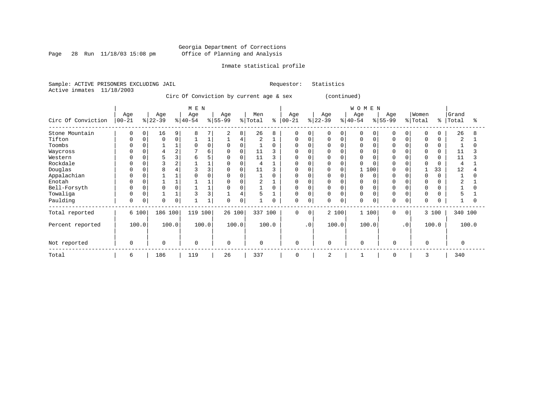Page 28 Run 11/18/03 15:08 pm

### Inmate statistical profile

Sample: ACTIVE PRISONERS EXCLUDING JAIL Requestor: Statistics Active inmates 11/18/2003

Circ Of Conviction by current age & sex (continued)

|                    |                   |       |                  |                | M E N           |          |                  |          |                |          |                   |           |                  |             | WOMEN           |          |                 |           |                  |          |                |       |
|--------------------|-------------------|-------|------------------|----------------|-----------------|----------|------------------|----------|----------------|----------|-------------------|-----------|------------------|-------------|-----------------|----------|-----------------|-----------|------------------|----------|----------------|-------|
| Circ Of Conviction | Age<br>$ 00 - 21$ |       | Age<br>$ 22-39 $ |                | Age<br>$ 40-54$ |          | Age<br>$8 55-99$ |          | Men<br>% Total | ి        | Age<br>$ 00 - 21$ |           | Age<br>$ 22-39 $ |             | Age<br>$ 40-54$ |          | Age<br>$ 55-99$ |           | Women<br>% Total | ႜ        | Grand<br>Total | °     |
| Stone Mountain     | 0                 | 0     | 16               | 9              | 8               |          | 2                | 8        | 26             | 8        | $\mathbf 0$       | 0         | 0                | $\mathbf 0$ | 0               | $\Omega$ | 0               | 0         | $\Omega$         | $\Omega$ | 26             |       |
| Tifton             | $\Omega$          | 0     | $\Omega$         | 0              |                 |          |                  | 4        | 2              |          | $\mathbf 0$       | 0         | 0                | $\mathbf 0$ | 0               | $\Omega$ | $\Omega$        | 0         | $\mathbf 0$      |          | 2              |       |
| Toombs             | $\Omega$          |       |                  |                | $\Omega$        | $\Omega$ | $\mathbf 0$      | 0        |                | $\Omega$ | $\Omega$          |           | <sup>0</sup>     | $\Omega$    | 0               |          | $\Omega$        |           | $\mathbf 0$      | 0        |                |       |
| Waycross           |                   |       |                  | $\overline{2}$ |                 | б        | 0                | 0        | 11             | 3        | <sup>0</sup>      |           | N                |             |                 |          |                 |           | $\Omega$         | O        | 11             |       |
| Western            | $\Omega$          |       |                  | 3              | 6               |          | 0                | 0        | 11             |          | 0                 |           | O                | 0           |                 |          | 0               |           | $\Omega$         | O        | 11             |       |
| Rockdale           | $\Omega$          |       |                  | $\overline{2}$ |                 |          | $\Omega$         | $\Omega$ | 4              |          | <sup>0</sup>      |           | U                | $\Omega$    |                 |          | $\cap$          |           | $\Omega$         |          | $\overline{4}$ |       |
| Douglas            | $\Omega$          |       | 8                |                |                 |          | 0                | 0        | 11             | 3        | 0                 |           |                  | 0           |                 | 100      |                 |           |                  | 33       | 12             |       |
| Appalachian        | $\Omega$          |       |                  |                |                 |          | $\Omega$         |          |                | $\Omega$ | <sup>0</sup>      |           | <sup>0</sup>     | $\Omega$    |                 | $\Omega$ | $\Omega$        |           | $\Omega$         | $\Omega$ |                |       |
| Enotah             | $\Omega$          |       |                  |                |                 |          | 0                |          | 2              |          | 0                 |           | <sup>0</sup>     | $\Omega$    |                 |          |                 |           | $\Omega$         |          | 2              |       |
| Bell-Forsyth       | $\Omega$          |       |                  | $\Omega$       |                 |          | $\Omega$         |          |                | $\Omega$ | 0                 |           | <sup>0</sup>     | $\Omega$    | $\Omega$        |          | $\Omega$        |           | $\Omega$         |          |                |       |
| Towaliga           | $\Omega$          |       |                  |                |                 | 3        |                  | 4        | 5              |          | $\Omega$          |           | 0                | $\Omega$    | $\Omega$        |          | $\Omega$        |           | $\Omega$         |          | 5              |       |
| Paulding           | 0                 | 0     | $\Omega$         | 0              |                 |          | $\Omega$         | 0        |                | 0        | $\mathbf 0$       | 0         | 0                | $\mathbf 0$ | 0               | 0        | $\Omega$        | 0         | $\Omega$         | $\Omega$ |                |       |
| Total reported     |                   | 6 100 | 186 100          |                | 119 100         |          | 26 100           |          | 337 100        |          | $\Omega$          | $\Omega$  |                  | 2 100       | 1 100           |          | $\Omega$        | $\Omega$  |                  | 3 100    | 340 100        |       |
| Percent reported   |                   | 100.0 |                  | 100.0          |                 | 100.0    |                  | 100.0    |                | 100.0    |                   | $\cdot$ 0 |                  | 100.0       | 100.0           |          |                 | $\cdot$ 0 |                  | 100.0    |                | 100.0 |
| Not reported       | $\mathbf 0$       |       | 0                |                | $\mathbf 0$     |          | $\Omega$         |          | 0              |          | 0                 |           | $\mathbf 0$      |             | $\Omega$        |          | $\mathbf 0$     |           | $\Omega$         |          | $\Omega$       |       |
| Total              | 6                 |       | 186              |                | 119             |          | 26               |          | 337            |          | $\mathbf 0$       |           | 2                |             |                 |          | 0               |           | 3                |          | 340            |       |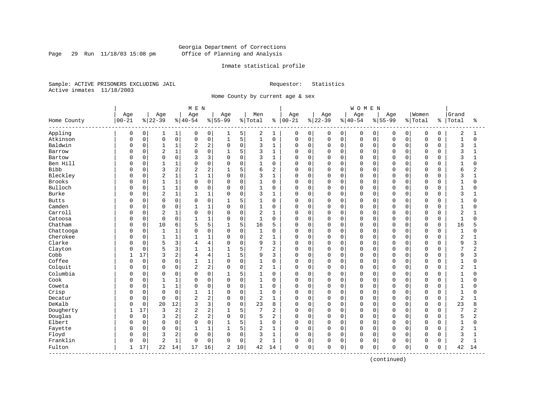Page 29 Run 11/18/03 15:08 pm

### Inmate statistical profile

Sample: ACTIVE PRISONERS EXCLUDING JAIL Requestor: Statistics Active inmates 11/18/2003

Home County by current age & sex

|              |           |             |                |              | M E N          |                |              |             |                |                |            |             |          |              | <b>WOMEN</b> |          |             |             |                |             |                |                |
|--------------|-----------|-------------|----------------|--------------|----------------|----------------|--------------|-------------|----------------|----------------|------------|-------------|----------|--------------|--------------|----------|-------------|-------------|----------------|-------------|----------------|----------------|
|              | Age       |             | Age            |              | Age            |                | Age          |             | Men            |                | Age        |             | Age      |              | Age          |          | Age         |             | Women          |             | Grand          |                |
| Home County  | $00 - 21$ |             | $ 22-39$       |              | $ 40-54$       |                | $8 55-99$    |             | % Total        | ႜ              | $ 00 - 21$ |             | $ 22-39$ |              | $8 40-54$    |          | $8155 - 99$ |             | % Total        | န္          | Total          | ႜ              |
| Appling      | 0         | 0           | $\mathbf{1}$   | $\mathbf{1}$ | 0              | 0              | 1            | 5           | 2              | 1              | 0          | 0           | 0        | 0            | 0            | 0        | 0           | 0           | 0              | 0           | 2              | 1              |
| Atkinson     | $\Omega$  | $\mathsf 0$ | $\mathbf 0$    | 0            | 0              | $\mathsf 0$    | $\mathbf{1}$ | 5           | $\mathbf{1}$   | $\mathbf 0$    | 0          | $\mathsf 0$ | 0        | $\mathsf{O}$ | $\mathsf 0$  | 0        | 0           | $\mathbf 0$ | $\mathsf 0$    | $\mathbf 0$ | $\mathbf{1}$   | $\mathbf 0$    |
| Baldwin      | 0         | $\mathbf 0$ | $\mathbf{1}$   | 1            | 2              | $\overline{c}$ | $\mathbf 0$  | $\mathbf 0$ | 3              | $\mathbf{1}$   | $\Omega$   | $\mathbf 0$ | 0        | $\mathbf 0$  | $\mathsf 0$  | 0        | $\Omega$    | 0           | $\overline{0}$ | $\mathbf 0$ | 3              | 1              |
| Barrow       | $\Omega$  | $\mathbf 0$ | $\sqrt{2}$     | $\mathbf 1$  | $\Omega$       | $\mathbf 0$    | $\mathbf{1}$ | 5           | 3              | $\mathbf{1}$   | $\Omega$   | $\mathbf 0$ | 0        | $\mathbf 0$  | $\mathbf 0$  | $\Omega$ | $\Omega$    | $\Omega$    | $\mathbf 0$    | $\Omega$    | 3              | 1              |
| Bartow       | Ω         | 0           | $\Omega$       | 0            | κ              | 3              | $\Omega$     | 0           | 3              | $\mathbf{1}$   | 0          | $\mathbf 0$ | 0        | $\mathbf 0$  | $\mathbf 0$  | $\Omega$ | $\Omega$    | O           | $\Omega$       | $\Omega$    | 3              |                |
| Ben Hill     | O         | 0           | $\mathbf{1}$   | 1            | $\Omega$       | $\mathbf 0$    | $\Omega$     | $\Omega$    | $\mathbf{1}$   | $\Omega$       | 0          | $\Omega$    | 0        | $\Omega$     | $\Omega$     | $\Omega$ | $\Omega$    | $\Omega$    | $\Omega$       | $\Omega$    | $\mathbf{1}$   | $\Omega$       |
| <b>Bibb</b>  | O         | $\Omega$    | 3              | 2            | 2              | $\overline{c}$ | $\mathbf{1}$ | 5           | 6              | $\overline{2}$ | $\Omega$   | $\Omega$    | 0        | $\Omega$     | $\mathbf 0$  | $\Omega$ | $\Omega$    | $\Omega$    | $\mathbf 0$    | $\Omega$    | 6              | $\overline{2}$ |
| Bleckley     | Ω         | $\mathbf 0$ | $\sqrt{2}$     | $\mathbf 1$  |                | $1\,$          | $\mathbf 0$  | $\mathbf 0$ | 3              | $\mathbf{1}$   | $\Omega$   | $\mathbf 0$ | $\Omega$ | $\mathbf 0$  | $\mathbf 0$  | 0        | $\Omega$    | $\mathbf 0$ | $\Omega$       | $\Omega$    | 3              |                |
| Brooks       | O         | $\mathbf 0$ | $\mathbf{1}$   | $\mathbf 1$  | $\Omega$       | $\mathbf 0$    | $\Omega$     | $\mathbf 0$ | $\mathbf{1}$   | $\Omega$       | $\Omega$   | $\mathbf 0$ | 0        | $\Omega$     | $\mathbf 0$  | $\Omega$ | $\Omega$    | 0           | $\Omega$       | $\Omega$    | $\mathbf{1}$   | $\Omega$       |
| Bulloch      | O         | 0           | $\mathbf{1}$   | 1            | $\Omega$       | $\mathbf 0$    | $\mathbf 0$  | $\mathbf 0$ | $\mathbf{1}$   | $\mathbf 0$    | $\Omega$   | $\mathbf 0$ | 0        | $\mathbf 0$  | $\mathbf 0$  | $\Omega$ | $\Omega$    | $\Omega$    | $\mathbf 0$    | $\Omega$    | $\mathbf{1}$   | O              |
| Burke        | $\Omega$  | 0           | $\overline{2}$ | 1            |                | $1\,$          | $\Omega$     | $\mathbf 0$ | 3              | $\mathbf{1}$   | $\Omega$   | $\mathbf 0$ | 0        | $\Omega$     | $\mathbf 0$  | 0        | $\Omega$    | $\Omega$    | $\Omega$       | $\Omega$    | 3              |                |
| <b>Butts</b> | U         | 0           | $\mathbf 0$    | 0            | 0              | $\mathbf 0$    | $\mathbf{1}$ | 5           | 1              | $\Omega$       | 0          | $\mathbf 0$ | 0        | $\Omega$     | $\mathbf 0$  | $\Omega$ | $\Omega$    | O           | $\Omega$       | $\cap$      | $\mathbf{1}$   | U              |
| Camden       | O         | $\mathbf 0$ | $\mathbf 0$    | 0            | 1              | $\mathbf{1}$   | $\Omega$     | $\mathbf 0$ | $\mathbf{1}$   | 0              | $\Omega$   | $\mathbf 0$ | 0        | $\Omega$     | $\mathbf 0$  | $\Omega$ | $\Omega$    | $\Omega$    | $\mathbf 0$    | $\Omega$    | $\mathbf{1}$   | $\Omega$       |
| Carroll      | 0         | $\mathsf 0$ | $\sqrt{2}$     | 1            | $\Omega$       | 0              | $\Omega$     | $\mathsf 0$ | $\mathbf 2$    | $\mathbf{1}$   | $\Omega$   | $\mathbf 0$ | 0        | $\mathbf 0$  | $\mathbf 0$  | 0        | $\Omega$    | 0           | $\mathbf 0$    | $\Omega$    | $\overline{a}$ |                |
| Catoosa      | O         | $\mathbf 0$ | $\Omega$       | 0            | $\mathbf{1}$   | $1\,$          | $\Omega$     | $\mathbf 0$ | $\mathbf{1}$   | $\Omega$       | $\Omega$   | $\mathbf 0$ | 0        | $\mathbf 0$  | $\mathbf 0$  | 0        | $\Omega$    | O           | $\Omega$       | $\Omega$    | $\mathbf{1}$   | U              |
| Chatham      | O         | 0           | 10             | 6            | 5              | 5              |              | 5           | 16             | 5              | 0          | $\mathbf 0$ | 0        | $\mathbf 0$  | $\mathbf 0$  | 0        | $\Omega$    | 0           | $\mathbf 0$    | $\Omega$    | 16             |                |
| Chattooga    | $\Omega$  | 0           | $\mathbf{1}$   | $1\,$        | $\Omega$       | $\mathsf 0$    | $\Omega$     | $\mathbf 0$ | $\mathbf{1}$   | $\Omega$       | $\Omega$   | $\mathbf 0$ | 0        | $\Omega$     | $\mathbf 0$  | $\Omega$ | $\cap$      | O           | $\Omega$       | $\Omega$    | $\mathbf{1}$   |                |
| Cherokee     | O         | $\Omega$    | $\mathbf{1}$   | $\mathbf 1$  | 1              | $\mathbf{1}$   | $\Omega$     | $\Omega$    | $\overline{2}$ | $\mathbf{1}$   | $\Omega$   | $\Omega$    | $\Omega$ | $\Omega$     | $\Omega$     | $\Omega$ | $\Omega$    | $\Omega$    | $\Omega$       | $\Omega$    | $\overline{2}$ | $\mathbf{1}$   |
| Clarke       |           | $\mathbf 0$ | 5              | 3            | $\overline{4}$ | $\overline{4}$ | $\Omega$     | $\mathbf 0$ | 9              | 3              | $\Omega$   | $\mathbf 0$ | 0        | $\mathbf 0$  | $\mathsf 0$  | 0        | $\Omega$    | $\Omega$    | $\Omega$       | $\Omega$    | 9              | 3              |
| Clayton      |           | $\mathbf 0$ | 5              | 3            | 1              | $1\,$          | $\mathbf{1}$ | 5           | 7              | $\overline{2}$ | $\Omega$   | $\mathbf 0$ | 0        | $\Omega$     | $\mathbf 0$  | 0        | $\Omega$    | $\Omega$    | $\Omega$       | $\Omega$    | $\overline{7}$ | 2              |
| Cobb         | 1         | 17          | 3              | 2            | $\overline{4}$ | $\overline{4}$ | $\mathbf{1}$ | 5           | 9              | 3              | 0          | $\mathbf 0$ | 0        | $\mathbf 0$  | $\mathbf 0$  | 0        | $\Omega$    | $\Omega$    | $\mathbf 0$    | $\Omega$    | 9              | 3              |
| Coffee       | U         | $\mathbf 0$ | $\Omega$       | 0            |                | $\mathbf{1}$   | $\Omega$     | $\mathbf 0$ | $\mathbf{1}$   | $\mathbf 0$    | $\Omega$   | $\mathbf 0$ | 0        | $\mathbf 0$  | $\mathbf 0$  | $\Omega$ | $\Omega$    | $\Omega$    | $\Omega$       | $\Omega$    | $\mathbf{1}$   | $\Omega$       |
| Colquit      | U         | $\Omega$    | $\Omega$       | 0            | 2              | $\overline{c}$ | $\Omega$     | $\mathbf 0$ | 2              | $\mathbf{1}$   | $\Omega$   | $\mathbf 0$ | 0        | $\Omega$     | $\Omega$     | $\Omega$ | $\Omega$    | $\Omega$    | $\Omega$       | $\Omega$    | $\overline{2}$ | $\mathbf{1}$   |
| Columbia     | U         | 0           | $\mathbf 0$    | 0            | $\Omega$       | $\mathbf 0$    | 1            | 5           | 1              | 0              | 0          | $\mathbf 0$ | 0        | $\Omega$     | $\mathbf 0$  | $\Omega$ | $\Omega$    | $\Omega$    | $\Omega$       | O           | 1              | $\Omega$       |
| Cook         | U         | $\mathsf 0$ | 1              | 1            | $\Omega$       | 0              | $\mathbf 0$  | $\mathbf 0$ | $\mathbf{1}$   | 0              | 0          | $\mathbf 0$ | 0        | $\mathbf 0$  | $\mathsf 0$  | 0        | $\Omega$    | $\Omega$    | $\Omega$       | $\Omega$    | $\mathbf{1}$   | O              |
| Coweta       | Ω         | $\mathbf 0$ | $\mathbf{1}$   | 1            | $\Omega$       | 0              | $\mathbf 0$  | $\mathbf 0$ | $\mathbf{1}$   | $\mathbf 0$    | 0          | $\mathbf 0$ | 0        | $\mathbf 0$  | $\mathbf 0$  | 0        | $\Omega$    | $\Omega$    | $\mathbf 0$    | $\Omega$    | $\mathbf{1}$   | U              |
| Crisp        | O         | $\mathbf 0$ | $\mathbf 0$    | 0            | 1              | $\mathbf{1}$   | 0            | $\mathbf 0$ | $\mathbf{1}$   | $\mathbf 0$    | 0          | $\mathbf 0$ | 0        | $\mathbf 0$  | $\mathbf 0$  | 0        | $\Omega$    | $\Omega$    | $\mathbf 0$    | $\Omega$    | $\mathbf 1$    | $\Omega$       |
| Decatur      | U         | 0           | $\mathbf 0$    | 0            | 2              | $\overline{c}$ | $\Omega$     | $\mathbf 0$ | 2              | 1              | $\Omega$   | $\mathbf 0$ | 0        | $\mathbf 0$  | $\mathbf 0$  | $\Omega$ | $\Omega$    | $\Omega$    | $\Omega$       | $\Omega$    | $\overline{2}$ |                |
| DeKalb       | O         | 0           | 20             | $12$         | 3              | 3              | $\Omega$     | $\Omega$    | 23             | 8              | 0          | $\mathbf 0$ | 0        | $\Omega$     | $\Omega$     | $\Omega$ | $\Omega$    | U           | $\Omega$       | $\Omega$    | 23             | 8              |
| Dougherty    | 1         | 17          | 3              | 2            | 2              | $\sqrt{2}$     |              | 5           | 7              | 2              | 0          | $\mathbf 0$ | 0        | $\mathbf 0$  | $\mathbf 0$  | $\Omega$ | $\Omega$    | $\Omega$    | $\mathbf 0$    | $\Omega$    | 7              | 2              |
| Douglas      | 0         | $\mathbf 0$ | 3              | 2            | 2              | $\overline{c}$ | $\mathbf 0$  | $\mathbf 0$ | 5              | $\overline{2}$ | $\Omega$   | $\mathbf 0$ | 0        | $\mathbf 0$  | $\mathbf 0$  | 0        | $\Omega$    | 0           | $\Omega$       | $\Omega$    | 5              | 2              |
| Elbert       | U         | $\mathbf 0$ | $\mathbf 0$    | 0            | $\Omega$       | $\mathbf 0$    | $\mathbf{1}$ | 5           | $\mathbf{1}$   | $\mathbf 0$    | $\Omega$   | $\mathbf 0$ | 0        | $\mathbf 0$  | $\mathbf 0$  | 0        | $\Omega$    | $\Omega$    | $\mathbf 0$    | $\Omega$    | $\mathbf 1$    | $\Omega$       |
| Fayette      | O         | 0           | $\mathbf 0$    | 0            |                | $1\,$          |              | 5           | 2              | $\mathbf{1}$   | 0          | $\mathbf 0$ | 0        | $\mathbf 0$  | $\mathbf 0$  | $\Omega$ | $\Omega$    | $\Omega$    | $\mathbf 0$    | $\Omega$    | $\overline{2}$ |                |
| Floyd        | 0         | $\mathbf 0$ | 3              | 2            | $\Omega$       | $\mathsf 0$    | $\Omega$     | $\mathbf 0$ | 3              | $\mathbf{1}$   | $\Omega$   | $\mathbf 0$ | 0        | $\Omega$     | $\mathbf 0$  | 0        | $\Omega$    | $\Omega$    | $\Omega$       | $\Omega$    | 3              | $\mathbf{1}$   |
| Franklin     | O         | $\mathsf 0$ | $\overline{2}$ | $\mathbf{1}$ | $\Omega$       | $\mathbf 0$    | $\Omega$     | $\mathbf 0$ | 2              | $\mathbf{1}$   | 0          | $\mathbf 0$ | 0        | $\mathbf 0$  | $\mathbf 0$  | 0        | $\Omega$    | 0           | $\mathbf 0$    | 0           | 2              | 1              |
| Fulton       | 1         | 17          | 22             | 14           | 17             | 16             | 2            | 10          | 42             | 14             | 0          | 0           | 0        | 0            | $\mathbf 0$  | 0        | 0           | 0           | $\mathbf 0$    | 0           | 42             | 14             |

(continued)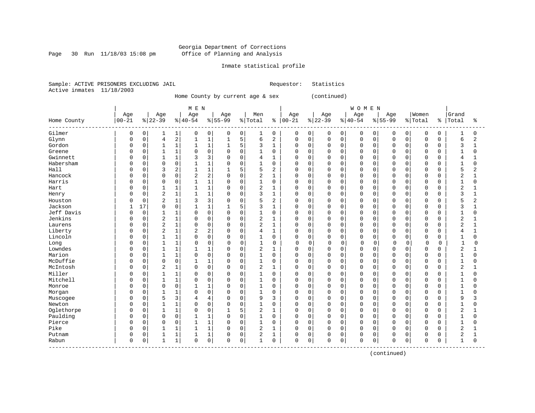### Georgia Department of Corrections Page 30 Run  $11/18/03$  15:08 pm Office of Planning and Analysis

### Inmate statistical profile

Sample: ACTIVE PRISONERS EXCLUDING JAIL Requestor: Statistics Active inmates 11/18/2003

Home County by current age & sex (continued)

 | M E N | W O M E N | | Age | Age | Age | Age | Men | Age | Age | Age | Age |Women |Grand Home County |00-21 %|22-39 %|40-54 %|55-99 %|Total % |00-21 %|22-39 %|40-54 %|55-99 %|Total % |Total % ------------------------------------------------------------------------------------------------------------------------------------ Gilmer | 0 0| 1 1| 0 0| 0 0| 1 0 | 0 0| 0 0| 0 0| 0 0| 0 0 | 1 0 Glynn | 0 0| 4 2| 1 1| 1 5| 6 2 | 0 0| 0 0| 0 0| 0 0| 0 0 | 6 2 Gordon | 0 0| 1 1| 1 1| 1 5| 3 1 | 0 0| 0 0| 0 0| 0 0| 0 0 | 3 1 Greene | 0 0| 1 1| 0 0| 0 0| 1 0 | 0 0| 0 0| 0 0| 0 0| 0 0 | 1 0 Gwinnett | 0 0| 1 1| 3 3| 0 0| 4 1 | 0 0| 0 0| 0 0| 0 0| 0 0 | 4 1 Habersham | 0 0| 0 0| 1 1| 0 0| 1 0 | 0 0| 0 0| 0 0| 0 0| 0 0 | 1 0 Hall | 0 0| 3 2| 1 1| 1 5| 5 2 | 0 0| 0 0| 0 0| 0 0| 0 0 | 5 2 Hancock | 0 0| 0 0| 2 2| 0 0| 2 1 | 0 0| 0 0| 0 0| 0 0| 0 0 | 2 1 Harris | 0 0| 0 0| 1 1| 0 0| 1 0 | 0 0| 0 0| 0 0| 0 0| 0 0 | 1 0 Hart | 0 0| 1 1| 1 1| 0 0| 2 1 | 0 0| 0 0| 0 0| 0 0| 0 0 | 2 1 Henry | 0 0| 2 1| 1 1| 0 0| 3 1 | 0 0| 0 0| 0 0| 0 0| 0 0 | 3 1 Houston | 0 0| 2 1| 3 3| 0 0| 5 2 | 0 0| 0 0| 0 0| 0 0| 0 0 | 5 2 Jackson | 1 17| 0 0| 1 1| 1 5| 3 1 | 0 0| 0 0| 0 0| 0 0| 0 0 | 3 1 Jeff Davis | 0 0| 1 1| 0 0| 0 0| 1 0 | 0 0| 0 0| 0 0| 0 0| 0 0 | 1 0 Jenkins | 0 0| 2 1| 0 0| 0 0| 2 1 | 0 0| 0 0| 0 0| 0 0| 0 0 | 2 1 Laurens | 0 0| 2 1| 0 0| 0 0| 2 1 | 0 0| 0 0| 0 0| 0 0| 0 0 | 2 1 Liberty | 0 0| 2 1| 2 2| 0 0| 4 1 | 0 0| 0 0| 0 0| 0 0| 0 0 | 4 1 Lincoln | 0 0| 1 1| 0 0| 0 0| 1 0 | 0 0| 0 0| 0 0| 0 0| 0 0 | 1 0 Long | 0 0| 1 1| 0 0| 0 0| 1 0 | 0 0| 0 0| 0 0| 0 0| 0 0 | 1 0 Lowndes | 0 0| 1 1| 1 1| 0 0| 2 1 | 0 0| 0 0| 0 0| 0 0| 0 0 | 2 1 Marion | 0 0| 1 1| 0 0| 0 0| 1 0 | 0 0| 0 0| 0 0| 0 0| 0 0 | 1 0 McDuffie | 0 0| 0 0| 1 1| 0 0| 1 0 | 0 0| 0 0| 0 0| 0 0| 0 0 | 1 0 McIntosh | 0 0| 2 1| 0 0| 0 0| 2 1 | 0 0| 0 0| 0 0| 0 0| 0 0 | 2 1 Miller | 0 0| 1 1| 0 0| 0 0| 1 0 | 0 0| 0 0| 0 0| 0 0| 0 0 | 1 0 Mitchell | 0 0| 1 1| 0 0| 0 0| 1 0 | 0 0| 0 0| 0 0| 0 0| 0 0 | 1 0 Monroe | 0 0| 0 0| 1 1| 0 0| 1 0 | 0 0| 0 0| 0 0| 0 0| 0 0 | 1 0 Morgan | 0 0| 1 1| 0 0| 0 0| 1 0 | 0 0| 0 0| 0 0| 0 0| 0 0 | 1 0 Muscogee | 0 0| 5 3| 4 4| 0 0| 9 3 | 0 0| 0 0| 0 0| 0 0| 0 0 | 9 3 Newton | 0 0| 1 1| 0 0| 0 0| 1 0 | 0 0| 0 0| 0 0| 0 0| 0 0 | 1 0 Oglethorpe | 0 0| 1 1| 0 0| 1 5| 2 1 | 0 0| 0 0| 0 0| 0 0| 0 0 | 2 1 Paulding | 0 0| 0 0| 1 1| 0 0| 1 0 | 0 0| 0 0| 0 0| 0 0| 0 0 | 1 0 Pierce | 0 0| 0 0| 1 1| 0 0| 1 0 | 0 0| 0 0| 0 0| 0 0| 0 0 | 1 0 Pike | 0 0| 1 1| 1 1| 0 0| 2 1 | 0 0| 0 0| 0 0| 0 0| 0 0 | 2 1 Putnam | 0 0| 1 1| 1 1| 0 0| 2 1 | 0 0| 0 0| 0 0| 0 0| 0 0 | 2 1 Rabun | 0 0| 1 1| 0 0| 0 0| 1 0 | 0 0| 0 0| 0 0| 0 0| 0 0 | 1 0 ------------------------------------------------------------------------------------------------------------------------------------

(continued)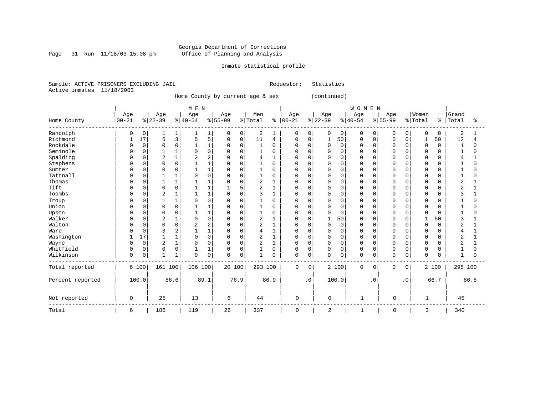Page 31 Run  $11/18/03$  15:08 pm

## Inmate statistical profile

Sample: ACTIVE PRISONERS EXCLUDING JAIL Requestor: Statistics Active inmates 11/18/2003

Home County by current age & sex (continued)

|                  |           |             |                |             | M E N    |                |          |          |              |          |             |                |                |                | WOMEN        |           |             |           |             |          |              |          |
|------------------|-----------|-------------|----------------|-------------|----------|----------------|----------|----------|--------------|----------|-------------|----------------|----------------|----------------|--------------|-----------|-------------|-----------|-------------|----------|--------------|----------|
|                  | Age       |             | Age            |             | Age      |                | Age      |          | Men          |          | Age         |                | Age            |                | Age          |           | Age         |           | Women       |          | Grand        |          |
| Home County      | $00 - 21$ |             | $ 22-39 $      |             | $ 40-54$ |                | $ 55-99$ |          | % Total      | နွ       | $00 - 21$   |                | $ 22-39$       |                | $ 40-54$     |           | $8 55-99$   |           | % Total     | န္       | Total        | ిక       |
| Randolph         | 0         | 0           |                | 1           |          | 1              | 0        | 0        | 2            |          | 0           | 0              | 0              | $\overline{0}$ | 0            | 0         | O           | 0         | 0           | $\Omega$ | 2            |          |
| Richmond         |           | 17          | 5              | 3           | 5        | 5              | 0        | 0        | 11           | 4        | 0           | 0              | 1              | 50             | 0            | 0         | O           | 0         |             | 50       | 12           |          |
| Rockdale         |           | $\mathbf 0$ | $\Omega$       | $\Omega$    |          | $\mathbf{1}$   | $\Omega$ | $\Omega$ | 1            | $\Omega$ | U           | $\Omega$       | $\Omega$       | $\Omega$       | $\Omega$     | $\Omega$  |             | $\Omega$  | $\mathbf 0$ | $\Omega$ | $\mathbf{1}$ | $\Omega$ |
| Seminole         |           | 0           |                | 1           |          | $\Omega$       | $\cap$   | $\Omega$ | $\mathbf{1}$ | $\Omega$ | U           | $\Omega$       | <sup>0</sup>   | $\Omega$       | $\cap$       | $\Omega$  |             | $\cap$    | $\Omega$    |          | $\mathbf{1}$ | O        |
| Spalding         |           | 0           | 2              | $\mathbf 1$ |          | 2              |          | $\Omega$ | 4            |          |             | $\Omega$       | 0              | $\Omega$       | $\Omega$     | 0         |             |           | $\Omega$    |          |              |          |
| Stephens         |           | 0           | $\Omega$       | 0           |          | 1              |          | $\Omega$ |              | $\Omega$ | U           | $\Omega$       | 0              | $\Omega$       | $\Omega$     | $\Omega$  |             |           | $\Omega$    |          |              | N        |
| Sumter           |           | 0           | 0              | 0           |          | $\mathbf{1}$   |          | $\Omega$ |              | $\Omega$ | U           | $\Omega$       | 0              | 0              | $\Omega$     | $\Omega$  |             | $\Omega$  | $\Omega$    |          |              |          |
| Tattnall         |           | O           |                |             |          | $\Omega$       |          | $\Omega$ |              | O        |             | $\Omega$       | 0              | 0              | $\Omega$     | $\Omega$  |             | $\Omega$  | $\Omega$    |          |              |          |
| Thomas           |           | $\Omega$    | $\mathbf{1}$   | 1           |          | $\mathbf{1}$   |          | $\Omega$ | 2            |          | U           | $\Omega$       | $\Omega$       | $\Omega$       | $\Omega$     | $\Omega$  |             | $\Omega$  | $\Omega$    |          | 2            |          |
| Tift             |           | 0           | $\mathbf 0$    | 0           |          | 1              |          | 5        | 2            |          | U           | 0              | 0              | $\Omega$       | $\Omega$     | 0         |             | $\Omega$  | 0           |          |              |          |
| Toombs           |           | 0           | $\overline{2}$ | 1           |          | 1              | $\cap$   | $\Omega$ | 3            |          | U           | $\Omega$       | 0              | $\Omega$       | $\Omega$     | $\Omega$  |             | $\Omega$  | 0           | U        |              |          |
| Troup            |           | 0           |                | 1           |          | $\Omega$       |          | $\Omega$ |              | $\Omega$ |             | $\Omega$       | 0              | 0              | $\Omega$     | $\Omega$  |             | $\Omega$  | 0           |          |              | O        |
| Union            |           | $\Omega$    | $\Omega$       | 0           |          | $\mathbf{1}$   | $\cap$   | $\Omega$ |              | $\Omega$ | U           | $\Omega$       | 0              | $\Omega$       | $\Omega$     | $\Omega$  |             | $\Omega$  | $\Omega$    | U        |              | O        |
| Upson            |           | 0           | $\Omega$       | 0           |          | $\mathbf{1}$   |          | $\Omega$ |              | $\Omega$ | U           | $\Omega$       | 0              | 0              | $\Omega$     | 0         |             | $\Omega$  | $\Omega$    |          |              | N        |
| Walker           |           | 0           | $\overline{2}$ | 1           |          | $\Omega$       |          | $\Omega$ | 2            |          |             | $\Omega$       | 1              | 50             | $\Omega$     | $\Omega$  |             |           |             | 50       |              |          |
| Walton           |           | 0           | $\Omega$       | 0           |          | $\overline{2}$ |          | $\Omega$ | 2            |          | U           | $\Omega$       | 0              | $\mathbf 0$    | $\Omega$     | 0         |             | $\Omega$  | $\mathbf 0$ | $\Omega$ | 2            |          |
| Ware             |           | 0           |                | 2           |          | 1              |          | $\Omega$ |              |          |             | $\Omega$       | 0              | 0              | $\Omega$     | O         |             | $\Omega$  | $\Omega$    |          |              |          |
| Washington       |           | 17          |                | 1           |          | $\Omega$       | $\Omega$ | $\Omega$ | 2            |          | O           | $\Omega$       | $\Omega$       | $\Omega$       | $\Omega$     | $\Omega$  |             | $\Omega$  | $\Omega$    | U        | 2            |          |
| Wayne            |           | $\mathbf 0$ | 2              | 1           | $\Omega$ | 0              | O        | 0        | 2            |          | U           | 0              | 0              | 0              | $\Omega$     | 0         | n           | 0         | 0           |          | ◠<br>∠       |          |
| Whitfield        |           | 0           | 0              | 0           |          | $\mathbf{1}$   |          | $\Omega$ |              | $\Omega$ | 0           | $\Omega$       | 0              | 0              | $\Omega$     | 0         | $\Omega$    | 0         | 0           |          |              | O        |
| Wilkinson        | 0         | 0           | $\mathbf{1}$   | 1           | $\Omega$ | 0              | $\Omega$ | 0        | $\mathbf{1}$ | $\Omega$ | 0           | 0              | 0              | 0              | $\Omega$     | 0         | $\mathbf 0$ | 0         | $\mathbf 0$ | U        | $\mathbf{1}$ | O        |
| Total reported   |           | 6 100       | 161 100        |             | 106 100  |                | 20 100   |          | 293 100      |          | $\mathbf 0$ | $\overline{0}$ |                | 2 100          | 0            | 0         | 0           | 0         |             | 2 100    | 295 100      |          |
| Percent reported |           | 100.0       |                | 86.6        |          | 89.1           |          | 76.9     |              | 86.9     |             | $\cdot$ 0      |                | 100.0          |              | $\cdot$ 0 |             | $\cdot$ 0 |             | 66.7     |              | 86.8     |
| Not reported     | 0         |             | 25             |             | 13       |                | 6        |          | 44           |          | $\mathsf 0$ |                | $\mathbf 0$    |                | $\mathbf{1}$ |           | 0           |           | 1           |          | 45           |          |
| Total            | 6         |             | 186            |             | 119      |                | 26       |          | 337          |          | 0           |                | $\overline{c}$ |                | 1            |           | $\mathbf 0$ |           | 3           |          | 340          |          |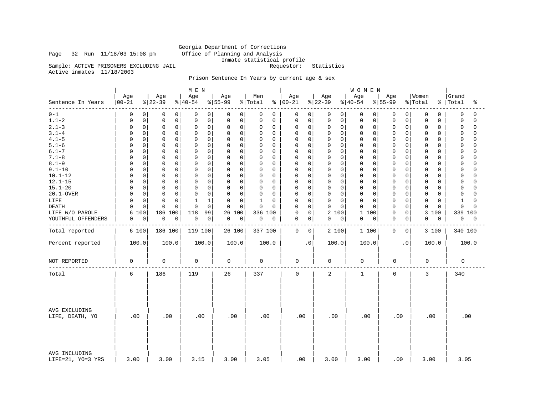## Georgia Department of Corrections<br>Office of Planning and Analysis Page 32 Run 11/18/03 15:08 pm

Inmate statistical profile<br>Requestor: Statistics

Sample: ACTIVE PRISONERS EXCLUDING JAIL Active inmates 11/18/2003

## Prison Sentence In Years by current age & sex

|                                    |                  |                  | M E N            |                  |                |                            |                 | WOMEN               |                   |                  |                         |
|------------------------------------|------------------|------------------|------------------|------------------|----------------|----------------------------|-----------------|---------------------|-------------------|------------------|-------------------------|
| Sentence In Years                  | Age<br>$00 - 21$ | Age<br>$ 22-39$  | Age<br>$ 40-54 $ | Age<br>$8 55-99$ | Men<br>% Total | Age<br>$8   00 - 21$       | Age<br>$ 22-39$ | Age<br>$ 40-54 $    | Age<br>$ 55-99$   | Women<br>% Total | Grand<br>%   Total<br>ႜ |
| $0 - 1$                            | 0                | $\mathbf 0$      | $\mathbf 0$      | 0                | 0              | 0                          | $\mathbf 0$     | $\mathbf 0$         | 0                 | 0                | 0                       |
|                                    | 0                | 0                | 0                | 0                | 0              | 0                          | 0               | 0 <sup>1</sup>      | 0                 | 0                | 0                       |
| $1.1 - 2$                          | $\mathsf 0$      | $\mathbf 0$      | $\mathsf 0$      | 0                | 0              | $\mathsf 0$                | $\mathbf 0$     | $\mathbf 0$         | 0                 | 0                | $\mathbf 0$             |
|                                    | 0                | $\mathsf 0$      | 0                | $\mathsf{O}$     | 0              | $\mathbf 0$                | 0               | 0                   | 0                 | 0                | $\Omega$                |
| $2.1 - 3$                          | $\mathsf 0$      | $\mathbf 0$      | 0                | $\mathbf 0$      | 0              | 0                          | $\mathbf 0$     | $\mathbf 0$         | 0                 | 0                | $\Omega$                |
|                                    | $\Omega$         | 0                | 0                | 0                | 0              | 0                          | $\mathbf 0$     | 0                   | 0                 | 0                | 0                       |
| $3.1 - 4$                          | $\mathbf 0$      | $\mathbf 0$      | $\mathbf 0$      | $\mathbf 0$      | 0              | $\mathbf 0$                | $\mathbf 0$     | $\mathbf 0$         | $\Omega$          | 0                | $\Omega$                |
|                                    | 0                | $\mathbf 0$      | $\mathbf 0$      | 0                | 0              | 0                          | $\mathbf 0$     | $\mathbf 0$         | 0                 | 0                | $\Omega$                |
| $4.1 - 5$                          | $\mathsf 0$      | $\mathbf 0$      | 0                | $\mathbf 0$      | 0              | 0                          | $\mathbf 0$     | $\mathbf 0$         | $\mathbf 0$       | 0                | 0                       |
|                                    | <sup>0</sup>     | 0                | 0                | 0                | $\Omega$       | 0                          | 0               | $\mathbf 0$         | $\Omega$          | 0                | $\Omega$                |
| $5.1 - 6$                          | 0                | $\mathbf 0$      | 0                | $\mathbf 0$      | 0              | 0                          | $\mathbf 0$     | $\mathbf 0$         | 0                 | 0                | $\mathbf 0$             |
|                                    | $\Omega$         | $\mathbf 0$      | $\mathbf 0$      | 0                | 0              | 0                          | $\mathbf 0$     | $\mathbf 0$         | 0                 | 0                | $\Omega$                |
| $6.1 - 7$                          | $\Omega$         | $\Omega$         | $\Omega$         | $\mathbf 0$      | 0              | $\Omega$                   | $\mathbf 0$     | $\mathbf 0$         | $\Omega$          | 0                | $\Omega$                |
|                                    | <sup>0</sup>     | $\Omega$         | 0                | 0                | $\Omega$       | $\Omega$                   | $\Omega$        | $\Omega$            | O                 | 0                | $\cap$                  |
| $7.1 - 8$                          | $\mathsf 0$      | $\mathsf 0$      | $\mathbf 0$      | $\mathsf 0$      | 0              | 0                          | $\mathbf 0$     | $\mathbf 0$         | $\mathsf 0$       | 0                | $\Omega$                |
|                                    | $\Omega$         | $\mathbf 0$      | 0                | 0                | $\Omega$       | $\mathbf 0$                | 0               | 0                   | 0                 | 0                | $\Omega$                |
| $8.1 - 9$                          | $\mathbf 0$      | $\mathbf 0$      | $\mathbf 0$      | $\mathbf 0$      | 0              | $\mathbf 0$                | $\mathbf 0$     | $\mathbf 0$         | $\mathbf 0$       | 0                | $\Omega$                |
|                                    | $\Omega$         | $\Omega$         | $\mathbf 0$      | 0                | $\Omega$       | $\Omega$                   | $\Omega$        | $\mathbf 0$         | $\Omega$          | 0                | $\Omega$                |
| $9.1 - 10$                         | $\mathbf 0$      | $\mathbf 0$      | $\mathbf 0$      | $\mathbf 0$      | 0              | $\mathbf 0$                | $\mathbf 0$     | $\mathbf 0$         | $\mathbf 0$       | 0                | $\Omega$                |
|                                    | $\Omega$         | $\Omega$         | $\mathbf 0$      | $\Omega$         | $\Omega$       | $\mathbf 0$                | $\mathbf 0$     | $\mathbf 0$         | $\Omega$          | 0                | $\Omega$                |
| $10.1 - 12$                        | $\mathbf 0$      | $\mathbf 0$      | $\mathbf 0$      | 0                | 0              | $\mathbf 0$                | $\mathbf 0$     | $\mathbf 0$         | $\mathbf 0$       | 0                | $\Omega$                |
|                                    | 0                | $\mathbf 0$      | $\mathbf 0$      | $\mathbf 0$      | 0              | $\mathbf 0$                | $\mathbf 0$     | 0                   | 0                 | 0                | $\cap$                  |
| $12.1 - 15$                        | $\mathbf 0$      | $\mathbf 0$      | 0                | 0                | 0              | 0                          | 0               | $\mathbf 0$         | 0                 | 0                | 0                       |
|                                    | $\Omega$         | 0                | $\mathbf 0$      | 0                | 0              | 0                          | 0               | 0                   | $\Omega$          | 0                | $\cap$                  |
| $15.1 - 20$                        | $\mathsf 0$      | $\mathbf 0$      | $\mathbf 0$      | $\mathsf 0$      | 0              | 0                          | 0               | $\mathbf 0$         | $\mathbf 0$       | 0                | 0                       |
|                                    | $\Omega$         | $\mathbf 0$      | 0                | $\Omega$         | $\Omega$       | $\mathbf 0$                | $\mathbf 0$     | 0                   | $\Omega$          | 0                | $\Omega$                |
| 20.1-OVER                          | $\mathbf 0$      | $\mathbf 0$      | $\mathbf 0$      | $\mathbf 0$      | 0              | $\mathbf 0$                | $\mathbf 0$     | $\mathbf 0$         | $\mathbf 0$       | 0                | 0                       |
|                                    | <sup>0</sup>     | $\mathbf 0$      | $\mathbf 0$      | 0                | $\Omega$       | 0                          | $\mathbf 0$     | $\mathbf 0$         | $\Omega$          | 0                | O                       |
| LIFE                               | $\mathsf 0$      | $\Omega$         | $\mathbf{1}$     | 0                | $\mathbf 1$    | 0                          | $\mathbf 0$     | $\mathbf 0$         | $\Omega$          | 0                | $\Omega$                |
|                                    | $\Omega$         | $\mathbf 0$      | 1                | $\mathbf 0$      | 0              | 0                          | $\mathbf 0$     | $\mathbf 0$         | 0                 | 0                | 1                       |
| <b>DEATH</b>                       | $\mathbf 0$      | $\Omega$         | $\Omega$         | $\mathbf 0$      | 0              | $\mathbf 0$                | $\Omega$        | $\Omega$            | $\Omega$          | 0                | $\Omega$                |
|                                    | <sup>0</sup>     | $\cap$           | $\Omega$         | 0                | $\Omega$       | $\Omega$                   | $\Omega$        | $\Omega$            | 0                 | $\Omega$         | $\cap$                  |
| LIFE W/O PAROLE                    | 100<br>6         | 186<br>100       | 118<br>99        | 26 100           | 336 100        | $\mathbf 0$<br>0           | 2 100           | $\mathbf{1}$<br>100 | $\mathsf{O}$<br>0 | 3 100            | 339 100                 |
| YOUTHFUL OFFENDERS                 | 0                | $\mathbf 0$      | $\mathbf 0$      | 0                | 0              | 0                          | 0               | 0                   | 0                 | 0                | 0                       |
|                                    | 0                | $\boldsymbol{0}$ | 0                | 0                | 0              | 0                          | 0               | 0                   | 0                 | 0                | 0                       |
|                                    |                  |                  |                  |                  |                |                            |                 |                     |                   |                  |                         |
| Total reported                     | 6 100            | 186 100          | 119 100          | 26 100           | 337 100        | $\mathbf 0$<br>$\mathbf 0$ | 2 100           | 1 100               | $\mathbf 0$<br>0  | 3 100            | 340 100                 |
| Percent reported                   | 100.0            | 100.0            | 100.0            | 100.0            | 100.0          | $\cdot$ 0                  | 100.0           | 100.0               | $\cdot$ 0         | 100.0            | 100.0                   |
| NOT REPORTED                       | $\mathbf 0$      | $\mathbf 0$      | 0                | 0                | 0              | $\mathbf 0$                | $\mathbf 0$     | 0                   | $\mathbf 0$       | $\mathbf 0$      | $\mathbf 0$             |
| Total                              | 6                | 186              | 119              | 26               | 337            | $\mathbf 0$                | 2               | $\mathbf{1}$        | $\mathbf 0$       | 3                | 340                     |
|                                    |                  |                  |                  |                  |                |                            |                 |                     |                   |                  |                         |
| AVG EXCLUDING<br>LIFE, DEATH, YO   | .00              | .00              | .00              | .00              | .00            | .00                        | .00             | .00                 | .00               | .00              | .00                     |
| AVG INCLUDING<br>LIFE=21, YO=3 YRS | 3.00             | 3.00             | 3.15             | 3.00             | 3.05           | .00                        | 3.00            | 3.00                | .00               | 3.00             | 3.05                    |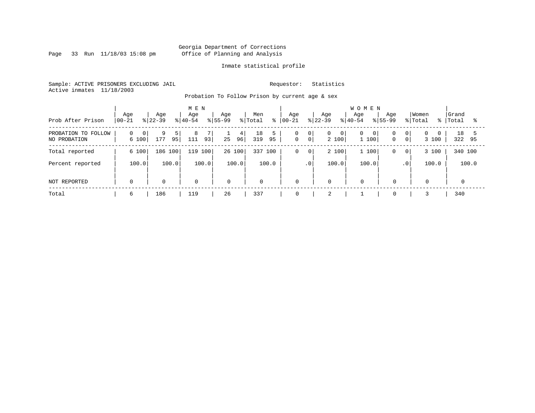Page 33 Run 11/18/03 15:08 pm

### Inmate statistical profile

Sample: ACTIVE PRISONERS EXCLUDING JAIL Requestor: Statistics Active inmates 11/18/2003

Probation To Follow Prison by current age & sex

| Prob After Prison                   | Age<br>$00 - 21$       | Age<br>$ 22-39 $ | M E N<br>Age<br>$ 40-54 $ | Age<br>$8155 - 99$ | Men<br>% Total<br>៖ | Aqe<br>$ 00-21 $ | Age<br>$ 22-39 $                                     | <b>WOMEN</b><br>Aqe<br>Age<br>$8155 - 99$<br>$8 40-54$ | Women<br>% Total<br>ႜႜ                    | Grand<br>Total<br>ႜ |
|-------------------------------------|------------------------|------------------|---------------------------|--------------------|---------------------|------------------|------------------------------------------------------|--------------------------------------------------------|-------------------------------------------|---------------------|
| PROBATION TO FOLLOW<br>NO PROBATION | $\Omega$<br>0<br>6 100 | 9<br>177<br>95   | 8<br>93<br>111            | 4<br>96 <br>25     | 18<br>319<br>95     | 0<br>$\mathbf 0$ | 0 <br>$\overline{0}$<br>0<br>0 <sup>1</sup><br>2 100 | $\mathbf{0}$<br>0 <sub>1</sub><br>1 100<br>$\mathbf 0$ | 0 <br>$\Omega$<br>0 <sup>1</sup><br>3 100 | 18<br>322<br>95     |
| Total reported                      | 6 100                  | 186 100          | 119 100                   | 26 100             | 100<br>337          | 0                | 2 100<br>$\overline{0}$                              | 1 100<br>0                                             | 3 100<br>$\mathbf{0}$                     | 340 100             |
| Percent reported                    | 100.0                  | 100.0            | 100.0                     | 100.0              | 100.0               |                  | 100.0<br>$.0^{\circ}$                                | 100.0                                                  | 100.0<br>.0 <sup>1</sup>                  | 100.0               |
| NOT REPORTED                        | $\mathbf 0$            | $\mathbf 0$      | 0                         | $\mathbf 0$        | $\mathbf 0$         | $\mathbf 0$      | $\mathbf 0$                                          | $\mathbf 0$<br>$\mathbf 0$                             | $\mathbf 0$                               |                     |
| Total                               | 6                      | 186              | 119                       | 26                 | 337                 | 0                |                                                      | $\mathbf 0$                                            |                                           | 340                 |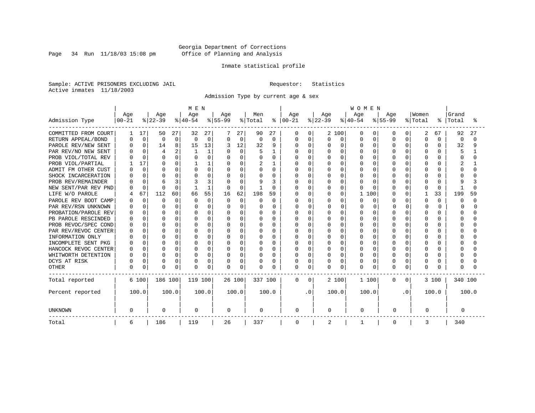Page 34 Run 11/18/03 15:08 pm

### Inmate statistical profile

Sample: ACTIVE PRISONERS EXCLUDING JAIL Requestor: Statistics Active inmates 11/18/2003

Admission Type by current age & sex

|                      |              |             |                 |          | M E N           |              |                  |          |          |          |                   |          |                  |          | <b>WOMEN</b>        |              |                  |          |          |              |              |        |
|----------------------|--------------|-------------|-----------------|----------|-----------------|--------------|------------------|----------|----------|----------|-------------------|----------|------------------|----------|---------------------|--------------|------------------|----------|----------|--------------|--------------|--------|
| Admission Type       | Age          |             | Age<br>$ 22-39$ |          | Age<br>$ 40-54$ |              | Age<br>$8 55-99$ |          | Men      | ွေ       | Age<br>$ 00 - 21$ |          | Age<br>$ 22-39 $ |          | Age<br>$ 40-54$     |              | Age<br>$8 55-99$ |          | Women    | ៖            | Grand        | °      |
|                      | $00 - 21$    |             |                 |          |                 |              |                  |          | % Total  |          |                   |          |                  |          |                     |              |                  |          | % Total  |              | Total        |        |
| COMMITTED FROM COURT |              | 17          | 50              | 27       | 32              | 27           |                  | 27       | 90       | 27       | 0                 | 0        |                  | 2 100    | O                   | 0            | O                | O        | 2        | 67           | 92           | 27     |
| RETURN APPEAL/BOND   | n            | $\mathbf 0$ | $\mathbf 0$     | 0        | <sup>0</sup>    | $\mathbf 0$  | $\Omega$         | 0        | 0        | $\Omega$ | <sup>0</sup>      | 0        | 0                | 0        | O                   | $\Omega$     | $\Omega$         | O        | $\Omega$ | $\Omega$     | $\Omega$     | $\cap$ |
| PAROLE REV/NEW SENT  |              | $\Omega$    | 14              | 8        | 15              | 13           |                  | 12       | 32       | 9        | $\Omega$          | 0        | N                | $\Omega$ | O                   | $\Omega$     | $\Omega$         | $\Omega$ | $\Omega$ | 0            | 32           | q      |
| PAR REV/NO NEW SENT  |              |             | $\overline{4}$  | 2        |                 |              |                  | $\Omega$ |          |          |                   | $\Omega$ |                  | $\Omega$ | $\Omega$            | O            | U                | U        |          |              | 5            |        |
| PROB VIOL/TOTAL REV  |              | $\Omega$    | $\Omega$        | $\Omega$ |                 | $\Omega$     | $\Omega$         | U        |          | 0        |                   | $\Omega$ | ი                | $\Omega$ | $\Omega$            | O            |                  | U        |          |              |              |        |
| PROB VIOL/PARTIAL    |              | 17          | $\Omega$        | O        |                 |              | O                | U        |          |          | N                 | $\Omega$ | N                | $\Omega$ | O                   | O            | U                | U        | ∩        | 0            |              |        |
| ADMIT FM OTHER CUST  |              | $\Omega$    | <sup>0</sup>    | O        |                 | $\Omega$     | $\Omega$         | $\Omega$ | O        | $\Omega$ | U                 | $\Omega$ | O                | $\Omega$ | O                   | O            | ∩                | U        | ∩        | 0            | Ω            |        |
| SHOCK INCARCERATION  |              | $\Omega$    | $\Omega$        | $\Omega$ |                 | O            | O                | $\Omega$ | U        | $\Omega$ | U                 | $\Omega$ | U                | $\Omega$ | O                   | O            | ∩                | O        | ∩        | 0            |              |        |
| PROB REV/REMAINDER   |              | $\Omega$    | 6               | 3        |                 | 3            | O                | $\Omega$ | q        | ζ        | በ                 | $\Omega$ | Ω                | $\Omega$ | U                   | <sup>0</sup> | U                | 0        | ∩        | 0            | q            |        |
| NEW SENT/PAR REV PND |              | $\Omega$    | $\Omega$        | $\Omega$ |                 | $\mathbf{1}$ | $\Omega$         | $\Omega$ |          | $\Omega$ |                   | $\Omega$ | 0                | $\Omega$ | O                   | ∩            | $\cap$           | 0        | $\Omega$ | $\Omega$     |              |        |
| LIFE W/O PAROLE      |              | 67          | 112             | 60       | 66              | 55           | 16               | 62       | 198      | 59       |                   | $\Omega$ | $\Omega$         | $\Omega$ | $\mathbf{1}$<br>100 |              | $\Omega$         | 0        |          | 33           | 199          | 59     |
| PAROLE REV BOOT CAMP |              | $\Omega$    | $\Omega$        | $\Omega$ | n               | $\Omega$     | $\Omega$         | $\Omega$ | O        | $\Omega$ | Ω                 | $\Omega$ | Ω                | $\cap$   | O                   | $\Omega$     | U                | 0        | $\Omega$ | $\Omega$     | <sup>0</sup> | U      |
| PAR REV/RSN UNKNOWN  |              | $\Omega$    | $\Omega$        | 0        |                 | 0            | U                | U        |          | $\Omega$ | U                 | $\Omega$ | O                | $\cap$   | ∩                   | $\Omega$     |                  | $\Omega$ | $\cap$   | 0            | U            |        |
| PROBATION/PAROLE REV |              | $\cap$      | $\Omega$        | $\Omega$ |                 | U            | U                | U        | U        | $\Omega$ | U                 | $\Omega$ | O                | $\cap$   | U                   | $\cap$       | U                | U        | $\cap$   | <sup>n</sup> | U            |        |
| PB PAROLE RESCINDED  |              | $\cap$      | $\Omega$        | $\Omega$ |                 | U            | O                | U        | U        | U        | U                 | $\Omega$ | U                | $\Omega$ | U                   | $\cap$       | $\cap$           | U        | $\cap$   | <sup>n</sup> | Λ            |        |
| PROB REVOC/SPEC COND |              | U           | $\Omega$        | 0        |                 | U            | O                | U        | U        | U        | በ                 | $\Omega$ | በ                | $\Omega$ | U                   | $\cap$       | $\cap$           | U        | $\cap$   | U            |              |        |
| PAR REV/REVOC CENTER |              | $\Omega$    | $\Omega$        | 0        |                 | O            | O                | U        | O        | O        | በ                 | $\Omega$ |                  | $\Omega$ | O                   | $\Omega$     | $\cap$           | U        |          |              |              |        |
| INFORMATION ONLY     |              |             | $\Omega$        | O        |                 | O            |                  | U        | O        | O        |                   | $\Omega$ |                  | $\Omega$ | O                   | O            |                  | U        |          |              |              |        |
| INCOMPLETE SENT PKG  |              |             | $\Omega$        | 0        |                 | O            | 0                | U        | O        | 0        | U                 | $\Omega$ | ი                | $\Omega$ | O                   | O            | $\cap$           | U        |          | U            |              |        |
| HANCOCK REVOC CENTER | n            | $\Omega$    | $\Omega$        | 0        | n               | O            | $\Omega$         | $\Omega$ | O        | $\Omega$ | O                 | $\Omega$ | U                | $\Omega$ | O                   | $\Omega$     | $\cap$           | U        | $\cap$   | 0            | U            |        |
| WHITWORTH DETENTION  |              | $\Omega$    | $\Omega$        | 0        |                 | 0            | $\Omega$         | $\Omega$ | O        | $\Omega$ | U                 | $\Omega$ | U                | $\Omega$ | O                   | $\Omega$     | $\cap$           | $\Omega$ | $\cap$   | 0            |              |        |
| DCYS AT RISK         |              | $\Omega$    | $\Omega$        | 0        |                 | 0            | O                | 0        | O        | O        | <sup>0</sup>      | 0        | 0                | $\Omega$ | O                   | $\Omega$     | U                | 0        | ∩        | 0            |              |        |
| <b>OTHER</b>         | <sup>0</sup> | 0           | $\Omega$        | 0        | $\cap$          | 0            | 0                | 0        | $\Omega$ | O        | 0                 | 0        | <sup>0</sup>     | 0        | O                   | $\Omega$     | $\cap$           | 0        | $\Omega$ | 0            | Ω            |        |
| Total reported       |              | 6 100       | 186 100         |          | 119 100         |              |                  | 26 100   | 337 100  |          | 0                 | $\Omega$ |                  | 2 100    | 1 100               |              | 0                | 0        |          | 3 100        | 340 100      |        |
| Percent reported     |              | 100.0       |                 | 100.0    |                 | 100.0        |                  | 100.0    |          | 100.0    |                   | . 0      |                  | 100.0    | 100.0               |              |                  | . 0      |          | 100.0        |              | 100.0  |
| <b>UNKNOWN</b>       | 0            |             | 0               |          | 0               |              | $\mathbf 0$      |          | 0        |          | 0                 |          | 0                |          | 0                   |              | 0                |          | 0        |              | 0            |        |
| Total                | 6            |             | 186             |          | 119             |              | 26               |          | 337      |          | 0                 |          | 2                |          |                     |              | 0                |          | 3        |              | 340          |        |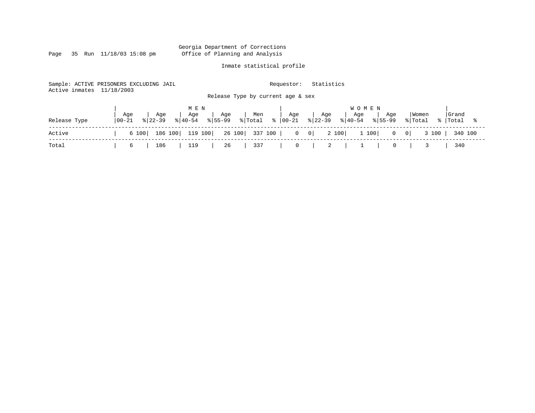Page 35 Run 11/18/03 15:08 pm

### Inmate statistical profile

Sample: ACTIVE PRISONERS EXCLUDING JAIL Requestor: Statistics Active inmates 11/18/2003 Release Type by current age & sex

|              |                                           | MEN       |          |                                                                                                      | <b>WOMEN</b> |                                                                                            |
|--------------|-------------------------------------------|-----------|----------|------------------------------------------------------------------------------------------------------|--------------|--------------------------------------------------------------------------------------------|
| Release Type | Age<br>  Age<br>$100 - 21$<br>$8122 - 39$ |           |          | Age   Age   Men   Age   Age   Age   Age<br>  % 40-54 % 55-99 % Total % 00-21 % 22-39 % 40-54 % 55-99 |              | Grand<br>  Women<br>% Total % Total                                                        |
| Active       |                                           |           |          |                                                                                                      |              | 6 100   186 100   119 100   26 100   337 100   0 0   2 100   1 100   0 0   3 100   340 100 |
| Total        | $6 \quad \Box$                            | 186   119 | 26   337 | 0   2   1   0   3   340                                                                              |              |                                                                                            |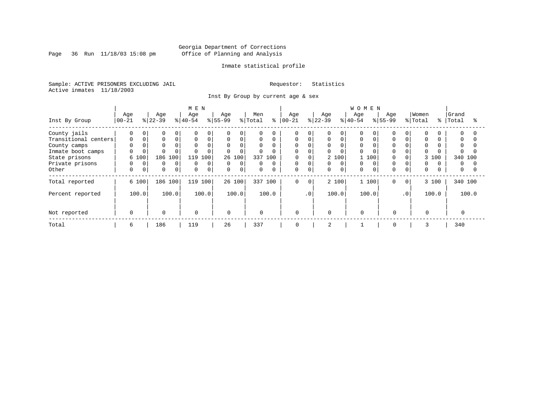Page 36 Run  $11/18/03$  15:08 pm

### Inmate statistical profile

Sample: ACTIVE PRISONERS EXCLUDING JAIL Requestor: Statistics Active inmates 11/18/2003

Inst By Group by current age & sex

|                      |           |             |           |              | M E N       |             |                |          |              |          |             |             |           |             | <b>WOMEN</b> |          |             |           |          |          |              |  |
|----------------------|-----------|-------------|-----------|--------------|-------------|-------------|----------------|----------|--------------|----------|-------------|-------------|-----------|-------------|--------------|----------|-------------|-----------|----------|----------|--------------|--|
|                      | Age       |             | Age       |              | Age         |             | Age            |          | Men          |          | Age         |             | Age       |             | Age          |          | Age         |           | Women    |          | Grand        |  |
| Inst By Group        | $00 - 21$ |             | $ 22-39 $ |              | $ 40-54 $   |             | $ 55-99 $      |          | % Total      | ႜ        | $ 00 - 21$  |             | $ 22-39 $ |             | $8 40-54$    |          | $ 55-99 $   |           | % Total  |          | %   Total    |  |
| County jails         | 0         | $\Omega$    | $\Omega$  | 0            | $\Omega$    | $\Omega$    | $\Omega$       | 0        | $\Omega$     | 0        | 0           |             | 0         | $\Omega$    | 0            |          |             |           |          |          | $\Omega$     |  |
| Transitional centers | 0         |             | 0         | 0            | $\mathbf 0$ | $\mathbf 0$ | $\mathbf 0$    | 0        | $\mathbf 0$  | 0        | 0           |             | 0         | $\Omega$    | 0            |          | $\Omega$    |           | $\Omega$ |          | $\Omega$     |  |
| County camps         |           |             |           |              | $\Omega$    | $\Omega$    | $\mathbf{0}$   | $\Omega$ | $\Omega$     | 0        | $\Omega$    |             | 0         |             | $\Omega$     |          |             |           |          |          | $\Omega$     |  |
| Inmate boot camps    | 0         |             |           |              | $\Omega$    | $\Omega$    | $\Omega$       | $\Omega$ | $\Omega$     | $\Omega$ | $\Omega$    |             | 0         |             | 0            |          | $\Omega$    |           |          |          | <sup>0</sup> |  |
| State prisons        | 6 100     |             | 186       | 100          | 119         | 100         |                | 26 100   | 337          | 100      | 0           |             |           | 2 100       |              | 100      |             |           | 100<br>3 |          | 340 100      |  |
| Private prisons      |           | $\Omega$    | $\Omega$  | $\mathbf{0}$ | $\Omega$    | $\Omega$    | $\overline{0}$ | $\Omega$ | 0            | $\Omega$ | 0           |             | 0         | $\Omega$    | $\Omega$     | $\Omega$ | $\Omega$    |           | $\Omega$ | $\Omega$ | $\Omega$     |  |
| Other                | 0         | $\mathbf 0$ | 0         | $\mathbf 0$  | $\mathbf 0$ | $\mathbf 0$ | $\mathbf 0$    | 0        | $\mathbf 0$  | 0        | $\mathbf 0$ | 0           | 0         | $\mathbf 0$ | 0            |          | $\Omega$    |           | $\Omega$ |          | 0            |  |
| Total reported       | 6 100     |             | 186 100   |              | 119         | 100         |                | 26 100   | 337 100      |          | $\mathbf 0$ | $\mathbf 0$ |           | 2 100       |              | 1 100    | $\mathbf 0$ | $\circ$   | 3 100    |          | 340 100      |  |
| Percent reported     | 100.0     |             |           | 100.0        |             | 100.0       |                | 100.0    |              | 100.0    |             | $\cdot$ 0   |           | 100.0       |              | 100.0    |             | $\cdot$ 0 | 100.0    |          | 100.0        |  |
| Not reported         | $\Omega$  |             | $\Omega$  |              | 0           |             | $\Omega$       |          | $\mathbf{0}$ |          | $\Omega$    |             | $\Omega$  |             | $\Omega$     |          | $\Omega$    |           | $\Omega$ |          |              |  |
| Total                | 6         |             | 186       |              | 119         |             | 26             |          | 337          |          | 0           |             | 2         |             |              |          | 0           |           | 3        |          | 340          |  |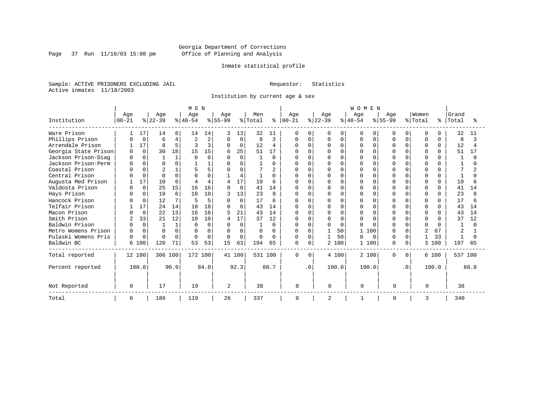Page 37 Run  $11/18/03$  15:08 pm

### Inmate statistical profile

Sample: ACTIVE PRISONERS EXCLUDING JAIL Requestor: Statistics Active inmates 11/18/2003

Institution by current age & sex

|                      |                |          |              |              | M E N     |              |           |          |         |              |               |           |           |          | <b>WOMEN</b> |          |              |              |                |              |         |      |
|----------------------|----------------|----------|--------------|--------------|-----------|--------------|-----------|----------|---------|--------------|---------------|-----------|-----------|----------|--------------|----------|--------------|--------------|----------------|--------------|---------|------|
|                      | Age            |          | Age          |              | Age       |              | Age       |          | Men     |              | Age           |           | Age       |          | Age          |          | Age          |              | Women          |              | Grand   |      |
| Institution          | $ 00 - 21$     |          | $ 22-39 $    |              | $ 40-54 $ |              | $ 55-99 $ |          | % Total |              | $8   00 - 21$ |           | $ 22-39 $ |          | $ 40-54$     |          | $8155 - 99$  |              | % Total        | ႜ            | Total   |      |
| Ware Prison          |                | 17       | 14           | 8            | 14        | 14           | 3         | 13       | 32      | 11           | $\Omega$      | O         | O         | $\Omega$ | 0            | O        | U            | 0            | $\Omega$       | 0            | 32      | 11   |
| Phillips Prison      |                | $\Omega$ | 6            | 4            |           | 2            | $\Omega$  | $\Omega$ | 8       | 3            | 0             | $\cap$    |           | $\Omega$ |              | $\Omega$ |              |              | $\Omega$       | $\Omega$     | 8       |      |
| Arrendale Prison     |                | 17       | $\mathsf{R}$ | 5            |           | $\mathbf{z}$ | $\Omega$  | $\Omega$ | 12      | 4            | $\Omega$      | $\Omega$  | O         | $\Omega$ | U            | $\Omega$ | U            | $\cap$       | $\Omega$       | $\Omega$     | 12      |      |
| Georgia State Prison | <sup>0</sup>   | $\Omega$ | 30           | 18           | 15        | 15           | 6         | 25       | 51      | 17           |               |           |           | $\Omega$ |              | $\Omega$ | U            |              | $\Omega$       | 0            | 51      |      |
| Jackson Prison-Diag  | <sup>0</sup>   | $\Omega$ |              | 1            |           | $\Omega$     | $\Omega$  | 0        |         | $\Omega$     | U             | ∩         |           | $\Omega$ |              | $\cap$   |              | <sup>n</sup> | $\Omega$       | ∩            |         |      |
| Jackson Prison-Perm  |                | $\Omega$ | $\cap$       | $\Omega$     |           |              | U         | U        |         | 0            | O             | ∩         |           | $\Omega$ |              | $\Omega$ | $\cap$       |              | $\Omega$       |              |         |      |
| Coastal Prison       |                | $\Omega$ |              |              |           | 5            | U         | U        |         |              | U             |           |           | $\Omega$ |              | U        | $\cap$       |              | ∩              |              |         |      |
| Central Prison       |                | $\Omega$ | $\cap$       | $\Omega$     |           |              |           | 4        |         | 0            | U             | ∩         |           | $\Omega$ |              | ∩        |              |              | $\Omega$       | <sup>n</sup> |         |      |
| Augusta Med Prison   |                | 17       | 10           | 6            |           | 4            | 4         | 17       | 19      | 6            |               | $\cap$    |           | $\Omega$ |              | $\cap$   |              |              | $\cap$         | $\Omega$     | 19      |      |
| Valdosta Prison      |                | $\Omega$ | 25           | 15           | 16        | 16           | $\cap$    | $\Omega$ | 41      | 14           | $\cap$        | $\Omega$  | U         | $\Omega$ |              | $\cap$   | $\cap$       |              | $\Omega$       | <sup>n</sup> | 41      | 14   |
| Hays Prison          |                | $\Omega$ | 10           | 6            | 10        | 10           |           | 13       | 23      | 8            | $\Omega$      | $\Omega$  | N         | $\Omega$ |              | $\Omega$ | $\cap$       |              | $\Omega$       | 0            | 23      |      |
| Hancock Prison       |                | $\Omega$ | 12           | 7            | 5         | 5            | $\Omega$  | $\Omega$ | 17      | 6            | <sup>0</sup>  | $\cap$    | ი         | $\Omega$ |              | $\cap$   | <sup>0</sup> |              | $\Omega$       | U            | 17      |      |
| Telfair Prison       |                | 17       | 24           | 14           | 18        | 18           |           | $\Omega$ | 43      | 14           | O             | $\Omega$  | U         | $\Omega$ |              | O        | U            |              | $\Omega$       | <sup>n</sup> | 43      | 14   |
| Macon Prison         |                | $\Omega$ | 22           | 13           | 16        | 16           | 5         | 21       | 43      | 14           | $\Omega$      | $\Omega$  |           | $\Omega$ | ∩            | ∩        |              |              | $\Omega$       | <sup>n</sup> | 43      | 14   |
| Smith Prison         | $\overline{a}$ | 33       | 21           | 12           | 10        | 10           | 4         | 17       | 37      | 12           |               | $\cap$    | N         | $\Omega$ |              | $\cap$   |              |              | $\Omega$       |              | 37      | 12   |
| Baldwin Prison       |                | $\Omega$ |              | $\mathbf{1}$ |           | $\Omega$     | U         | $\Omega$ |         | 0            | 0             | $\cap$    | O         | $\Omega$ | U            | $\cap$   | $\cap$       | U            | $\Omega$       | ∩            |         |      |
| Metro Womens Prison  | $\Omega$       | $\Omega$ | ∩            | $\Omega$     |           | $\Omega$     | $\Omega$  | $\Omega$ | U       | <sup>0</sup> | $\Omega$      | U         |           | 50       | 1            | 100      |              |              | $\overline{c}$ | 67           |         |      |
| Pulaski Womens Pris  | $\Omega$       | $\Omega$ | $\cap$       | $\Omega$     |           | $\Omega$     | $\Omega$  | $\Omega$ | U       | U            | 0             | $\Omega$  |           | 50       | U            | $\Omega$ | <sup>0</sup> | O.           |                | 33           |         |      |
| Baldwin BC           | 6              | 100      | 120          | 71           | 53        | 53           | 15        | 63       | 194     | 65           | $\Omega$      | $\Omega$  |           | 2 100    | 1            | 100      | $\cap$       | $\Omega$     | 3              | 100          | 197     | 65   |
| Total reported       |                | 12 100   | 306 100      |              | 172 100   |              |           | 41 100   | 531 100 |              | $\mathbf 0$   | $\Omega$  |           | 4 100    | 2 100        |          | $\Omega$     | $\Omega$     |                | 6 100        | 537 100 |      |
| Percent reported     |                | 100.0    |              | 90.9         |           | 84.0         |           | 92.3     |         | 88.7         |               | $\cdot$ 0 |           | 100.0    | 100.0        |          |              | $\cdot$ 0    |                | 100.0        |         | 88.8 |
| Not Reported         | $\Omega$       |          | 17           |              | 19        |              | 2         |          | 38      |              | 0             |           | $\cap$    |          | $\Omega$     |          | $\cap$       |              | $\Omega$       |              | 38      |      |
| Total                | 6              |          | 186          |              | 119       |              | 26        |          | 337     |              | 0             |           | 2         |          |              |          | 0            |              | 3              |              | 340     |      |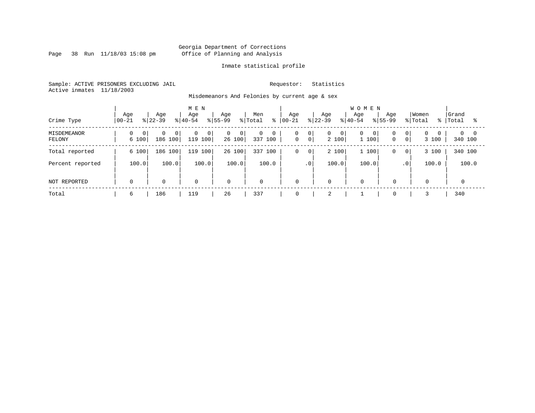Page 38 Run 11/18/03 15:08 pm

### Inmate statistical profile

Sample: ACTIVE PRISONERS EXCLUDING JAIL Requestor: Statistics Active inmates 11/18/2003

Misdemeanors And Felonies by current age & sex

| Crime Type                   | Age<br>$00 - 21$ | Age<br>$ 22-39 $                      | M E N<br>Age<br>$ 40-54 $             | Age<br>$ 55-99 $<br>% Total   | Men<br>ွေ         | Age<br>$ 00 - 21$                                    | Age<br>$ 22-39 $           | <b>WOMEN</b><br>Age<br>Age<br>$8 40-54$<br>$8155 - 99$ | Women<br>% Total<br>៖                                          | Grand<br>Total      |
|------------------------------|------------------|---------------------------------------|---------------------------------------|-------------------------------|-------------------|------------------------------------------------------|----------------------------|--------------------------------------------------------|----------------------------------------------------------------|---------------------|
| <b>MISDEMEANOR</b><br>FELONY | 0<br>0<br>6 100  | $\Omega$<br>0 <sup>1</sup><br>186 100 | $\mathbf 0$<br>$\mathbf 0$<br>119 100 | $\overline{0}$<br>0<br>26 100 | 0<br>0<br>337 100 | 0<br>0 <sup>1</sup><br>$\mathbf 0$<br>0 <sup>1</sup> | 0<br>$\mathbf{0}$<br>2 100 | 0<br>$\overline{0}$<br>0<br>1 100<br>$\mathbf{0}$      | $\Omega$<br>0 <sup>1</sup><br>$\mathbf{0}$<br>$\circ$<br>3 100 | $\Omega$<br>340 100 |
| Total reported               | 6 100            | 186 100                               | 100<br>119                            | 26 100                        | 100<br>337        | 0<br>$\circ$                                         | 2 100                      | 1 100<br>$\mathbf{0}$                                  | 3 100<br>$\overline{0}$                                        | 340 100             |
| Percent reported             | 100.0            | 100.0                                 | 100.0                                 | 100.0                         | 100.0             | .0'                                                  | 100.0                      | 100.0                                                  | 100.0<br>.0 <sup>1</sup>                                       | 100.0               |
| NOT REPORTED                 | 0                | $\mathbf 0$                           | $\mathbf 0$                           | $\mathbf 0$                   | $\mathbf 0$       | $\mathbf 0$                                          | 0                          | $\mathbf 0$<br>0                                       | $\overline{0}$                                                 | $\mathbf 0$         |
| Total                        | 6                | 186                                   | 119                                   | 26                            | 337               | 0                                                    | 2                          |                                                        |                                                                | 340                 |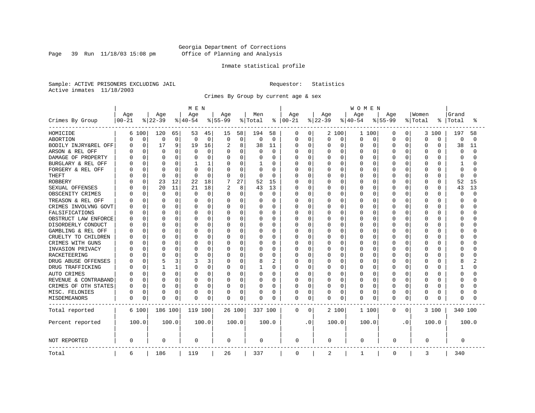Page 39 Run  $11/18/03$  15:08 pm

### Inmate statistical profile

Sample: ACTIVE PRISONERS EXCLUDING JAIL Requestor: Statistics Active inmates 11/18/2003

Crimes By Group by current age & sex

|                      | M E N     |             |              |             |           |             |           |             |          | WOMEN          |             |             |              |          |             |          |             |                |          |          |          |          |  |
|----------------------|-----------|-------------|--------------|-------------|-----------|-------------|-----------|-------------|----------|----------------|-------------|-------------|--------------|----------|-------------|----------|-------------|----------------|----------|----------|----------|----------|--|
|                      | Age       |             | Age          |             | Age       |             | Age       |             | Men      |                | Age         |             | Age          |          | Age         |          | Age         |                | Women    |          | Grand    |          |  |
| Crimes By Group      | $00 - 21$ |             | $ 22-39$     |             | $8 40-54$ |             | $8 55-99$ |             | % Total  | ႜ              | $ 00 - 21$  |             | $ 22-39$     |          | $8 40-54$   |          | $8 55-99$   |                | % Total  | °        | Total    | °        |  |
| HOMICIDE             | 6         | 100         | 120          | 65          | 53        | 45          | 15        | 58          | 194      | 58             | 0           | 0           |              | 2 100    | 1 100       |          | 0           | $\overline{0}$ | 3        | 100      | 197      | 58       |  |
| ABORTION             | C         | $\mathbf 0$ | 0            | $\mathbf 0$ | 0         | $\mathbf 0$ | $\Omega$  | $\mathbf 0$ | 0        | $\mathbf 0$    | 0           | 0           | 0            | 0        | 0           | 0        | $\Omega$    | 0              | $\Omega$ | 0        | 0        | $\Omega$ |  |
| BODILY INJRY&REL OFF | C         | $\mathbf 0$ | 17           | 9           | 19        | 16          | 2         | 8           | 38       | 11             | 0           | $\mathbf 0$ | 0            | 0        | $\mathbf 0$ | 0        | 0           | 0              | $\Omega$ | 0        | 38       | 11       |  |
| ARSON & REL OFF      |           | 0           | $\mathbf 0$  | 0           | 0         | 0           |           | $\mathbf 0$ | 0        | $\mathbf 0$    | 0           | 0           | 0            | 0        | 0           | 0        | $\Omega$    | O              | $\Omega$ | O        | 0        | $\cap$   |  |
| DAMAGE OF PROPERTY   |           | $\Omega$    | $\Omega$     | 0           |           | $\Omega$    | $\Omega$  | $\Omega$    | O        | $\Omega$       | 0           | $\Omega$    | U            | $\Omega$ | $\Omega$    | $\Omega$ | $\Omega$    | U              | $\Omega$ | $\cap$   | $\Omega$ | $\cap$   |  |
| BURGLARY & REL OFF   |           | $\Omega$    | $\Omega$     | 0           |           | 1           | 0         | $\Omega$    | 1        | $\Omega$       | 0           | $\Omega$    | 0            | $\Omega$ | 0           | $\Omega$ | $\Omega$    | 0              | $\Omega$ | $\Omega$ | 1        |          |  |
| FORGERY & REL OFF    |           | $\Omega$    | $\Omega$     | 0           |           | $\Omega$    |           | $\mathbf 0$ | $\Omega$ | $\Omega$       | Ω           | $\mathbf 0$ | 0            | $\Omega$ | 0           | $\Omega$ | $\Omega$    | 0              | $\Omega$ | $\Omega$ | $\Omega$ |          |  |
| THEFT                |           | O           | $\Omega$     | $\Omega$    | $\Omega$  | $\Omega$    | 0         | $\mathbf 0$ | $\Omega$ | $\Omega$       | 0           | $\mathbf 0$ | 0            | $\Omega$ | 0           | $\Omega$ | $\Omega$    | 0              | $\Omega$ | $\Omega$ | $\Omega$ | ∩        |  |
| <b>ROBBERY</b>       |           | $\Omega$    | 23           | 12          | 22        | 18          |           | 27          | 52       | 15             | 0           | $\mathbf 0$ | 0            | $\Omega$ | 0           | 0        | $\Omega$    | O              | $\Omega$ | $\Omega$ | 52       | 15       |  |
| SEXUAL OFFENSES      |           | 0           | 20           | 11          | 21        | 18          | 2         | 8           | 43       | 13             | 0           | $\Omega$    | 0            | $\Omega$ | $\Omega$    | $\Omega$ | $\Omega$    | O              | $\Omega$ | $\Omega$ | 43       | 13       |  |
| OBSCENITY CRIMES     |           | 0           | $\Omega$     | $\mathbf 0$ | $\Omega$  | $\Omega$    | $\Omega$  | $\mathbf 0$ | $\Omega$ | $\Omega$       | U           | 0           | <sup>0</sup> | $\Omega$ | $\Omega$    | $\Omega$ | $\Omega$    | $\Omega$       | $\Omega$ | O        | $\Omega$ | $\cap$   |  |
| TREASON & REL OFF    |           | 0           | <sup>0</sup> | 0           | O         | $\Omega$    | $\Omega$  | 0           | O        | 0              | 0           | 0           | 0            | $\Omega$ | 0           | 0        | O           | 0              | 0        | U        | ∩        |          |  |
| CRIMES INVOLVNG GOVT |           | 0           | $\Omega$     | 0           |           | 0           |           | 0           |          | $\Omega$       | Ω           | $\mathbf 0$ | 0            | $\Omega$ | 0           | $\Omega$ | 0           | 0              | $\Omega$ | O        | $\Omega$ |          |  |
| FALSIFICATIONS       |           | $\Omega$    | $\Omega$     | 0           | $\cap$    | $\Omega$    | $\Omega$  | 0           | $\Omega$ | $\Omega$       | U           | 0           | 0            | $\Omega$ | 0           | $\Omega$ | $\Omega$    | 0              | $\Omega$ | $\Omega$ | $\Omega$ |          |  |
| OBSTRUCT LAW ENFORCE |           | 0           | $\Omega$     | 0           | $\cap$    | O           | 0         | 0           | O        | 0              | 0           | 0           | 0            | 0        | 0           | 0        | $\Omega$    | O              | $\Omega$ | $\Omega$ | $\Omega$ |          |  |
| DISORDERLY CONDUCT   |           | U           | $\Omega$     | 0           | U         | U           | 0         | 0           | O        | $\Omega$       | U           | 0           | U            | $\Omega$ | O           | $\Omega$ | $\cap$      | U              | $\Omega$ | $\cap$   | $\cap$   |          |  |
| GAMBLING & REL OFF   |           | 0           | $\Omega$     | 0           |           | $\Omega$    | $\Omega$  | $\Omega$    | O        | $\Omega$       | 0           | 0           | U            | $\Omega$ | 0           | $\Omega$ | $\Omega$    | 0              | $\Omega$ | U        | ∩        |          |  |
| CRUELTY TO CHILDREN  |           | $\Omega$    | $\Omega$     | 0           |           | O           | 0         | $\mathbf 0$ | 0        | 0              | 0           | 0           | 0            | 0        | 0           | $\Omega$ | $\Omega$    | 0              | $\Omega$ | $\Omega$ | $\Omega$ |          |  |
| CRIMES WITH GUNS     |           | 0           | $\Omega$     | 0           |           | O           | $\Omega$  | 0           | $\Omega$ | $\Omega$       | U           | 0           | 0            | $\Omega$ | O           | $\Omega$ | $\Omega$    | O              | $\Omega$ | $\cap$   | $\Omega$ |          |  |
| INVASION PRIVACY     |           | 0           | $\Omega$     | 0           | U         | 0           | 0         | 0           | O        | $\mathbf 0$    | 0           | 0           | 0            | $\Omega$ | 0           | 0        | $\Omega$    | O              | $\Omega$ | O        | ∩        |          |  |
| <b>RACKETEERING</b>  |           | O           | $\Omega$     | 0           |           | 0           |           | $\mathbf 0$ | 0        | $\Omega$       | 0           | $\mathbf 0$ | 0            | $\Omega$ | 0           | 0        | $\Omega$    | O              | $\Omega$ | O        | C        |          |  |
| DRUG ABUSE OFFENSES  |           | 0           | 5            | 3           |           | 3           | $\Omega$  | $\mathbf 0$ | 8        | $\overline{2}$ | 0           | $\mathbf 0$ | 0            | $\Omega$ | $\mathbf 0$ | $\Omega$ | $\Omega$    | 0              | $\Omega$ | $\cap$   | 8        |          |  |
| DRUG TRAFFICKING     |           | 0           |              | 1           | O         | 0           | $\Omega$  | $\Omega$    |          | $\Omega$       | 0           | $\mathbf 0$ | 0            | $\Omega$ | 0           | $\Omega$ | $\Omega$    | 0              | $\Omega$ | O        |          |          |  |
| AUTO CRIMES          |           | 0           | <sup>0</sup> | 0           | O         | 0           | 0         | $\mathbf 0$ | O        | 0              | 0           | 0           | 0            | $\Omega$ | 0           | $\Omega$ | O           | 0              | $\Omega$ | U        | $\Omega$ |          |  |
| REVENUE & CONTRABAND |           | $\Omega$    | $\Omega$     | 0           | O         | 0           |           | $\mathbf 0$ | O        | $\Omega$       | U           | $\mathbf 0$ | 0            | $\Omega$ | 0           | 0        | $\Omega$    | 0              | $\Omega$ | $\Omega$ | $\Omega$ |          |  |
| CRIMES OF OTH STATES |           | 0           | $\Omega$     | 0           | O         | 0           | 0         | 0           | O        | 0              | 0           | 0           | 0            | 0        | 0           | 0        | O           | 0              | $\Omega$ | $\Omega$ | $\Omega$ |          |  |
| MISC. FELONIES       | U         | 0           | $\Omega$     | 0           | 0         | 0           | 0         | 0           | 0        | 0              | 0           | 0           | 0            | 0        | 0           | 0        | 0           | 0              | $\Omega$ | 0        | $\Omega$ |          |  |
| MISDEMEANORS         | 0         | 0           | $\Omega$     | 0           | 0         | 0           | 0         | 0           | 0        | 0              | 0           | 0           | 0            | 0        | O           | 0        | $\Omega$    | 0              | $\Omega$ | O        | ∩        |          |  |
| Total reported       |           | 6 100       | 186 100      |             | 119 100   |             | 26 100    |             | 337 100  |                | 0           | 0           |              | 2 100    | 1 100       |          | 0           | 0              |          | 3 100    | 340 100  |          |  |
| Percent reported     |           | 100.0       |              | 100.0       |           | 100.0       |           | 100.0       |          | 100.0          |             | . 0         |              | 100.0    | 100.0       |          |             | $\cdot$ 0      |          | 100.0    |          | 100.0    |  |
| <b>NOT REPORTED</b>  | 0         |             | 0            |             | 0         |             | $\Omega$  |             | 0        |                | 0           |             | 0            |          | 0           |          | 0           |                | 0        |          | 0        |          |  |
| Total                | 6         |             | 186          |             | 119       |             | 26        |             | 337      |                | $\mathbf 0$ |             | 2            |          | 1           |          | $\mathbf 0$ |                | 3        |          | 340      |          |  |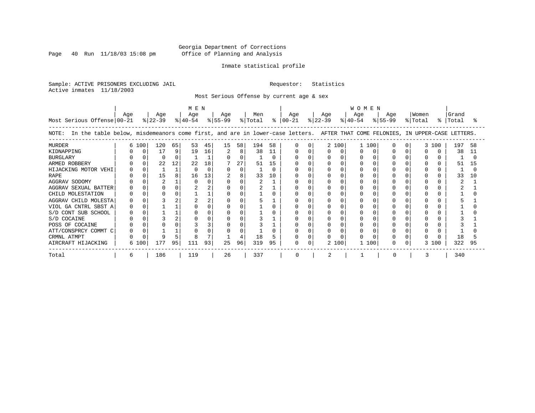Page 40 Run  $11/18/03$  15:08 pm

### Inmate statistical profile

Sample: ACTIVE PRISONERS EXCLUDING JAIL Requestor: Statistics Active inmates 11/18/2003

Most Serious Offense by current age & sex

| Most Serious Offense 00-21                                                                                                            | Aqe |       | Age<br>$ 22-39 $ |               | MEN<br>Age<br>$ 40-54 $ |                | Age<br>$8 55-99$ |                    | Men<br>% Total  |                     | Aqe<br>$8   00 - 21$ | Age<br>$ 22-39 $ |            | <b>WOMEN</b><br>Aqe<br>$ 40-54 $ | Aqe<br>$8 55-99$ | % Total | Women | Grand<br>%   Total |                |
|---------------------------------------------------------------------------------------------------------------------------------------|-----|-------|------------------|---------------|-------------------------|----------------|------------------|--------------------|-----------------|---------------------|----------------------|------------------|------------|----------------------------------|------------------|---------|-------|--------------------|----------------|
| In the table below, misdemeanors come first, and are in lower-case letters. AFTER THAT COME FELONIES, IN UPPER-CASE LETTERS.<br>NOTE: |     |       |                  |               |                         |                |                  |                    |                 |                     |                      |                  |            |                                  |                  |         |       |                    |                |
| <b>MURDER</b><br>KIDNAPPING<br><b>BURGLARY</b><br>ARMED ROBBERY                                                                       |     | 6 100 | 120<br>17<br>22  | 65<br>9<br>12 | 53<br>19<br>22          | 45<br>16<br>18 | 15               | 58<br>8<br>0<br>27 | 194<br>38<br>51 | 58<br>11<br>U<br>15 |                      |                  | 2 100<br>O | 1 100                            |                  |         | 3 100 | 197<br>38<br>51    | 58<br>11<br>15 |
| HIJACKING MOTOR VEHI<br><b>RAPE</b>                                                                                                   |     |       | 15               |               | 16                      | 13             |                  | 0<br>8             | 33              | 10                  |                      |                  |            |                                  |                  |         |       | 33                 | 10             |
| AGGRAV SODOMY<br>AGGRAV SEXUAL BATTER<br>CHILD MOLESTATION                                                                            |     |       |                  |               |                         |                |                  |                    |                 |                     |                      |                  |            |                                  |                  |         |       |                    |                |
| AGGRAV CHILD MOLESTA<br>VIOL GA CNTRL SBST A<br>S/D CONT SUB SCHOOL                                                                   |     |       |                  |               |                         |                |                  |                    |                 |                     |                      |                  |            |                                  |                  |         |       |                    |                |
| S/D COCAINE<br>POSS OF COCAINE<br>ATT/CONSPRCY COMMT C                                                                                |     |       |                  |               |                         |                |                  |                    |                 |                     |                      |                  |            |                                  |                  |         |       |                    |                |
| CRMNL ATMPT<br>AIRCRAFT HIJACKING                                                                                                     |     | 6 100 | 177              | 95            | 111                     | 93             | 25               | 96                 | 18<br>319       | 95                  | 0                    |                  | 2 100      | 100                              |                  |         | 3 100 | 18<br>322          | 95             |
| Total                                                                                                                                 | 6   |       | 186              |               | 119                     |                | 26               |                    | 337             |                     | O                    |                  |            |                                  |                  |         |       | 340                |                |